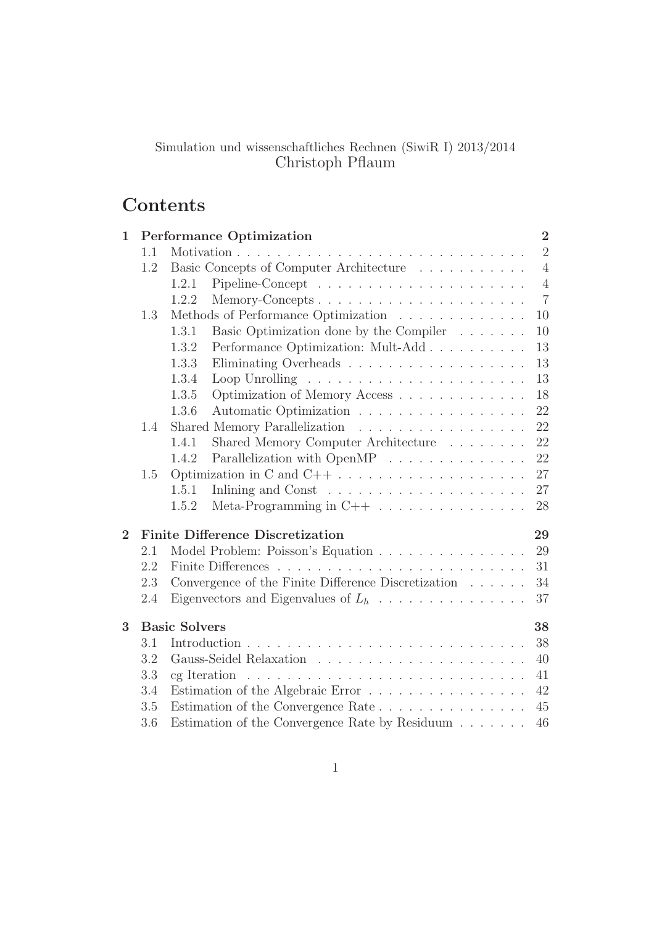# Simulation und wissenschaftliches Rechnen (SiwiR I) 2013/2014 Christoph Pflaum

# Contents

| $\mathbf 1$    |     | <b>Performance Optimization</b>                                           | $\overline{2}$ |
|----------------|-----|---------------------------------------------------------------------------|----------------|
|                | 1.1 |                                                                           | $\overline{2}$ |
|                | 1.2 | Basic Concepts of Computer Architecture                                   | $\overline{4}$ |
|                |     | 1.2.1                                                                     | $\overline{4}$ |
|                |     | 1.2.2<br>Memory-Concepts                                                  | $\overline{7}$ |
|                | 1.3 | Methods of Performance Optimization                                       | 10             |
|                |     | Basic Optimization done by the Compiler<br>1.3.1                          | 10             |
|                |     | 1.3.2<br>Performance Optimization: Mult-Add                               | 13             |
|                |     | 1.3.3                                                                     | 13             |
|                |     | 1.3.4                                                                     | 13             |
|                |     | 1.3.5<br>Optimization of Memory Access                                    | 18             |
|                |     | Automatic Optimization<br>1.3.6                                           | 22             |
|                | 1.4 | Shared Memory Parallelization                                             | 22             |
|                |     | Shared Memory Computer Architecture<br>1.4.1                              | 22             |
|                |     | Parallelization with OpenMP $\ldots \ldots \ldots \ldots \ldots$<br>1.4.2 | 22             |
|                | 1.5 | Optimization in C and $C++ \ldots \ldots \ldots \ldots \ldots \ldots$     | 27             |
|                |     | 1.5.1                                                                     | 27             |
|                |     | Meta-Programming in $C++ \ldots \ldots \ldots \ldots$<br>1.5.2            | 28             |
| $\overline{2}$ |     | <b>Finite Difference Discretization</b>                                   | 29             |
|                | 2.1 | Model Problem: Poisson's Equation                                         | 29             |
|                | 2.2 |                                                                           | 31             |
|                | 2.3 | Convergence of the Finite Difference Discretization                       | 34             |
|                | 2.4 |                                                                           | 37             |
| 3              |     | <b>Basic Solvers</b>                                                      | 38             |
|                | 3.1 |                                                                           | 38             |
|                | 3.2 |                                                                           | 40             |
|                | 3.3 |                                                                           | 41             |
|                | 3.4 | Estimation of the Algebraic Error                                         | 42             |
|                | 3.5 | Estimation of the Convergence Rate                                        | 45             |
|                | 3.6 | Estimation of the Convergence Rate by Residuum                            | 46             |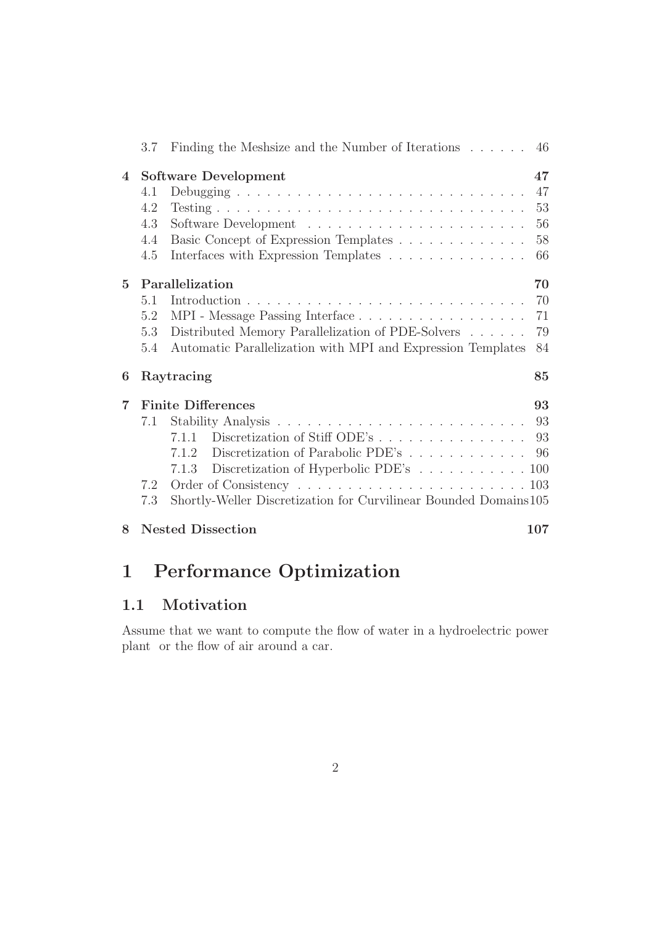|                 |     | 3.7 Finding the Meshsize and the Number of Iterations 46         |     |
|-----------------|-----|------------------------------------------------------------------|-----|
| $\overline{4}$  |     | <b>Software Development</b>                                      | 47  |
|                 | 4.1 |                                                                  | 47  |
|                 | 4.2 |                                                                  | 53  |
|                 | 4.3 |                                                                  | 56  |
|                 | 4.4 | Basic Concept of Expression Templates                            | 58  |
|                 | 4.5 | Interfaces with Expression Templates                             | 66  |
| $5\overline{)}$ |     | Parallelization                                                  | 70  |
|                 | 5.1 |                                                                  | 70  |
|                 | 5.2 |                                                                  | 71  |
|                 | 5.3 | Distributed Memory Parallelization of PDE-Solvers                | 79  |
|                 | 5.4 | Automatic Parallelization with MPI and Expression Templates      | 84  |
| 6               |     | Raytracing                                                       | 85  |
| $\overline{7}$  |     | <b>Finite Differences</b>                                        | 93  |
|                 | 7.1 |                                                                  |     |
|                 |     | Discretization of Stiff ODE's 93<br>7.1.1                        |     |
|                 |     | Discretization of Parabolic PDE's 96<br>7.1.2                    |     |
|                 |     | Discretization of Hyperbolic PDE's 100<br>7.1.3                  |     |
|                 | 7.2 |                                                                  |     |
|                 | 7.3 | Shortly-Weller Discretization for Curvilinear Bounded Domains105 |     |
| 8               |     | <b>Nested Dissection</b>                                         | 107 |

# 1 Performance Optimization

# 1.1 Motivation

Assume that we want to compute the flow of water in a hydroelectric power plant or the flow of air around a car.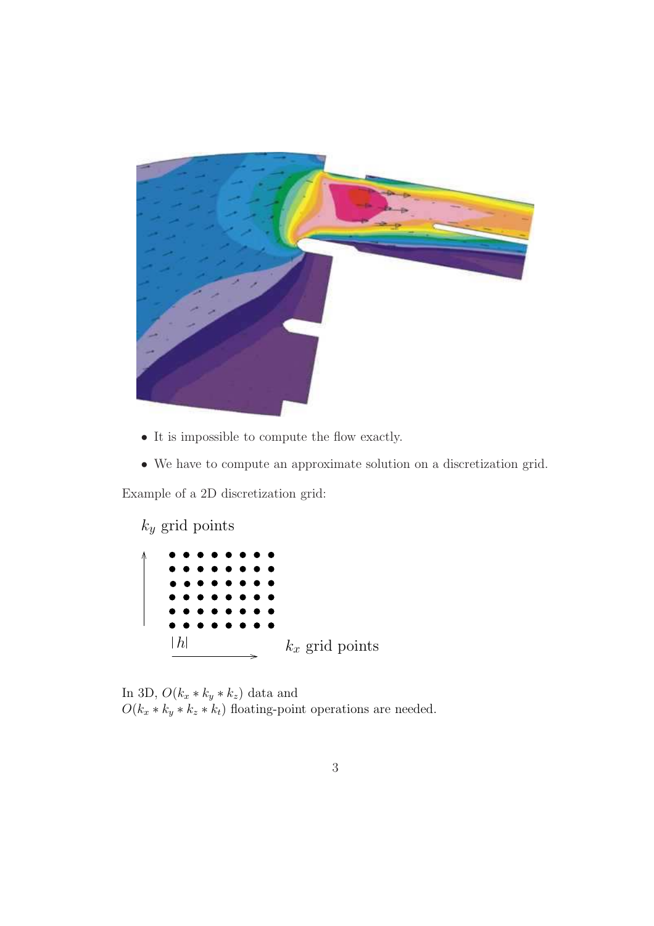

- It is impossible to compute the flow exactly.
- We have to compute an approximate solution on a discretization grid.

Example of a 2D discretization grid:

 $k_y$  grid points



In 3D,  $O(k_x * k_y * k_z)$  data and  $O(k_x * k_y * k_z * k_t)$  floating-point operations are needed.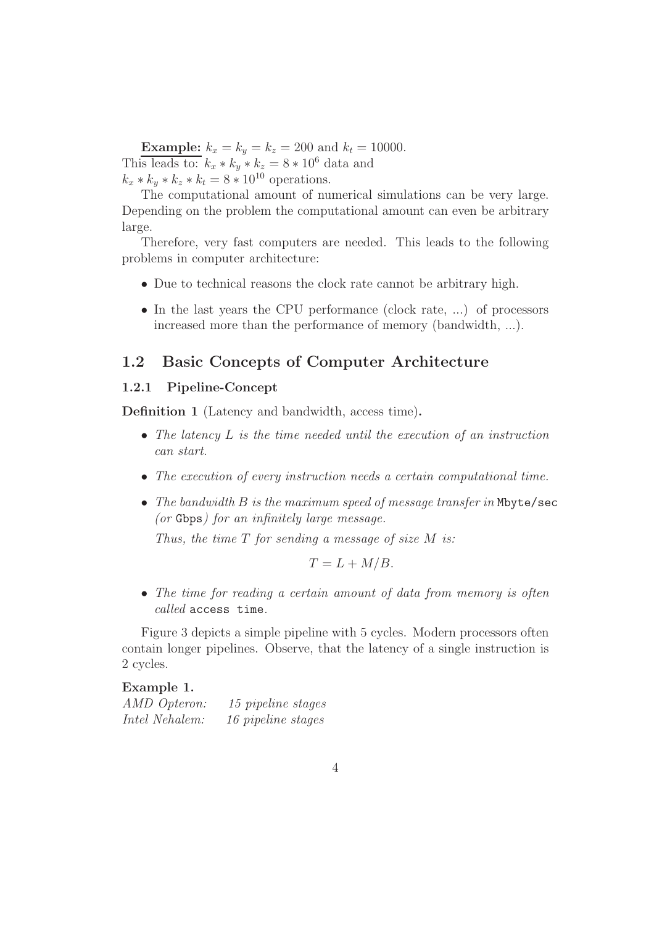**Example:**  $k_x = k_y = k_z = 200$  and  $k_t = 10000$ . This leads to:  $k_x * k_y * k_z = 8 * 10^6$  data and  $k_x * k_y * k_z * k_t = 8 * 10^{10}$  operations.

The computational amount of numerical simulations can be very large. Depending on the problem the computational amount can even be arbitrary large.

Therefore, very fast computers are needed. This leads to the following problems in computer architecture:

- Due to technical reasons the clock rate cannot be arbitrary high.
- In the last years the CPU performance (clock rate, ...) of processors increased more than the performance of memory (bandwidth, ...).

# 1.2 Basic Concepts of Computer Architecture

#### 1.2.1 Pipeline-Concept

Definition 1 (Latency and bandwidth, access time).

- The latency L is the time needed until the execution of an instruction can start.
- The execution of every instruction needs a certain computational time.
- The bandwidth B is the maximum speed of message transfer in Mbyte/sec (or Gbps) for an infinitely large message.

Thus, the time  $T$  for sending a message of size  $M$  is:

$$
T = L + M/B.
$$

• The time for reading a certain amount of data from memory is often called access time.

Figure 3 depicts a simple pipeline with 5 cycles. Modern processors often contain longer pipelines. Observe, that the latency of a single instruction is 2 cycles.

#### Example 1.

| AMD Opteron:   | 15 pipeline stages |
|----------------|--------------------|
| Intel Nehalem: | 16 pipeline stages |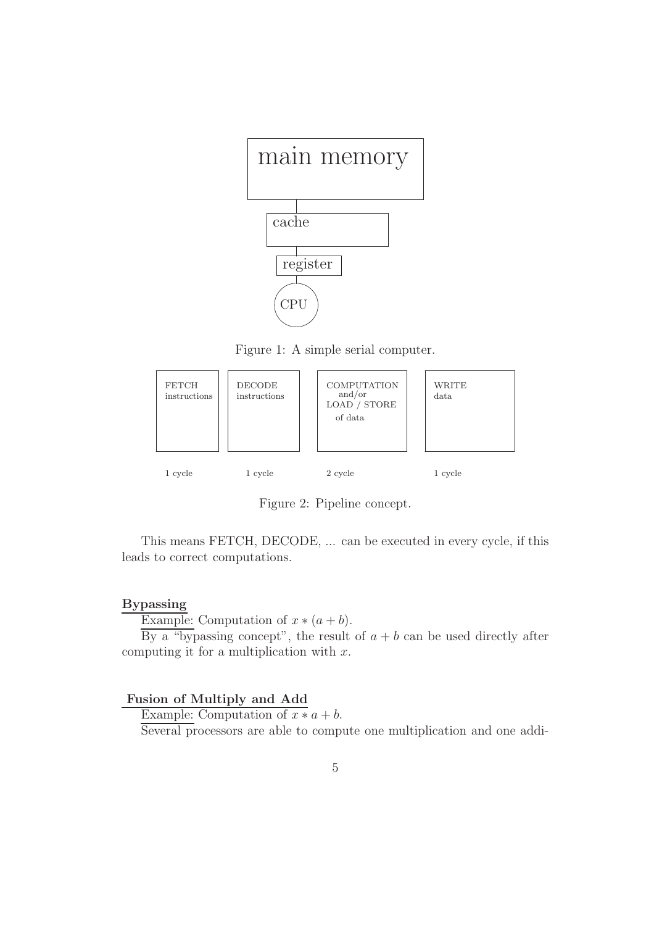

Figure 1: A simple serial computer.



Figure 2: Pipeline concept.

This means FETCH, DECODE, ... can be executed in every cycle, if this leads to correct computations.

## Bypassing

Example: Computation of  $x * (a + b)$ .

By a "bypassing concept", the result of  $a + b$  can be used directly after computing it for a multiplication with  $x$ .

#### Fusion of Multiply and Add

Example: Computation of  $x * a + b$ . Several processors are able to compute one multiplication and one addi-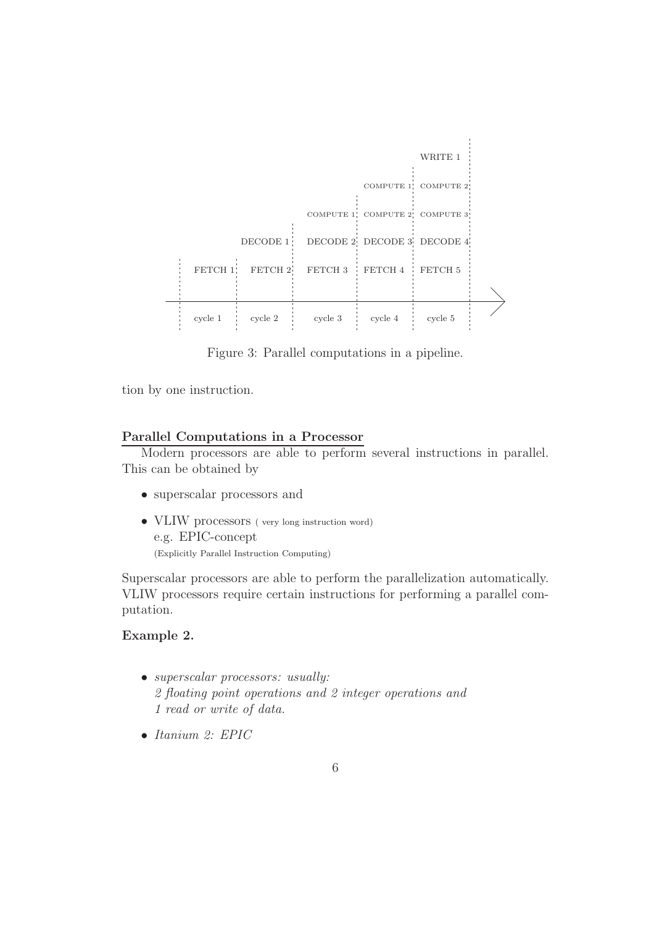

Figure 3: Parallel computations in a pipeline.

tion by one instruction.

#### Parallel Computations in a Processor

Modern processors are able to perform several instructions in parallel. This can be obtained by

- superscalar processors and
- VLIW processors (very long instruction word) e.g. EPIC-concept (Explicitly Parallel Instruction Computing)

Superscalar processors are able to perform the parallelization automatically. VLIW processors require certain instructions for performing a parallel computation.

#### Example 2.

- superscalar processors: usually: 2 floating point operations and 2 integer operations and 1 read or write of data.
- Itanium 2: EPIC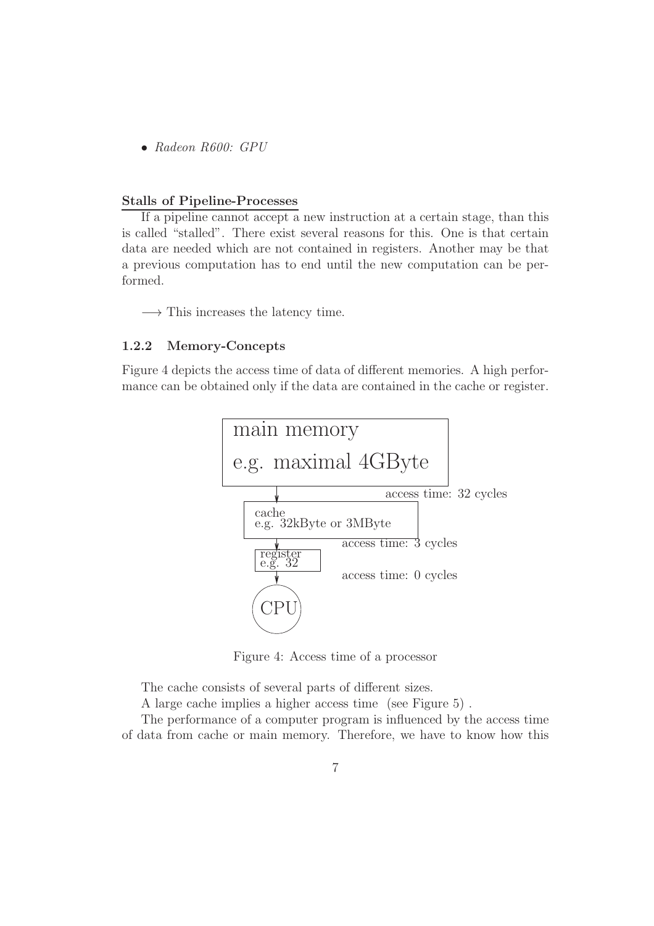• Radeon R600: GPU

#### Stalls of Pipeline-Processes

If a pipeline cannot accept a new instruction at a certain stage, than this is called "stalled". There exist several reasons for this. One is that certain data are needed which are not contained in registers. Another may be that a previous computation has to end until the new computation can be performed.

 $\longrightarrow$  This increases the latency time.

#### 1.2.2 Memory-Concepts

Figure 4 depicts the access time of data of different memories. A high performance can be obtained only if the data are contained in the cache or register.



Figure 4: Access time of a processor

The cache consists of several parts of different sizes.

A large cache implies a higher access time (see Figure 5) .

The performance of a computer program is influenced by the access time of data from cache or main memory. Therefore, we have to know how this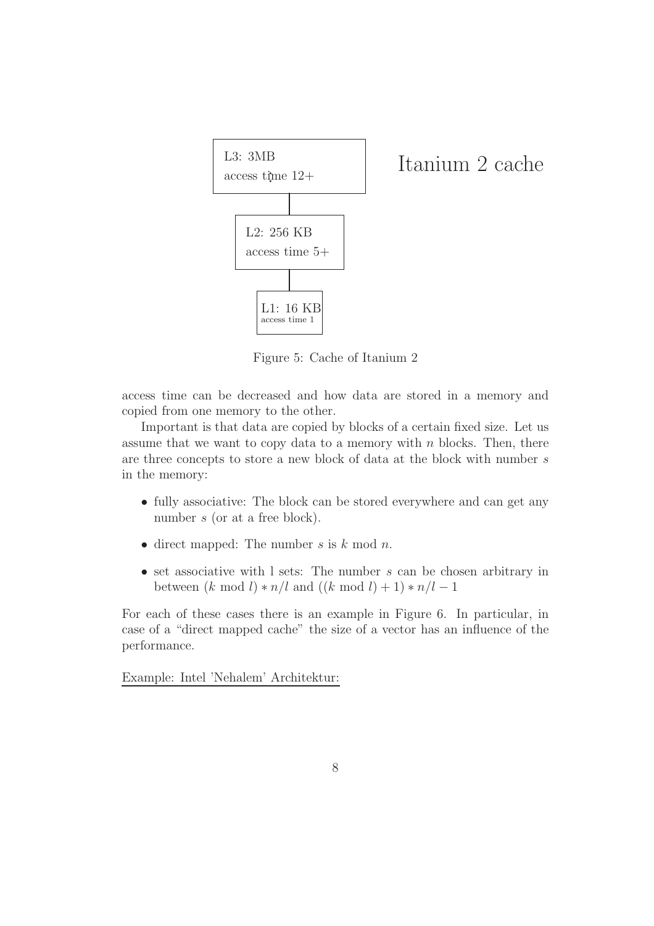

Figure 5: Cache of Itanium 2

access time can be decreased and how data are stored in a memory and copied from one memory to the other.

Important is that data are copied by blocks of a certain fixed size. Let us assume that we want to copy data to a memory with  $n$  blocks. Then, there are three concepts to store a new block of data at the block with number s in the memory:

- fully associative: The block can be stored everywhere and can get any number s (or at a free block).
- direct mapped: The number  $s$  is  $k \mod n$ .
- set associative with  $\ell$  sets: The number s can be chosen arbitrary in between  $(k \mod l) * n/l$  and  $((k \mod l) + 1) * n/l - 1$

For each of these cases there is an example in Figure 6. In particular, in case of a "direct mapped cache" the size of a vector has an influence of the performance.

Example: Intel 'Nehalem' Architektur: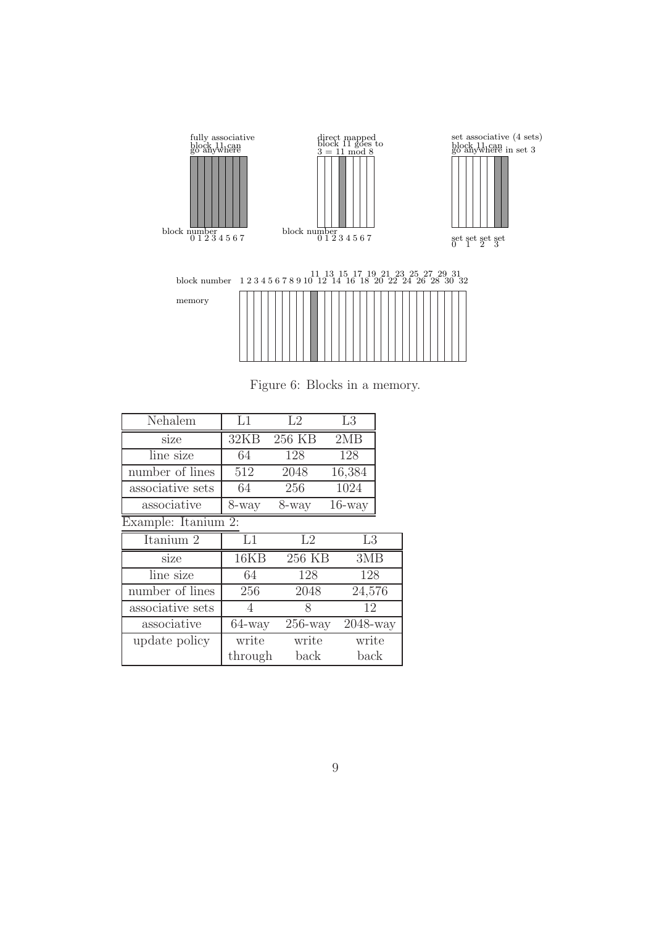

Figure 6: Blocks in a memory.

| Nehalem                             | L1        | L2                           | L3             |  |  |  |
|-------------------------------------|-----------|------------------------------|----------------|--|--|--|
| size                                | 32KB      | 256 KB                       | 2MB            |  |  |  |
| line size                           | 64        | 128                          | 128            |  |  |  |
| number of lines                     | 512       | 2048                         | 16,384         |  |  |  |
| associative sets                    | 64        | 256                          | 1024           |  |  |  |
| associative                         | 8-way     | 8-way                        | $16$ -way      |  |  |  |
| Example: $\bar{\text{It}}$ anium 2: |           |                              |                |  |  |  |
| $\overline{\text{Italian}}$ 2       | L1        | L2                           | L <sub>3</sub> |  |  |  |
| size                                | 16KB      | $256 \overline{\mathrm{KB}}$ | 3MB            |  |  |  |
| line size                           | 64        | 128                          | 128            |  |  |  |
| number of lines                     | 256       | 2048                         | 24,576         |  |  |  |
| associative sets                    | 4         | 8                            | 12             |  |  |  |
| associative                         | $64$ -way | $256$ -way                   | 2048-way       |  |  |  |
| update policy                       | write     | write                        | write          |  |  |  |
|                                     | through   | back                         | back           |  |  |  |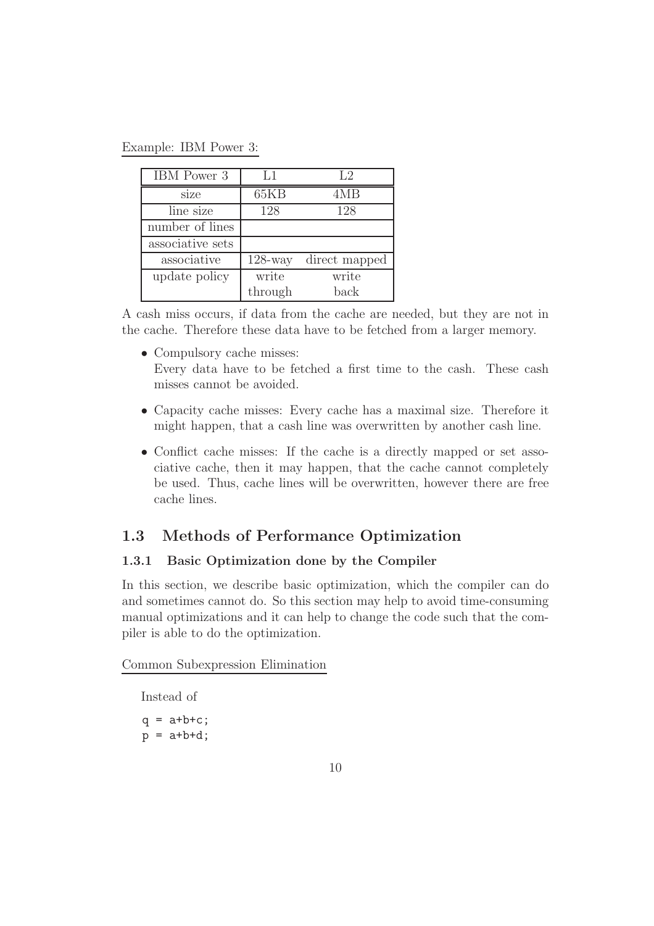Example: IBM Power 3:

| IBM Power 3      | L1         | L2            |
|------------------|------------|---------------|
| size             | 65KB       | 4MB           |
| line size        | 128        | 128           |
| number of lines  |            |               |
| associative sets |            |               |
| associative      | $128$ -way | direct mapped |
| update policy    | write      | write         |
|                  | through    | back          |

A cash miss occurs, if data from the cache are needed, but they are not in the cache. Therefore these data have to be fetched from a larger memory.

- Compulsory cache misses: Every data have to be fetched a first time to the cash. These cash misses cannot be avoided.
- Capacity cache misses: Every cache has a maximal size. Therefore it might happen, that a cash line was overwritten by another cash line.
- Conflict cache misses: If the cache is a directly mapped or set associative cache, then it may happen, that the cache cannot completely be used. Thus, cache lines will be overwritten, however there are free cache lines.

# 1.3 Methods of Performance Optimization

### 1.3.1 Basic Optimization done by the Compiler

In this section, we describe basic optimization, which the compiler can do and sometimes cannot do. So this section may help to avoid time-consuming manual optimizations and it can help to change the code such that the compiler is able to do the optimization.

Common Subexpression Elimination

Instead of

 $q = a+b+c;$  $p = a+b+d;$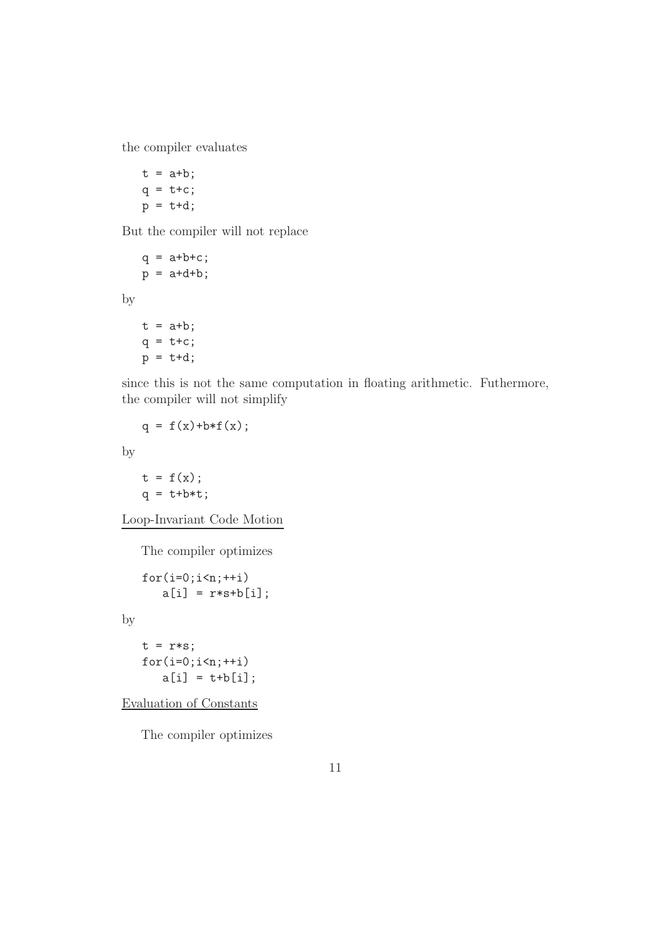the compiler evaluates

 $t = a+b;$  $q = t + c$ ;  $p = t+d;$ 

But the compiler will not replace

```
q = a+b+c;p = a+d+b;t = a+b;q = t + c;
p = t+d;
```
since this is not the same computation in floating arithmetic. Futhermore, the compiler will not simplify

```
q = f(x)+b*f(x);
```
by

by

 $t = f(x)$ :  $q = t + b * t;$ 

Loop-Invariant Code Motion

The compiler optimizes

```
for(i=0; i \le n; ++i)a[i] = r*s + b[i];
```
by

 $t = r*s;$  $for(i=0; i \le n; ++i)$  $a[i] = t + b[i];$ 

Evaluation of Constants

The compiler optimizes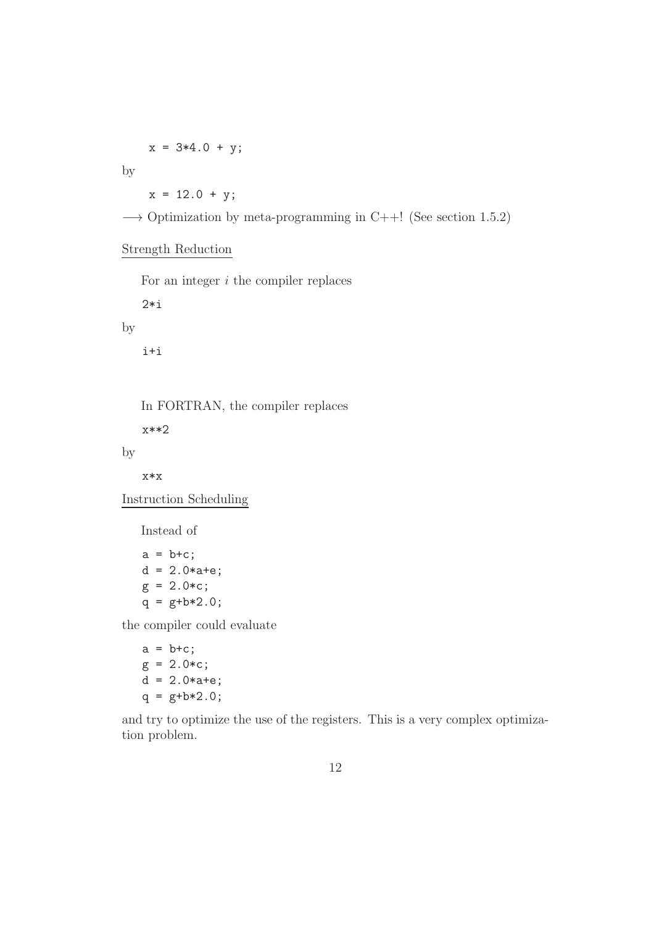$x = 3*4.0 + y;$ 

by

 $x = 12.0 + y;$ 

 $\rightarrow$  Optimization by meta-programming in C++! (See section 1.5.2)

#### Strength Reduction

For an integer  $i$  the compiler replaces

2\*i

by

i+i

In FORTRAN, the compiler replaces

x\*\*2

by

#### x\*x

Instruction Scheduling

Instead of

 $a = b + c$ ;  $d = 2.0*a+e;$  $g = 2.0 * c;$  $q = g+b*2.0;$ 

the compiler could evaluate

a = b+c; g = 2.0\*c; d = 2.0\*a+e; q = g+b\*2.0;

and try to optimize the use of the registers. This is a very complex optimization problem.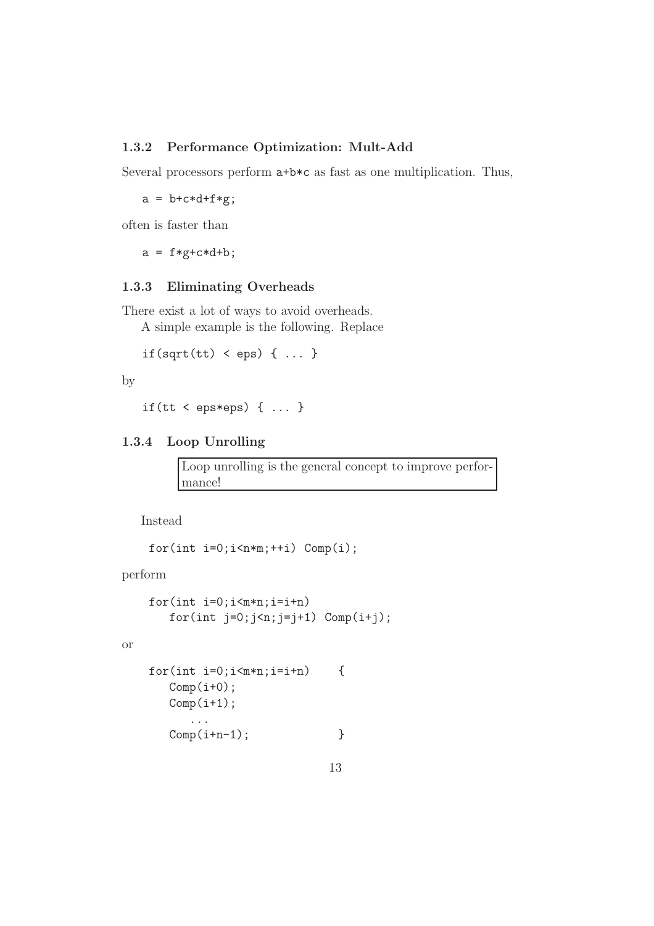#### 1.3.2 Performance Optimization: Mult-Add

Several processors perform a+b\*c as fast as one multiplication. Thus,

 $a = b + c * d + f * g;$ 

often is faster than

 $a = f * g + c * d + b;$ 

#### 1.3.3 Eliminating Overheads

There exist a lot of ways to avoid overheads.

A simple example is the following. Replace

```
if(sqrt(tt) < eps) { ... }
```
by

```
if(tt < eps*eps) \{ \ldots \}
```
#### 1.3.4 Loop Unrolling

Loop unrolling is the general concept to improve performance!

Instead

for(int  $i=0; i \le n*m; ++i$ )  $Comp(i);$ 

perform

or

```
for(int i=0; i\leq m*n; i=i+n)
   for(int j=0;j\leq n;j=j+1) Comp(i+j);
```

```
for(int i=0; i\leq m*n; i=i+n) {
  Comp(i+0);Comp(i+1);...
  Comp(i+n-1); }
```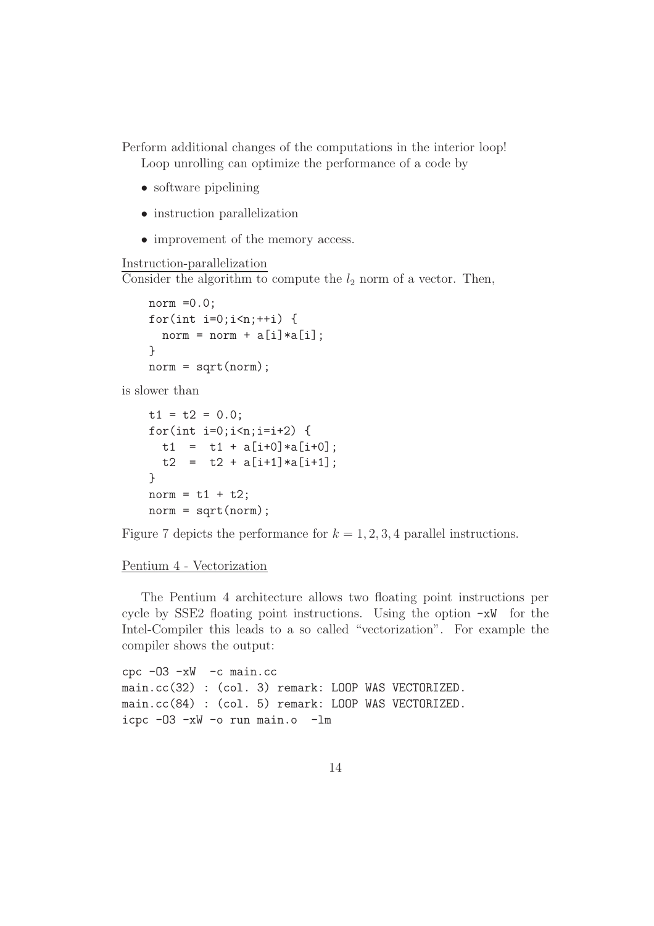Perform additional changes of the computations in the interior loop! Loop unrolling can optimize the performance of a code by

- software pipelining
- instruction parallelization
- improvement of the memory access.

#### Instruction-parallelization

Consider the algorithm to compute the  $l_2$  norm of a vector. Then,

```
norm =0.0;
for(int i=0;i\leq n;+i) {
  norm = norm + a[i]*a[i];}
norm = sqrt(norm);
```
is slower than

```
t1 = t2 = 0.0;
for(int i=0; i \le n; i=i+2) {
  t1 = t1 + a[i+0]*a[i+0];t2 = t2 + a[i+1]*a[i+1];}
norm = t1 + t2;norm = sqrt(norm);
```
Figure 7 depicts the performance for  $k = 1, 2, 3, 4$  parallel instructions.

#### Pentium 4 - Vectorization

The Pentium 4 architecture allows two floating point instructions per cycle by SSE2 floating point instructions. Using the option  $-xW$  for the Intel-Compiler this leads to a so called "vectorization". For example the compiler shows the output:

```
cpc -O3 -xW -c main.cc
main.cc(32) : (col. 3) remark: LOOP WAS VECTORIZED.
main.cc(84) : (col. 5) remark: LOOP WAS VECTORIZED.
icpc -O3 -xW -o run main.o -lm
```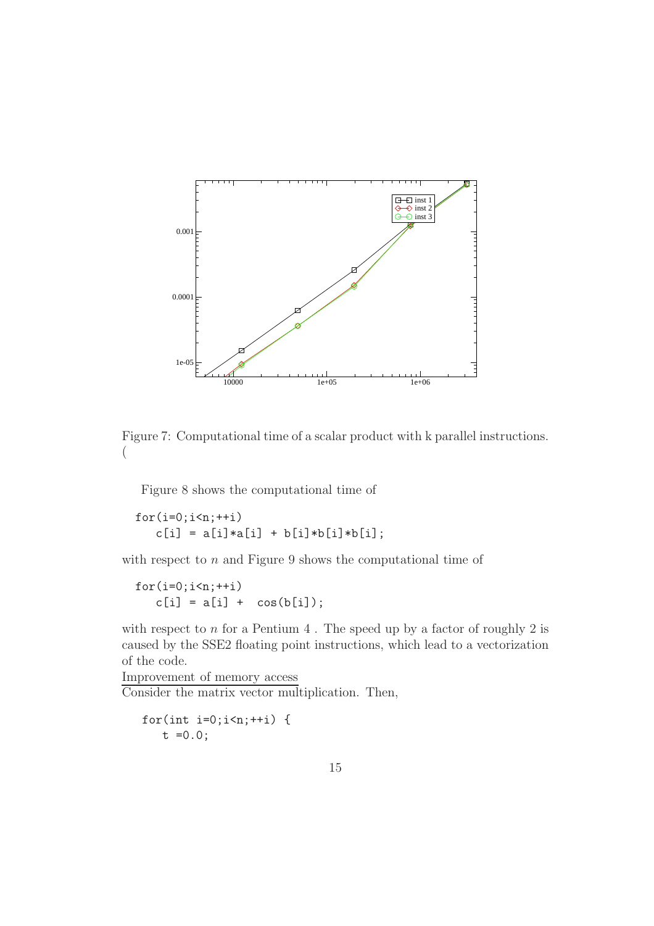

Figure 7: Computational time of a scalar product with k parallel instructions. (

Figure 8 shows the computational time of

```
for(i=0; i \le n; ++i)c[i] = a[i]*a[i] + b[i]*b[i]*b[i];
```
with respect to  $n$  and Figure 9 shows the computational time of

```
for(i=0; i \le n; ++i)c[i] = a[i] + cos(b[i]);
```
with respect to  $n$  for a Pentium 4. The speed up by a factor of roughly 2 is caused by the SSE2 floating point instructions, which lead to a vectorization of the code.

Improvement of memory access Consider the matrix vector multiplication. Then,

```
for(int i=0;i\leq n;+i) {
   t = 0.0;
```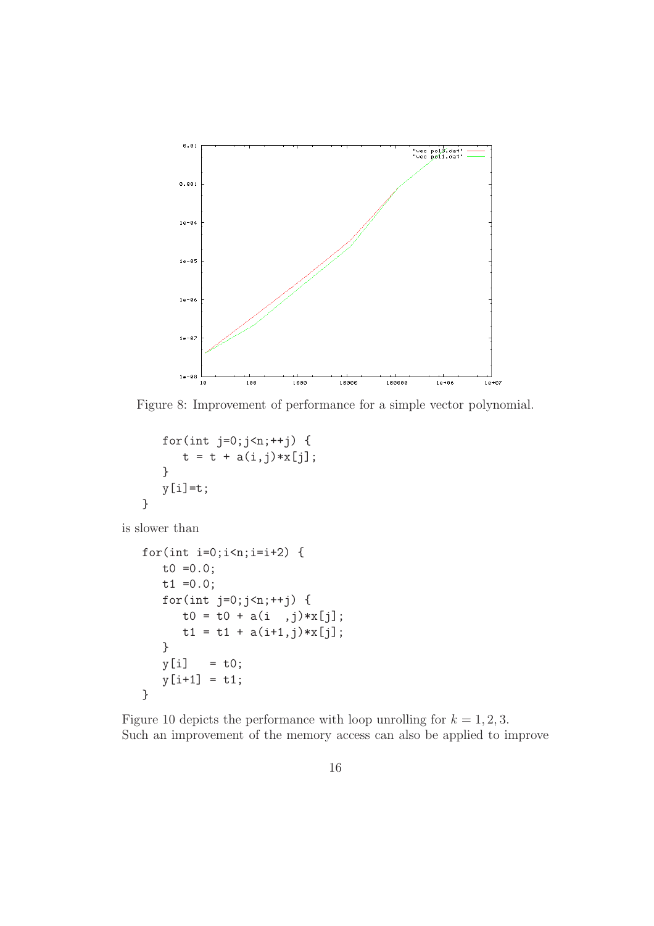

Figure 8: Improvement of performance for a simple vector polynomial.

```
for(int j=0;j\leq n;++j) {
      t = t + a(i, j) * x[j];}
   y[i]=t;}
```
is slower than

```
for(int i=0; i \le n; i=i+2) {
   t0 =0.0;
   t1 = 0.0;
   for(int j=0;j\leq n;++j) {
      t0 = t0 + a(i, j) * x[j];t1 = t1 + a(i+1,j) * x[j];}
   y[i] = t0;y[i+1] = t1;}
```
Figure 10 depicts the performance with loop unrolling for  $k = 1, 2, 3$ . Such an improvement of the memory access can also be applied to improve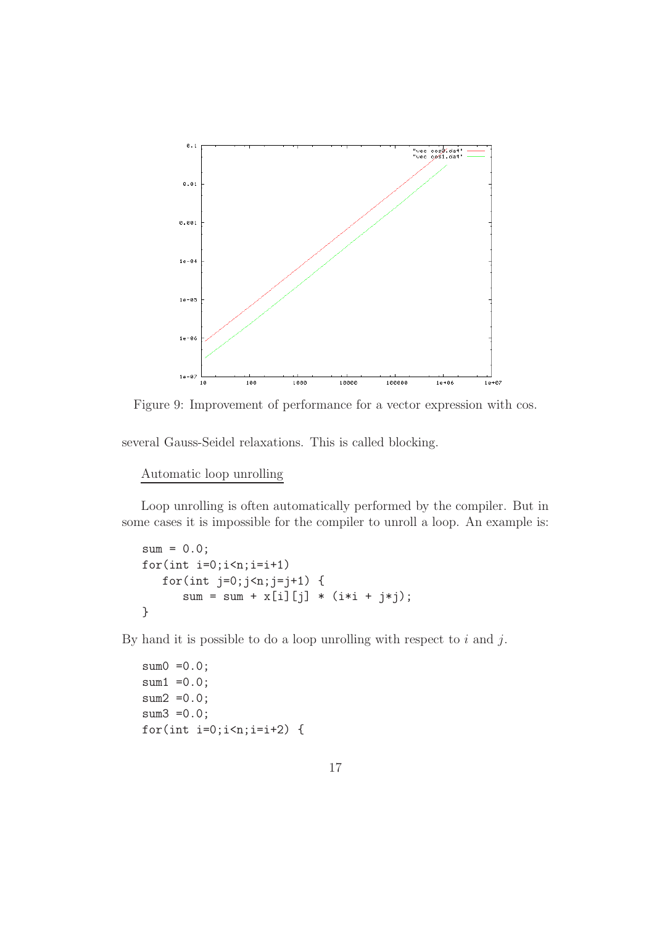

Figure 9: Improvement of performance for a vector expression with cos.

several Gauss-Seidel relaxations. This is called blocking.

Automatic loop unrolling

Loop unrolling is often automatically performed by the compiler. But in some cases it is impossible for the compiler to unroll a loop. An example is:

```
sum = 0.0;
for(int i=0; i < n; i=i+1)for(int j=0; j\le n; j=j+1) {
      sum = sum + x[i][j] * (i * i + j * j);}
```
By hand it is possible to do a loop unrolling with respect to  $i$  and  $j$ .

```
sum0 = 0.0;
sum1 = 0.0;
sum2 =0.0;
sum3 =0.0;
for(int i=0; i \le n; i=i+2) {
```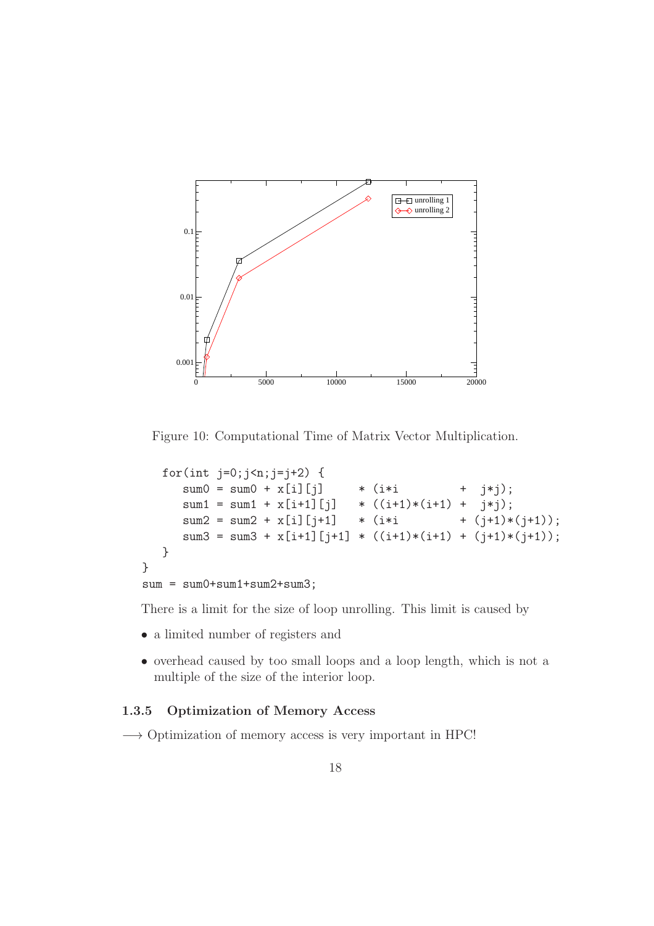

Figure 10: Computational Time of Matrix Vector Multiplication.

```
for(int j=0;j\leq n;j=j+2) {
     sum0 = sum0 + x[i][j] * (i*i + j*j);
     sum1 = sum1 + x[i+1][j] * ((i+1)*(i+1) + j*j);sum2 = sum2 + x[i][j+1] * (i*i + (j+1)*(j+1));
     sum3 = sum3 + x[i+1][i+1] * ((i+1)*(i+1) + (i+1)*(i+1));}
}
sum = sum0+sum1+sum2+sum3;
```
There is a limit for the size of loop unrolling. This limit is caused by

- a limited number of registers and
- overhead caused by too small loops and a loop length, which is not a multiple of the size of the interior loop.

#### 1.3.5 Optimization of Memory Access

−→ Optimization of memory access is very important in HPC!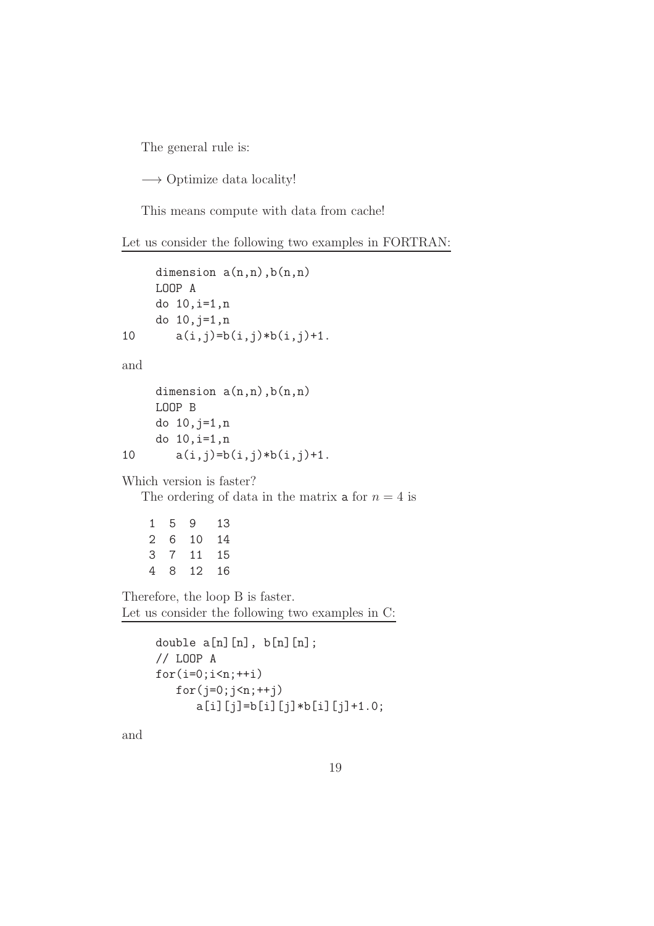The general rule is:

−→ Optimize data locality!

This means compute with data from cache!

Let us consider the following two examples in FORTRAN:

```
dimension a(n,n), b(n,n)LOOP A
    do 10,i=1,n
    do 10,j=1,n
10 a(i,j)=b(i,j)*b(i,j)+1.
and
     dimension a(n,n), b(n,n)LOOP B
    do 10,j=1,n
    do 10,i=1,n
10 a(i,j)=b(i,j)*b(i,j)+1.
Which version is faster?
  The ordering of data in the matrix a for n = 4 is
    1 5 9 13
   2 6 10 14
    3 7 11 15
    4 8 12 16
```
Therefore, the loop B is faster. Let us consider the following two examples in C:

```
double a[n][n], b[n][n];
// LOOP A
for(i=0;i\leq n;++i)for(j=0; j \le n; ++j)
      a[i][j]=b[i][j]*b[i][j]+1.0;
```
and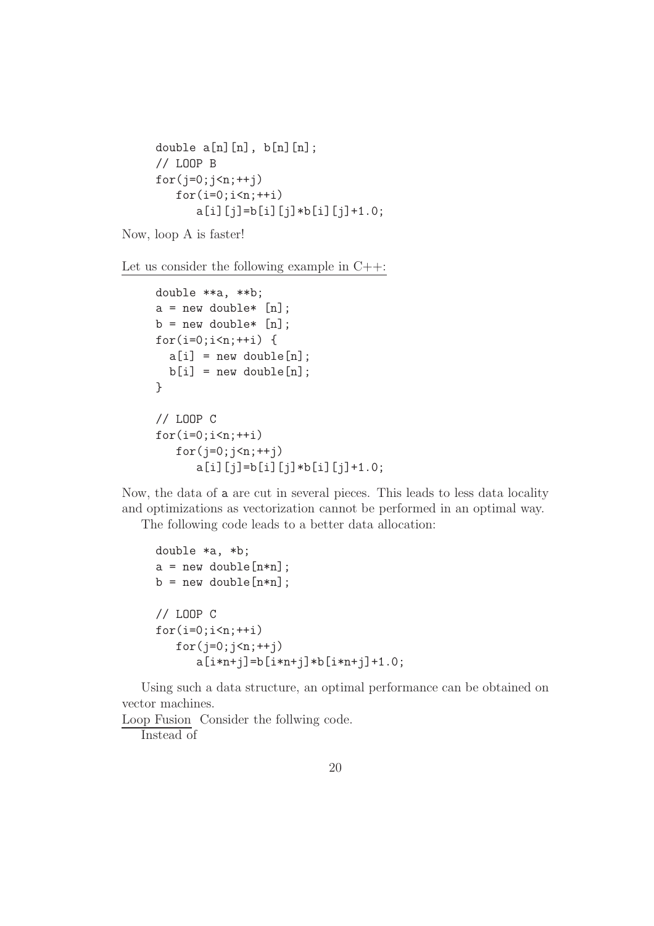```
double a[n][n], b[n][n];
// LOOP B
for(j=0; j \le n; ++j)
   for(i=0;i\leq n;++i)a[i][j]=b[i][j]*b[i][j]+1.0;
```
Now, loop A is faster!

Let us consider the following example in C++:

```
double **a, **b;
a = new double* [n];b = new double* [n];for(i=0;i<n;++i) {
  a[i] = new double[n];
  b[i] = new double[n];
}
// LOOP C
for(i=0; i \le n; ++i)for(j=0; j \le n;++j)
      a[i][j]=b[i][j]*b[i][j]+1.0;
```
Now, the data of a are cut in several pieces. This leads to less data locality and optimizations as vectorization cannot be performed in an optimal way.

The following code leads to a better data allocation:

```
double *a, *b;
a = new double[n*n];b = new double[n*n];// LOOP C
for(i=0; i \le n; ++i)for(i=0; i \le n; ++i)a[i*n+j]=b[i*n+j]*b[i*n+j]+1.0;
```
Using such a data structure, an optimal performance can be obtained on vector machines.

Loop Fusion Consider the follwing code. Instead of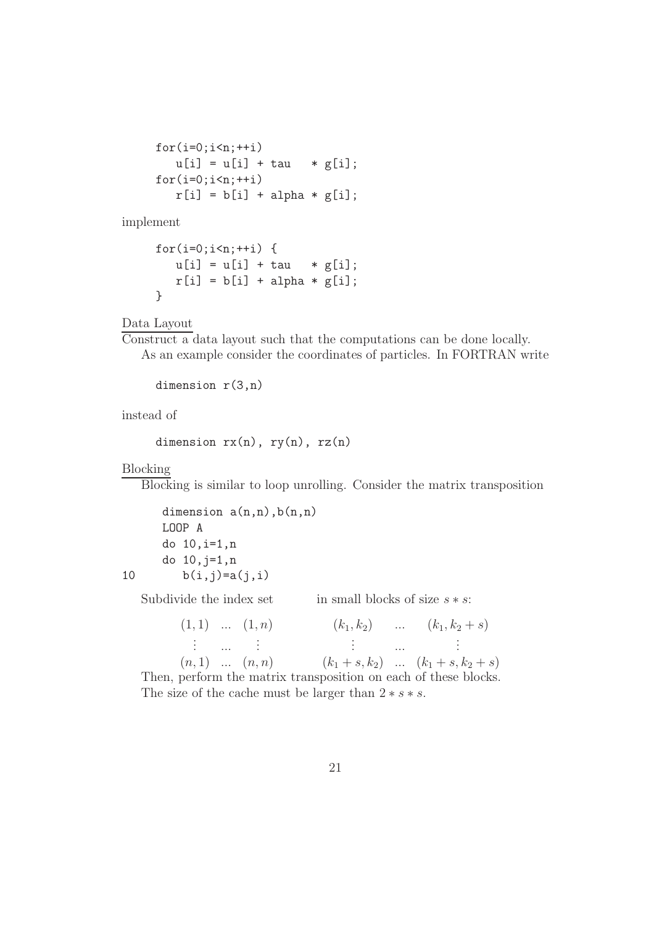```
for(i=0; i < n; ++i)u[i] = u[i] + tau * g[i];for(i=0;i\leq n;++i)r[i] = b[i] + alpha * g[i];
```
implement

$$
for(i=0;i
$$

Data Layout

Construct a data layout such that the computations can be done locally. As an example consider the coordinates of particles. In FORTRAN write

```
dimension r(3,n)
```
instead of

```
dimension rx(n), ry(n), rz(n)
```
Blocking

Blocking is similar to loop unrolling. Consider the matrix transposition

dimension  $a(n,n)$ ,  $b(n,n)$ LOOP A do 10,i=1,n do 10,j=1,n 10  $b(i,j)=a(j,i)$ 

Subdivide the index set in small blocks of size  $s * s$ :

| $(1,1)$ $(1,n)$ |  |                                                                 | $(k_1, k_2)$ $(k_1, k_2 + s)$ |
|-----------------|--|-----------------------------------------------------------------|-------------------------------|
|                 |  |                                                                 |                               |
|                 |  | $(n,1)$ $(n,n)$ $(k_1+s,k_2)$ $(k_1+s,k_2+s)$                   |                               |
|                 |  | Then, perform the matrix transposition on each of these blocks. |                               |

The size of the cache must be larger than  $2 * s * s$ .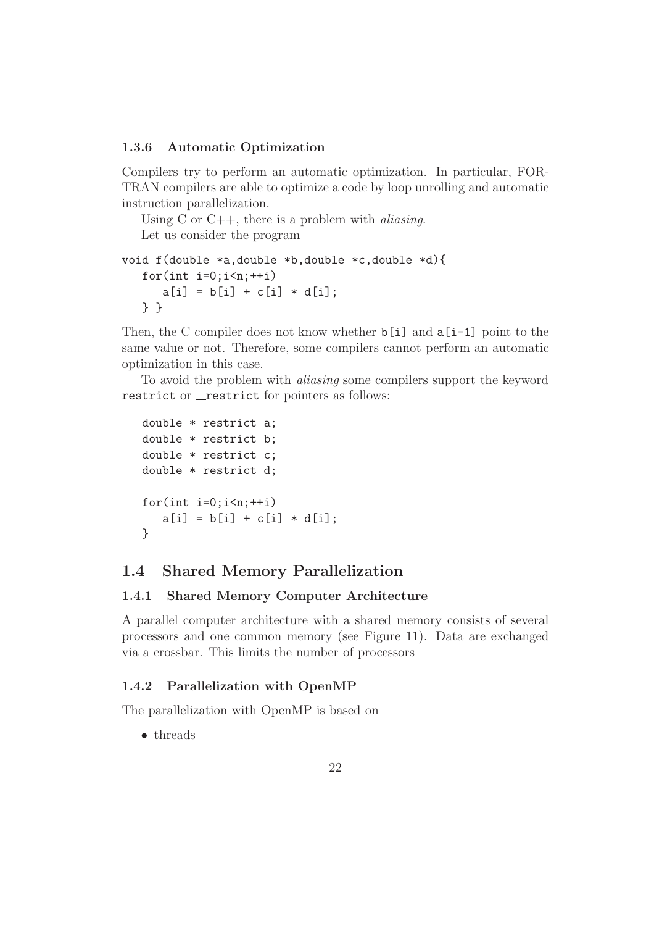#### 1.3.6 Automatic Optimization

Compilers try to perform an automatic optimization. In particular, FOR-TRAN compilers are able to optimize a code by loop unrolling and automatic instruction parallelization.

Using C or  $C_{++}$ , there is a problem with *aliasing*.

Let us consider the program

```
void f(double *a,double *b,double *c,double *d){
   for(int i=0; i \le n;++i)a[i] = b[i] + c[i] * d[i];} }
```
Then, the C compiler does not know whether  $\mathfrak{b}[i]$  and  $\mathfrak{a}[i-1]$  point to the same value or not. Therefore, some compilers cannot perform an automatic optimization in this case.

To avoid the problem with aliasing some compilers support the keyword restrict or **\_restrict** for pointers as follows:

```
double * restrict a;
double * restrict b;
double * restrict c;
double * restrict d;
for(int i=0;i\leq n;i+i)
   a[i] = b[i] + c[i] * d[i];}
```
## 1.4 Shared Memory Parallelization

#### 1.4.1 Shared Memory Computer Architecture

A parallel computer architecture with a shared memory consists of several processors and one common memory (see Figure 11). Data are exchanged via a crossbar. This limits the number of processors

#### 1.4.2 Parallelization with OpenMP

The parallelization with OpenMP is based on

• threads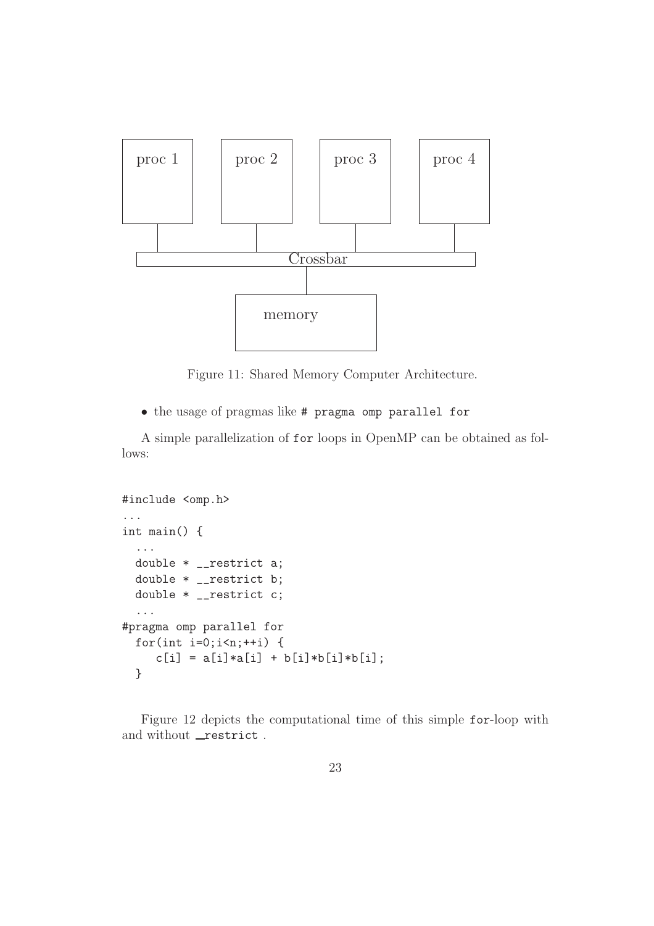

Figure 11: Shared Memory Computer Architecture.

• the usage of pragmas like # pragma omp parallel for

A simple parallelization of for loops in OpenMP can be obtained as follows:

```
#include <omp.h>
...
int main() {
  ...
  double * __restrict a;
  double * __restrict b;
  double * __restrict c;
  ...
#pragma omp parallel for
  for(int i=0;i\leq n;+i) {
     c[i] = a[i]*a[i] + b[i]*b[i]*b[i];}
```
Figure 12 depicts the computational time of this simple for-loop with and without \_restrict.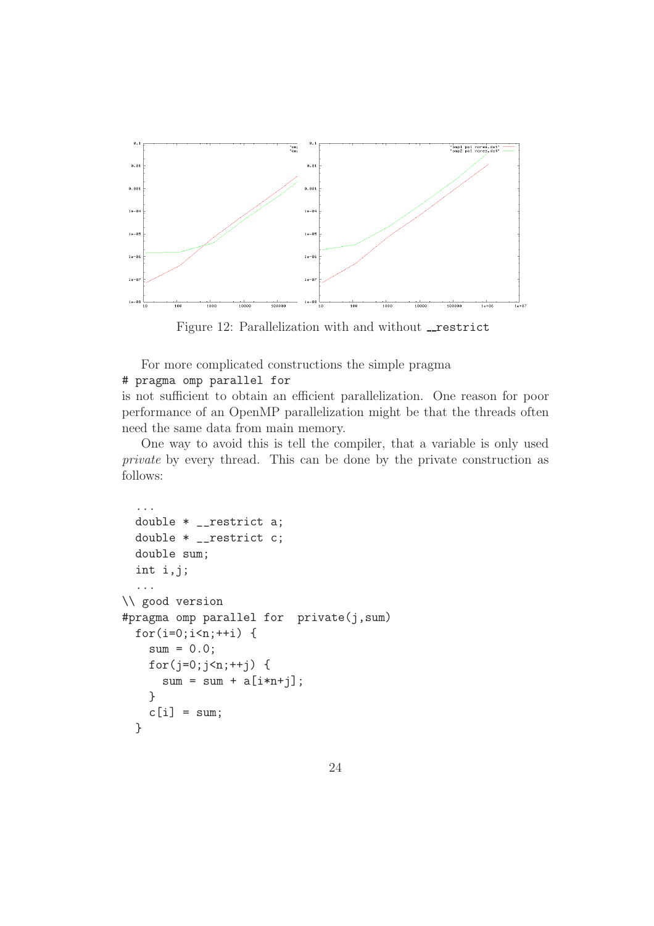

Figure 12: Parallelization with and without restrict

For more complicated constructions the simple pragma

### # pragma omp parallel for

is not sufficient to obtain an efficient parallelization. One reason for poor performance of an OpenMP parallelization might be that the threads often need the same data from main memory.

One way to avoid this is tell the compiler, that a variable is only used private by every thread. This can be done by the private construction as follows:

```
...
  double * __restrict a;
  double * __restrict c;
  double sum;
  int i,j;
  ...
\\ good version
#pragma omp parallel for private(j,sum)
  for(i=0;i<n;++i) {
    sum = 0.0;
    for(j=0;j<n;++j) {
      sum = sum + a[i*n+j];}
    c[i] = sum;}
```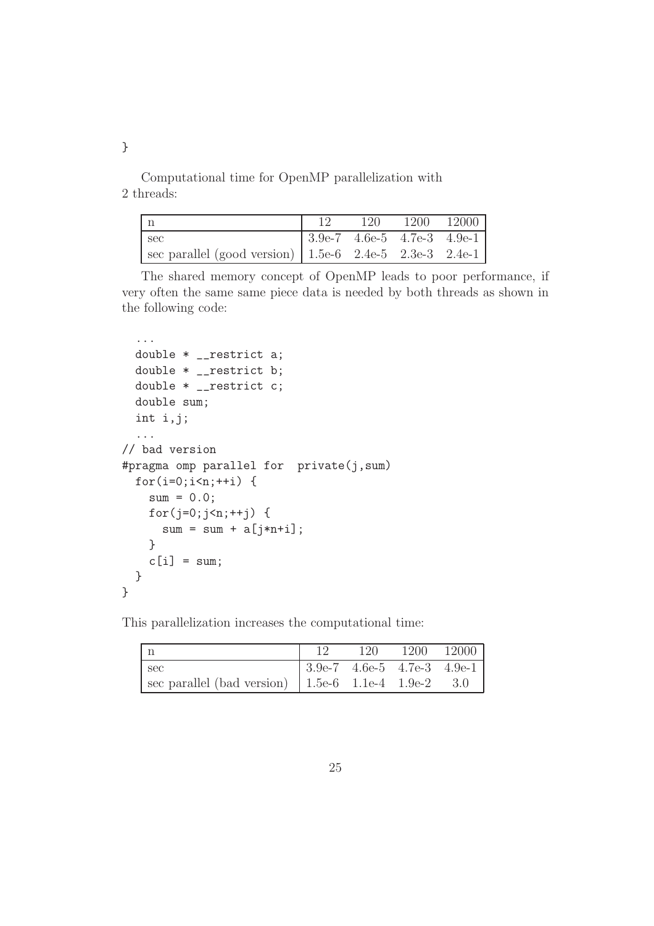}

Computational time for OpenMP parallelization with 2 threads:

|                                                             |                                       | 120 1200 12000 |  |
|-------------------------------------------------------------|---------------------------------------|----------------|--|
| l sec                                                       | $ 3.9e-7 \t4.6e-5 \t4.7e-3 \t4.9e-1 $ |                |  |
| sec parallel (good version)   $1.5e-6$ 2.4e-5 2.3e-3 2.4e-1 |                                       |                |  |

The shared memory concept of OpenMP leads to poor performance, if very often the same same piece data is needed by both threads as shown in the following code:

```
...
  double * __restrict a;
 double * __restrict b;
  double * __restrict c;
  double sum;
  int i,j;
  ...
// bad version
#pragma omp parallel for private(j,sum)
  for(i=0;i\leq n;++i) {
    sum = 0.0;
    for(j=0;j\leq n;++j) {
      sum = sum + a[j*n+i];}
    c[i] = sum;}
}
```
This parallelization increases the computational time:

| l n                                                     |                                                  | 120 | 1200 12000 |  |
|---------------------------------------------------------|--------------------------------------------------|-----|------------|--|
| sec                                                     | $ 3.9e-7 \quad 4.6e-5 \quad 4.7e-3 \quad 4.9e-1$ |     |            |  |
| sec parallel (bad version) $  1.5e-6 1.1e-4 1.9e-2 3.0$ |                                                  |     |            |  |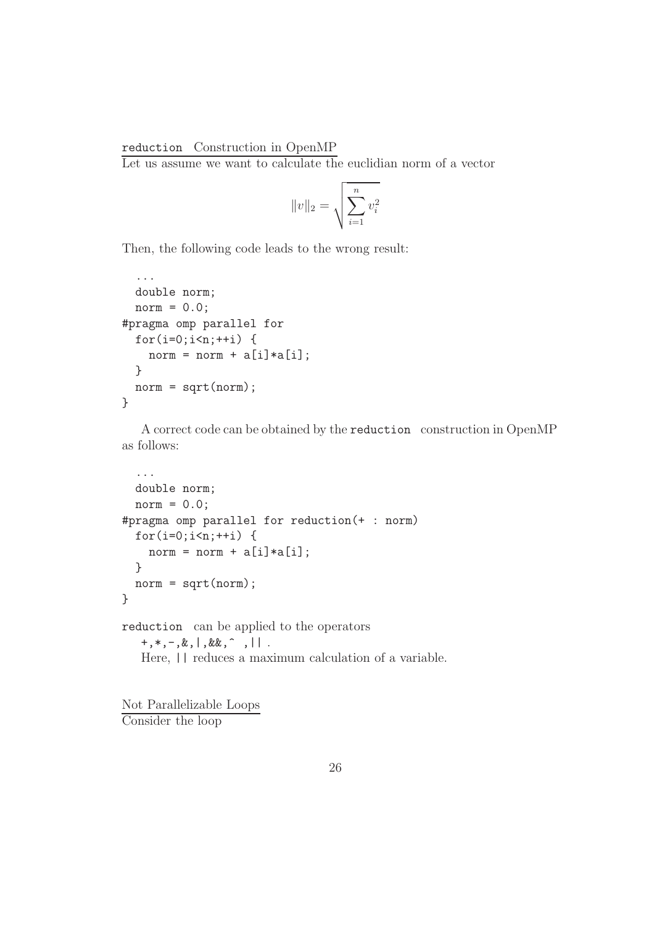#### reduction Construction in OpenMP

Let us assume we want to calculate the euclidian norm of a vector

$$
||v||_2 = \sqrt{\sum_{i=1}^{n} v_i^2}
$$

Then, the following code leads to the wrong result:

```
...
  double norm;
 norm = 0.0;
#pragma omp parallel for
 for(i=0;i<n;++i) {
   norm = norm + a[i]*a[i];}
 norm = sqrt(norm);}
```
A correct code can be obtained by the reduction construction in OpenMP as follows:

```
...
  double norm;
  norm = 0.0;
#pragma omp parallel for reduction(+ : norm)
  for(i=0;i<n;++i) {
    norm = norm + a[i]*a[i];}
  norm = sqrt(norm);}
reduction can be applied to the operators
   +, *, -, &, | , & &, , ^Here, || reduces a maximum calculation of a variable.
```
Not Parallelizable Loops Consider the loop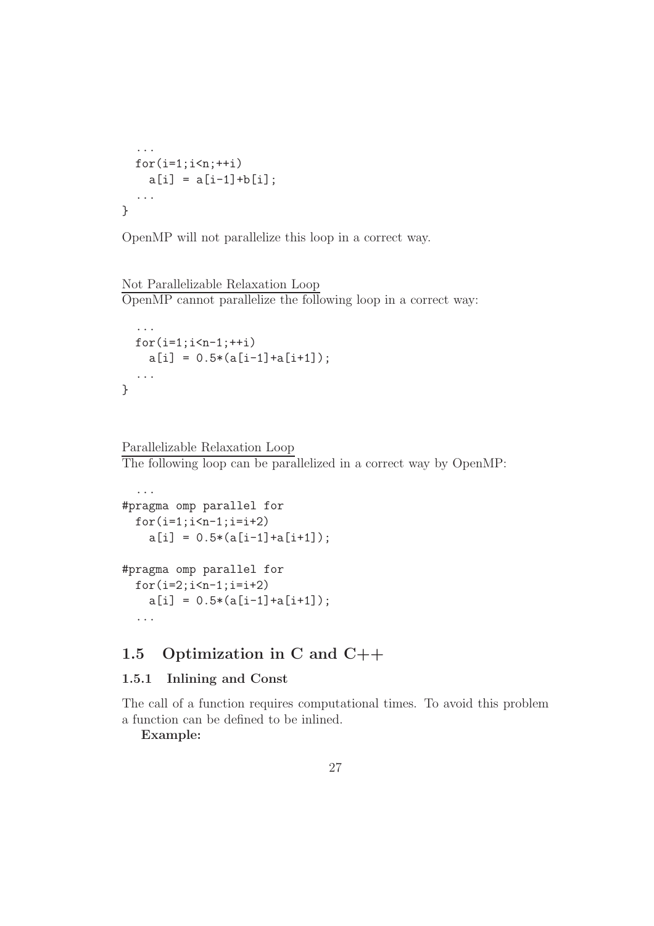```
...
  for(i=1;i\leq n;++i)a[i] = a[i-1]+b[i];...
}
```


#### Not Parallelizable Relaxation Loop OpenMP cannot parallelize the following loop in a correct way:

```
...
 for(i=1;i < n-1;++i)a[i] = 0.5*(a[i-1]+a[i+1]);...
}
```
## Parallelizable Relaxation Loop

The following loop can be parallelized in a correct way by OpenMP:

```
...
#pragma omp parallel for
  for(i=1;i=n-1;i=i+2)a[i] = 0.5*(a[i-1]+a[i+1]);#pragma omp parallel for
  for(i=2; i \le n-1; i=i+2)a[i] = 0.5*(a[i-1]+a[i+1]);...
```
# 1.5 Optimization in C and C++

## 1.5.1 Inlining and Const

The call of a function requires computational times. To avoid this problem a function can be defined to be inlined.

Example: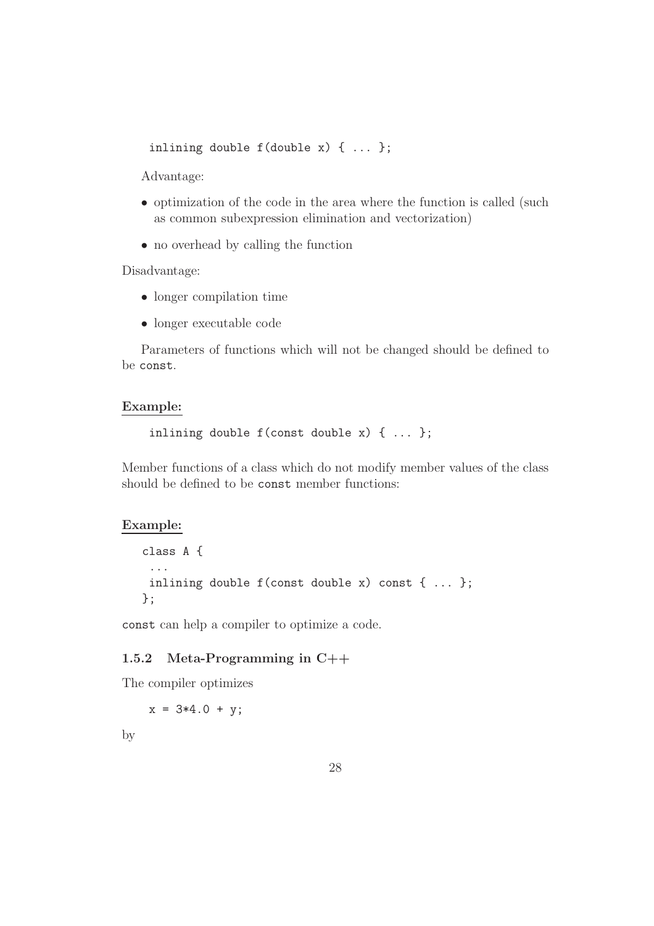```
inlining double f(double x) { ... };
```
Advantage:

- optimization of the code in the area where the function is called (such as common subexpression elimination and vectorization)
- no overhead by calling the function

Disadvantage:

- longer compilation time
- longer executable code

Parameters of functions which will not be changed should be defined to be const.

#### Example:

inlining double f(const double x) { ... };

Member functions of a class which do not modify member values of the class should be defined to be const member functions:

#### Example:

```
class A {
 ...
 inlining double f(const double x) const { ... };
};
```
const can help a compiler to optimize a code.

#### 1.5.2 Meta-Programming in C++

The compiler optimizes

 $x = 3*4.0 + y;$ 

by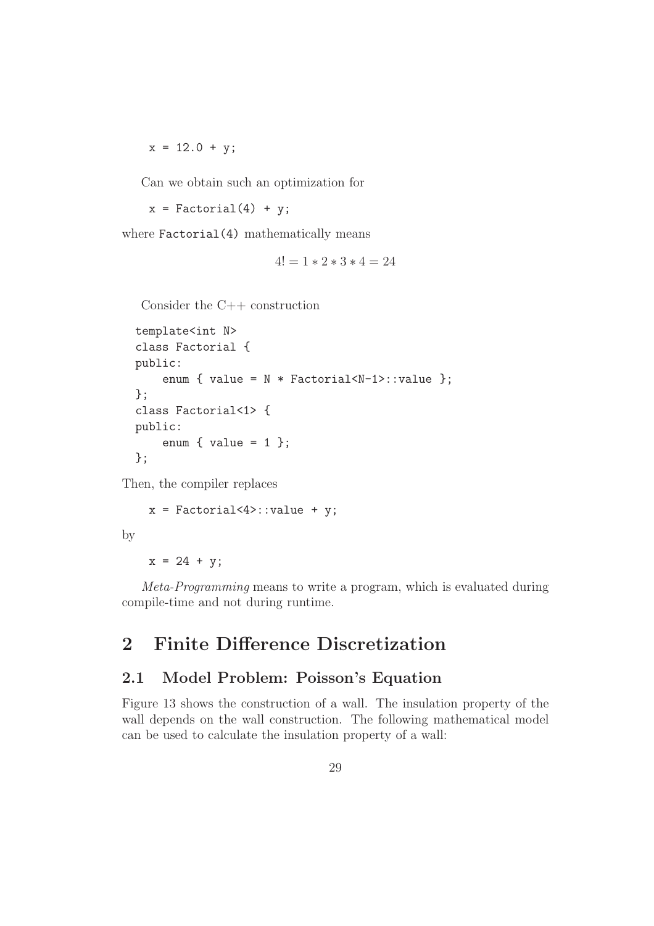$x = 12.0 + y;$ 

Can we obtain such an optimization for

 $x = Factorial(4) + y;$ 

where Factorial(4) mathematically means

$$
4! = 1 * 2 * 3 * 4 = 24
$$

Consider the C++ construction

```
template<int N>
class Factorial {
public:
    enum { value = N * Factorial < N-1): value };
};
class Factorial<1> {
public:
    enum { value = 1 };
};
```
Then, the compiler replaces

 $x = Factorial < 4$  :: value + y;

by

 $x = 24 + y$ ;

Meta-Programming means to write a program, which is evaluated during compile-time and not during runtime.

# 2 Finite Difference Discretization

# 2.1 Model Problem: Poisson's Equation

Figure 13 shows the construction of a wall. The insulation property of the wall depends on the wall construction. The following mathematical model can be used to calculate the insulation property of a wall: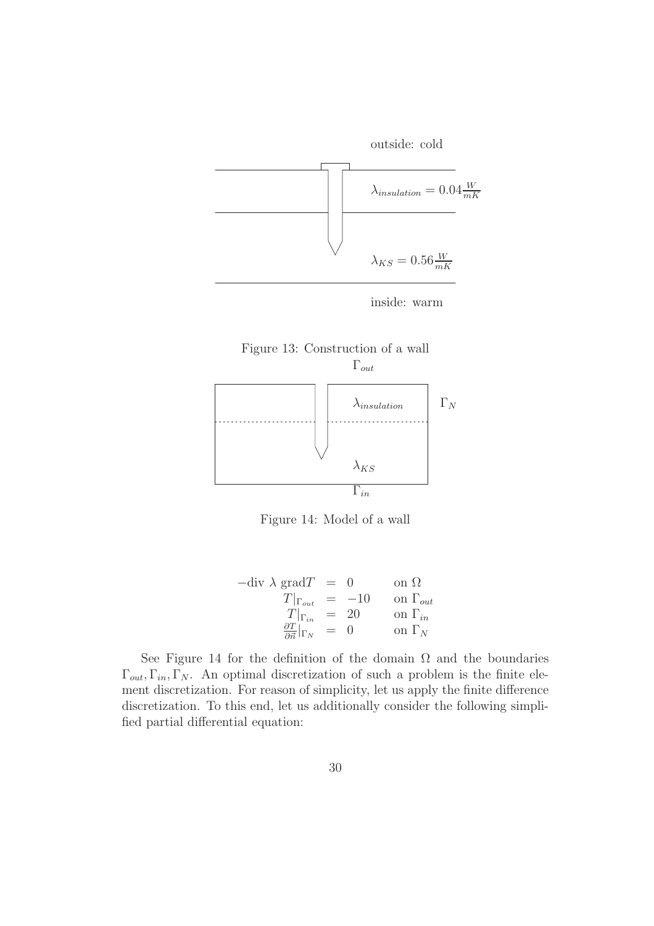







Figure 14: Model of a wall

| $-\text{div }\lambda \text{ grad}T =$             |        | $\left( \right)$ | on $\Omega$       |
|---------------------------------------------------|--------|------------------|-------------------|
| $T _{\Gamma_{out}} = -10$                         |        |                  | on $\Gamma_{out}$ |
| $T _{\Gamma_{in}}$                                | $= 20$ |                  | on $\Gamma_{in}$  |
| $\frac{\partial T}{\partial \vec{n}} _{\Gamma_N}$ | $=$    | $\left( \right)$ | on $\Gamma_N$     |

See Figure 14 for the definition of the domain  $\Omega$  and the boundaries  $\Gamma_{out}, \Gamma_{in}, \Gamma_N$ . An optimal discretization of such a problem is the finite element discretization. For reason of simplicity, let us apply the finite difference discretization. To this end, let us additionally consider the following simplified partial differential equation: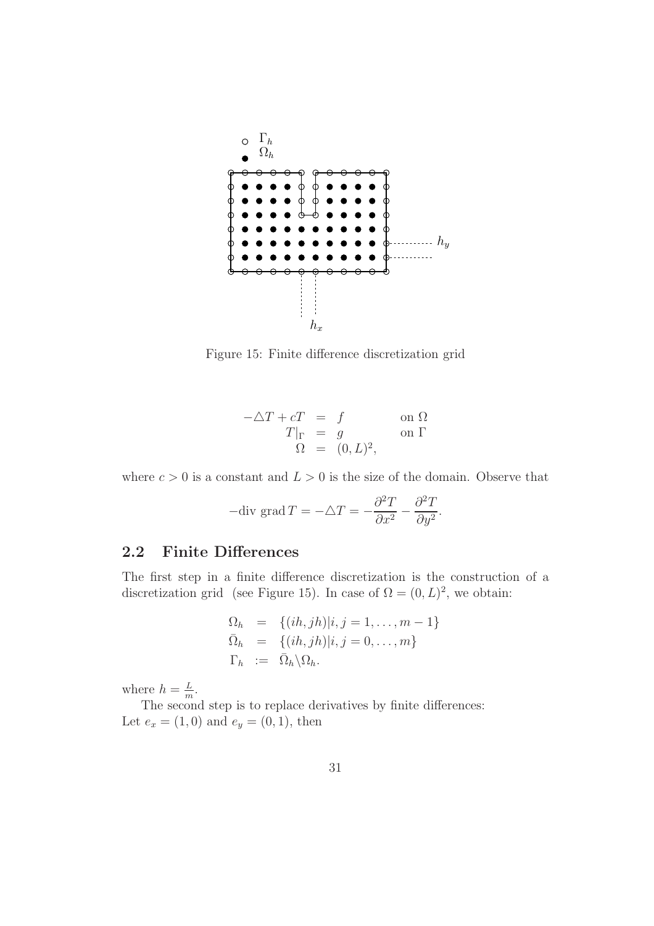

Figure 15: Finite difference discretization grid

$$
-\Delta T + cT = f \qquad \text{on } \Omega
$$
  
\n
$$
T|_{\Gamma} = g \qquad \text{on } \Gamma
$$
  
\n
$$
\Omega = (0, L)^2,
$$

where  $c > 0$  is a constant and  $L > 0$  is the size of the domain. Observe that

-div grad 
$$
T = -\Delta T = -\frac{\partial^2 T}{\partial x^2} - \frac{\partial^2 T}{\partial y^2}
$$
.

# 2.2 Finite Differences

The first step in a finite difference discretization is the construction of a discretization grid (see Figure 15). In case of  $\Omega = (0, L)^2$ , we obtain:

$$
\Omega_h = \{(ih, jh)|i, j = 1, \dots, m-1\}
$$
  
\n
$$
\overline{\Omega}_h = \{(ih, jh)|i, j = 0, \dots, m\}
$$
  
\n
$$
\Gamma_h := \overline{\Omega}_h \backslash \Omega_h.
$$

where  $h = \frac{L}{m}$  $\frac{L}{m}$ .

The second step is to replace derivatives by finite differences: Let  $e_x = (1, 0)$  and  $e_y = (0, 1)$ , then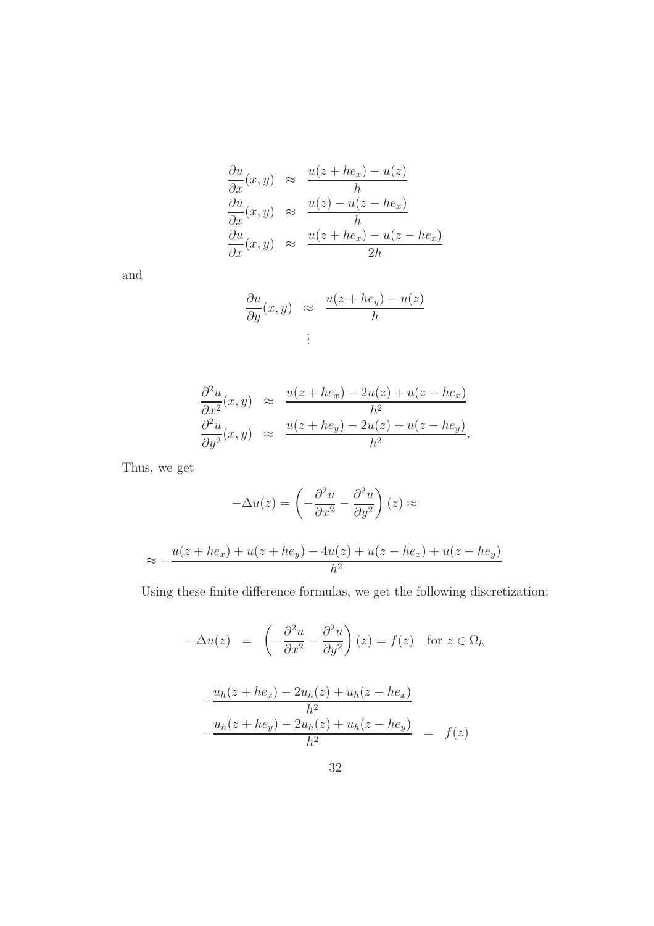$$
\frac{\partial u}{\partial x}(x, y) \approx \frac{u(z + he_x) - u(z)}{h}
$$
  
\n
$$
\frac{\partial u}{\partial x}(x, y) \approx \frac{u(z) - u(z - he_x)}{h}
$$
  
\n
$$
\frac{\partial u}{\partial x}(x, y) \approx \frac{u(z + he_x) - u(z - he_x)}{2h}
$$

and

$$
\frac{\partial u}{\partial y}(x, y) \approx \frac{u(z + he_y) - u(z)}{h}
$$
  
:

$$
\frac{\partial^2 u}{\partial x^2}(x, y) \approx \frac{u(z + he_x) - 2u(z) + u(z - he_x)}{h^2}
$$
  

$$
\frac{\partial^2 u}{\partial y^2}(x, y) \approx \frac{u(z + he_y) - 2u(z) + u(z - he_y)}{h^2}.
$$

Thus, we get

$$
-\Delta u(z) = \left(-\frac{\partial^2 u}{\partial x^2} - \frac{\partial^2 u}{\partial y^2}\right)(z) \approx
$$
  

$$
\approx -\frac{u(z + he_x) + u(z + he_y) - 4u(z) + u(z - he_x) + u(z - he_y)}{h^2}
$$

Using these finite difference formulas, we get the following discretization:

$$
-\Delta u(z) = \left(-\frac{\partial^2 u}{\partial x^2} - \frac{\partial^2 u}{\partial y^2}\right)(z) = f(z) \text{ for } z \in \Omega_h
$$

$$
-\frac{u_h(z + he_x) - 2u_h(z) + u_h(z - he_x)}{h^2}
$$

$$
-\frac{u_h(z + he_y) - 2u_h(z) + u_h(z - he_y)}{h^2} = f(z)
$$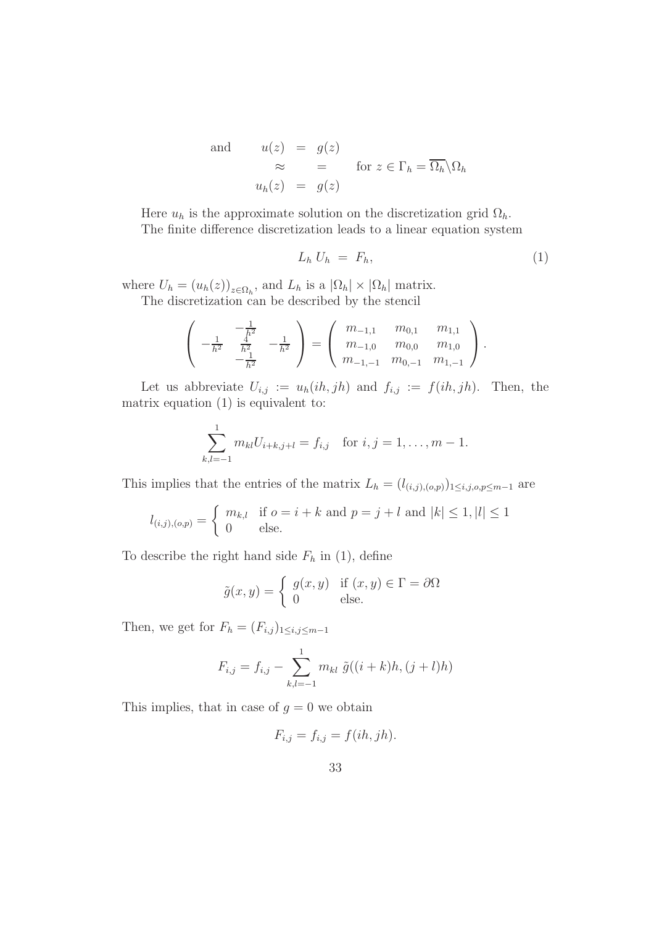and 
$$
u(z) = g(z)
$$
  
\n $\approx = \text{ for } z \in \Gamma_h = \overline{\Omega_h} \setminus \Omega_h$   
\n $u_h(z) = g(z)$ 

Here  $u_h$  is the approximate solution on the discretization grid  $\Omega_h$ . The finite difference discretization leads to a linear equation system

$$
L_h U_h = F_h,\tag{1}
$$

where  $U_h = (u_h(z))_{z \in \Omega_h}$ , and  $L_h$  is a  $|\Omega_h| \times |\Omega_h|$  matrix. The discretization can be described by the stencil

$$
\left(\begin{array}{cc} -\frac{1}{h^2} & -\frac{1}{h^2} \\ -\frac{1}{h^2} & \frac{1}{h^2} \\ -\frac{1}{h^2} & \end{array}\right) = \left(\begin{array}{ccc} m_{-1,1} & m_{0,1} & m_{1,1} \\ m_{-1,0} & m_{0,0} & m_{1,0} \\ m_{-1,-1} & m_{0,-1} & m_{1,-1} \end{array}\right).
$$

Let us abbreviate  $U_{i,j} := u_h(ih, jh)$  and  $f_{i,j} := f(ih, jh)$ . Then, the matrix equation (1) is equivalent to:

$$
\sum_{k,l=-1}^{1} m_{kl} U_{i+k,j+l} = f_{i,j} \text{ for } i,j = 1,\ldots,m-1.
$$

This implies that the entries of the matrix  $L_h = (l_{(i,j),(o,p)})_{1 \leq i,j,o,p \leq m-1}$  are

$$
l_{(i,j),(o,p)} = \begin{cases} m_{k,l} & \text{if } o = i + k \text{ and } p = j + l \text{ and } |k| \le 1, |l| \le 1\\ 0 & \text{else.} \end{cases}
$$

To describe the right hand side  $F_h$  in (1), define

$$
\tilde{g}(x, y) = \begin{cases} g(x, y) & \text{if } (x, y) \in \Gamma = \partial \Omega \\ 0 & \text{else.} \end{cases}
$$

Then, we get for  $F_h = (F_{i,j})_{1 \leq i,j \leq m-1}$ 

$$
F_{i,j} = f_{i,j} - \sum_{k,l=-1}^{1} m_{kl} \tilde{g}((i+k)h, (j+l)h)
$$

This implies, that in case of  $g = 0$  we obtain

$$
F_{i,j} = f_{i,j} = f(ih, jh).
$$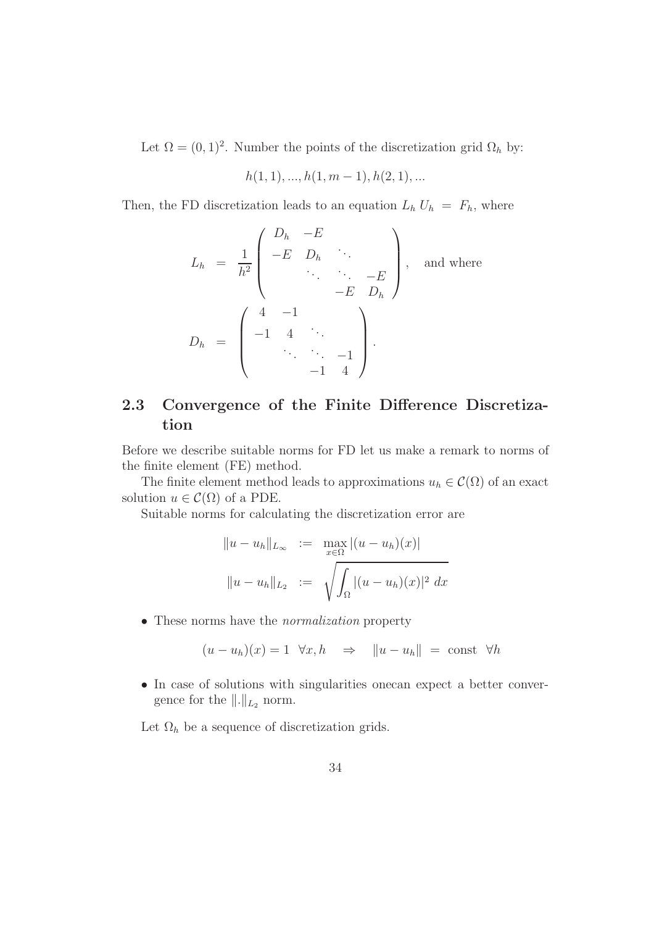Let  $\Omega = (0, 1)^2$ . Number the points of the discretization grid  $\Omega_h$  by:

$$
h(1,1),...,h(1,m-1),h(2,1),...
$$

Then, the FD discretization leads to an equation  $L_h U_h = F_h$ , where

$$
L_h = \frac{1}{h^2} \begin{pmatrix} D_h & -E & & & \\ -E & D_h & \ddots & & \\ & \ddots & \ddots & -E & \\ & & -E & D_h \end{pmatrix}, \text{ and where}
$$

$$
D_h = \begin{pmatrix} 4 & -1 & & \\ -1 & 4 & \ddots & \\ & \ddots & \ddots & -1 & \\ & & -1 & 4 \end{pmatrix}.
$$

# 2.3 Convergence of the Finite Difference Discretization

Before we describe suitable norms for FD let us make a remark to norms of the finite element (FE) method.

The finite element method leads to approximations  $u_h \in \mathcal{C}(\Omega)$  of an exact solution  $u \in \mathcal{C}(\Omega)$  of a PDE.

Suitable norms for calculating the discretization error are

$$
||u - u_h||_{L_{\infty}} := \max_{x \in \Omega} |(u - u_h)(x)|
$$
  

$$
||u - u_h||_{L_2} := \sqrt{\int_{\Omega} |(u - u_h)(x)|^2 dx}
$$

• These norms have the *normalization* property

$$
(u - u_h)(x) = 1 \quad \forall x, h \quad \Rightarrow \quad ||u - u_h|| = \text{const} \quad \forall h
$$

• In case of solutions with singularities onecan expect a better convergence for the  $\Vert . \Vert_{L_2}$  norm.

Let  $\Omega_h$  be a sequence of discretization grids.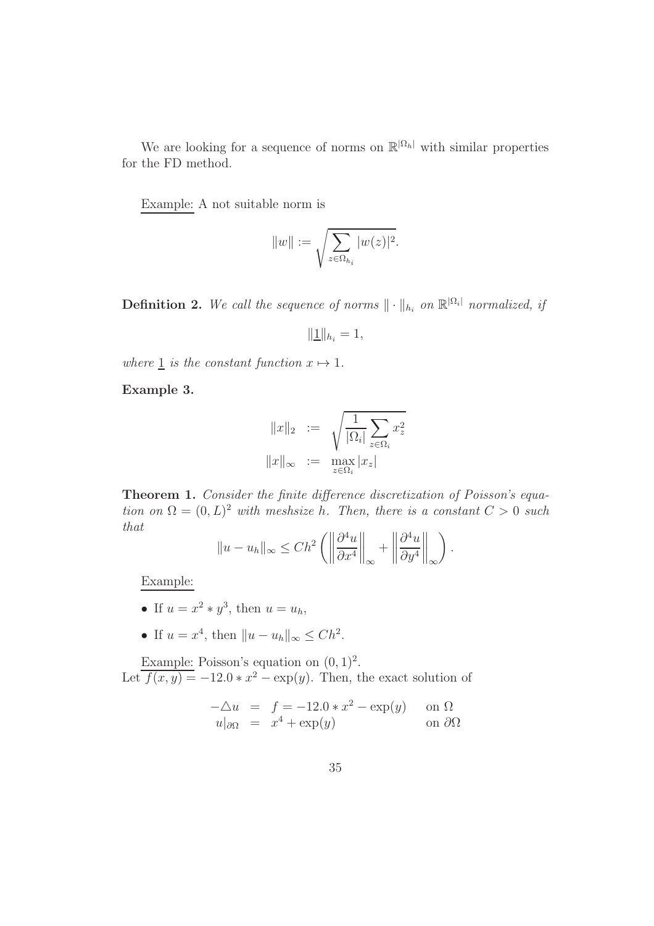We are looking for a sequence of norms on  $\mathbb{R}^{|\Omega_h|}$  with similar properties for the FD method.

Example: A not suitable norm is

$$
||w|| := \sqrt{\sum_{z \in \Omega_{h_i}} |w(z)|^2}.
$$

**Definition 2.** We call the sequence of norms  $\|\cdot\|_{h_i}$  on  $\mathbb{R}^{|\Omega_i|}$  normalized, if

$$
\|\underline{1}\|_{h_i}=1,
$$

where  $\perp$  is the constant function  $x \mapsto 1$ .

Example 3.

$$
||x||_2 := \sqrt{\frac{1}{|\Omega_i|} \sum_{z \in \Omega_i} x_z^2}
$$

$$
||x||_{\infty} := \max_{z \in \Omega_i} |x_z|
$$

Theorem 1. Consider the finite difference discretization of Poisson's equation on  $\Omega = (0, L)^2$  with meshsize h. Then, there is a constant  $C > 0$  such that

$$
||u - u_h||_{\infty} \le Ch^2 \left( \left\| \frac{\partial^4 u}{\partial x^4} \right\|_{\infty} + \left\| \frac{\partial^4 u}{\partial y^4} \right\|_{\infty} \right).
$$

Example:

- If  $u = x^2 * y^3$ , then  $u = u_h$ ,
- If  $u = x^4$ , then  $||u u_h||_{\infty} \leq Ch^2$ .

Example: Poisson's equation on  $(0, 1)^2$ . Let  $\overline{f(x,y)} = -12.0 * x^2 - \exp(y)$ . Then, the exact solution of

$$
-\triangle u = f = -12.0 * x^2 - \exp(y) \quad \text{on } \Omega
$$
  
 
$$
u|_{\partial\Omega} = x^4 + \exp(y) \quad \text{on } \partial\Omega
$$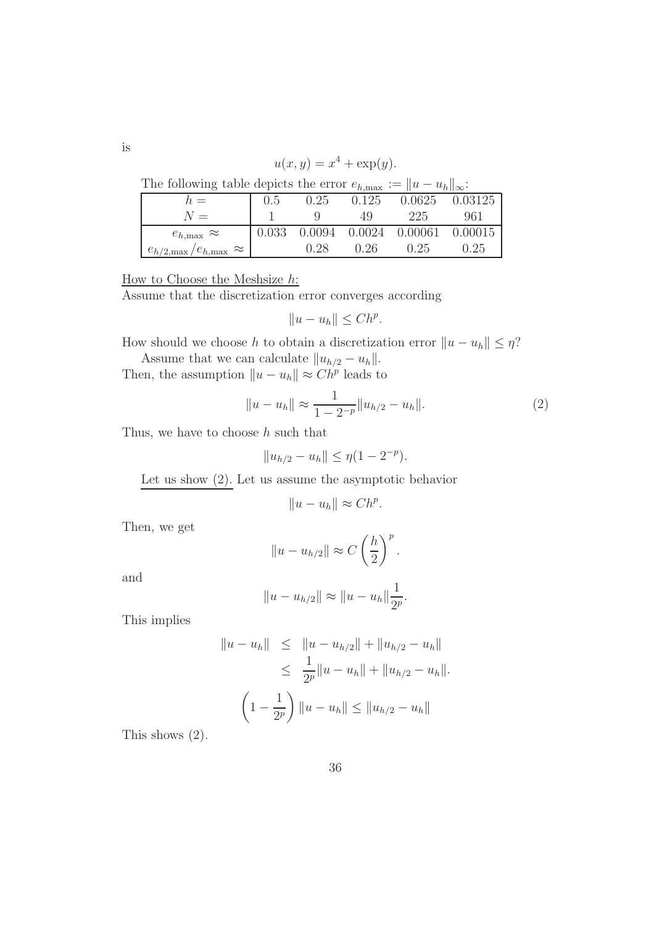$$
u(x, y) = x^4 + \exp(y).
$$

| The following table depicts the error $e_{h,\max} :=   u - u_h  _{\infty}$ :                                   |  |  |  |
|----------------------------------------------------------------------------------------------------------------|--|--|--|
| ما می است است است است است است است است است از است است از این است است از این است از این است از این است از این اس |  |  |  |

| $h =$                                         | 0.5 | 0.25 | 0.125 |                                               | 0.0625 0.03125 |
|-----------------------------------------------|-----|------|-------|-----------------------------------------------|----------------|
| $N =$                                         |     |      | 49.   | 225                                           | 961            |
| $e_{h,\text{max}} \approx$                    |     |      |       | $0.033$ $0.0094$ $0.0024$ $0.00061$ $0.00015$ |                |
| $e_{h/2,\text{max}}/e_{h,\text{max}} \approx$ |     | 0.28 | 0.26  | 0.25                                          | 0.25           |

How to Choose the Meshsize h:

Assume that the discretization error converges according

$$
||u - u_h|| \leq Ch^p.
$$

How should we choose h to obtain a discretization error  $||u - u_h|| \leq \eta$ ?

Assume that we can calculate  $||u_{h/2} - u_h||$ . Then, the assumption  $||u - u_h|| \approx Ch^p$  leads to

$$
||u - u_h|| \approx \frac{1}{1 - 2^{-p}} ||u_{h/2} - u_h||. \tag{2}
$$

.

Thus, we have to choose  $h$  such that

$$
||u_{h/2} - u_h|| \le \eta (1 - 2^{-p}).
$$

Let us show  $(2)$ . Let us assume the asymptotic behavior

$$
||u - u_h|| \approx Ch^p
$$

Then, we get

$$
||u - u_{h/2}|| \approx C \left(\frac{h}{2}\right)^p.
$$

and

$$
||u - u_{h/2}|| \approx ||u - u_h|| \frac{1}{2^p}.
$$

This implies

$$
||u - u_h|| \le ||u - u_{h/2}|| + ||u_{h/2} - u_h||
$$
  
\n
$$
\le \frac{1}{2^p} ||u - u_h|| + ||u_{h/2} - u_h||.
$$
  
\n
$$
\left(1 - \frac{1}{2^p}\right) ||u - u_h|| \le ||u_{h/2} - u_h||
$$

This shows (2).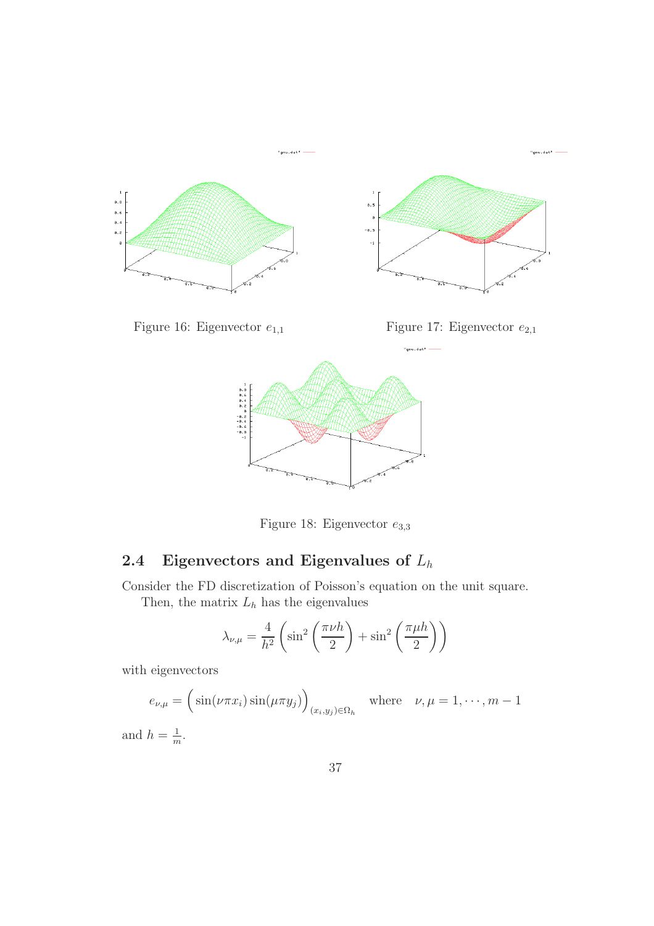

Figure 18: Eigenvector  $e_{3,3}$ 

# 2.4 Eigenvectors and Eigenvalues of  $L_h$

Consider the FD discretization of Poisson's equation on the unit square. Then, the matrix  $L_h$  has the eigenvalues

$$
\lambda_{\nu,\mu} = \frac{4}{h^2} \left( \sin^2 \left( \frac{\pi \nu h}{2} \right) + \sin^2 \left( \frac{\pi \mu h}{2} \right) \right)
$$

with eigenvectors

$$
e_{\nu,\mu} = \left(\sin(\nu \pi x_i) \sin(\mu \pi y_j)\right)_{(x_i,y_j)\in\Omega_h} \quad \text{where} \quad \nu, \mu = 1,\cdots,m-1
$$

and  $h=\frac{1}{m}$  $\frac{1}{m}$ .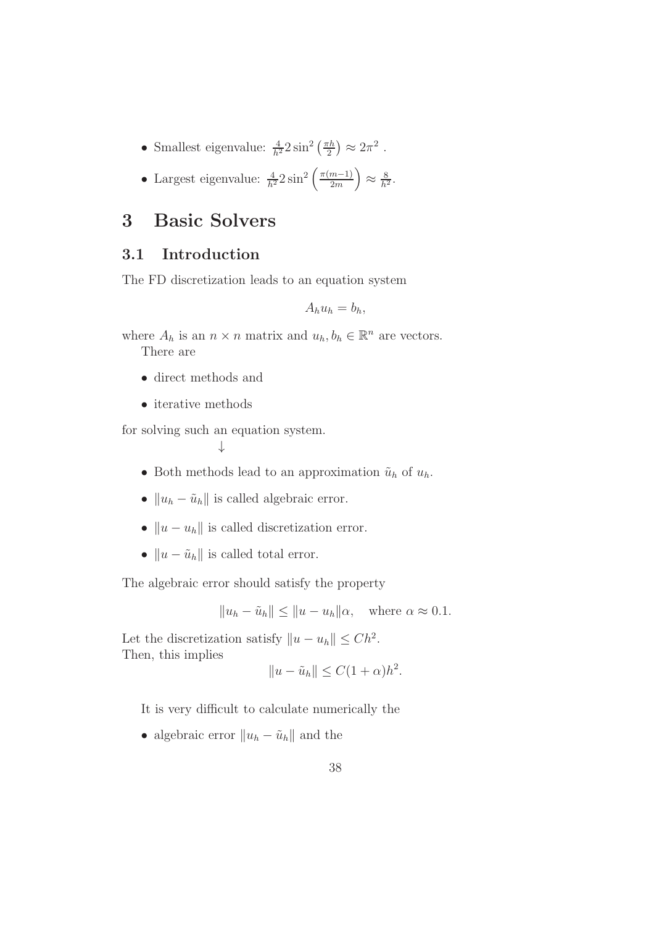- Smallest eigenvalue:  $\frac{4}{h^2} 2 \sin^2 \left( \frac{\pi h}{2} \right)$  $(\frac{h}{2}) \approx 2\pi^2$ .
- Largest eigenvalue:  $\frac{4}{h^2} 2 \sin^2 \left( \frac{\pi (m-1)}{2m} \right)$  $\approx \frac{8}{h^2}$ .

# 3 Basic Solvers

## 3.1 Introduction

The FD discretization leads to an equation system

$$
A_h u_h = b_h,
$$

where  $A_h$  is an  $n \times n$  matrix and  $u_h, b_h \in \mathbb{R}^n$  are vectors. There are

- direct methods and
- iterative methods

for solving such an equation system.

↓

- Both methods lead to an approximation  $\tilde{u}_h$  of  $u_h$ .
- $||u_h \tilde{u}_h||$  is called algebraic error.
- $||u u_h||$  is called discretization error.
- $||u \tilde{u}_h||$  is called total error.

The algebraic error should satisfy the property

$$
||u_h - \tilde{u}_h|| \le ||u - u_h||\alpha, \quad \text{where } \alpha \approx 0.1.
$$

Let the discretization satisfy  $||u - u_h|| \leq Ch^2$ . Then, this implies

$$
||u - \tilde{u}_h|| \leq C(1 + \alpha)h^2.
$$

It is very difficult to calculate numerically the

• algebraic error  $||u_h - \tilde{u}_h||$  and the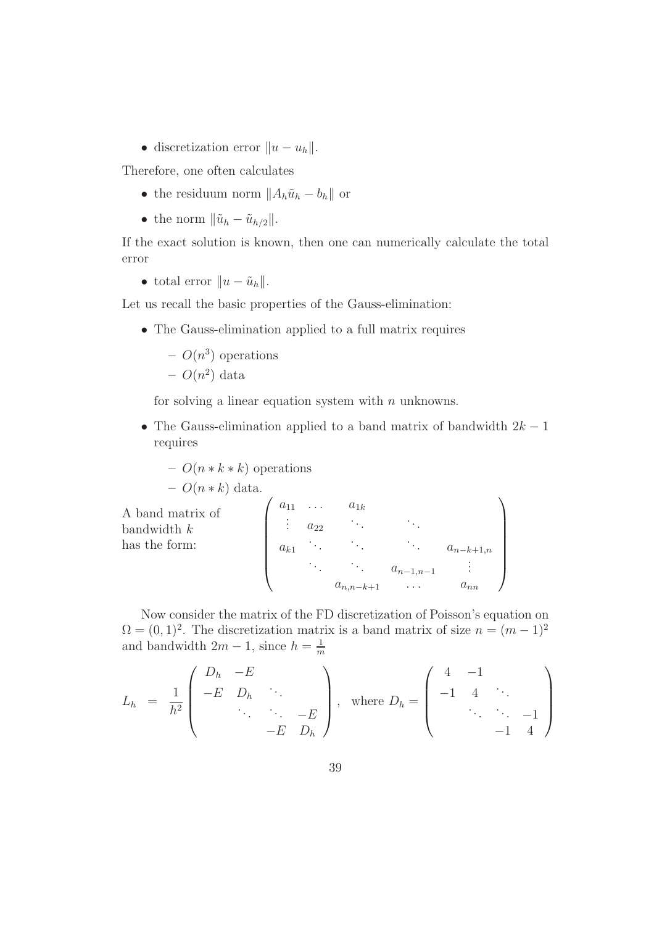• discretization error  $||u - u_h||$ .

Therefore, one often calculates

- the residuum norm  $||A_h\tilde{u}_h b_h||$  or
- the norm  $\|\tilde{u}_h \tilde{u}_{h/2}\|$ .

If the exact solution is known, then one can numerically calculate the total error

• total error  $||u - \tilde{u}_h||$ .

Let us recall the basic properties of the Gauss-elimination:

• The Gauss-elimination applied to a full matrix requires

$$
-O(n^3)
$$
 operations

$$
-O(n^2)
$$
 data

for solving a linear equation system with  $n$  unknowns.

• The Gauss-elimination applied to a band matrix of bandwidth  $2k - 1$ requires

$$
- O(n*k*k) operations- O(n*k) data.
$$

A band matrix of bandwidth  $k$ has the form:  $\int a_{11} \ldots a_{1k}$  $\begin{array}{c} \begin{array}{c} \begin{array}{c} \begin{array}{c} \end{array} \\ \end{array} \end{array} \end{array}$  $a_{22}$   $\cdots$   $\cdots$  $a_{k1}$  .  $a_{n-k+1,n}$  $\vdots$   $a_{n-1,n-1}$  :  $a_{n,n-k+1}$  ...  $a_{nn}$  $\setminus$  $\begin{array}{c} \hline \end{array}$ 

Now consider the matrix of the FD discretization of Poisson's equation on  $\Omega = (0, 1)^2$ . The discretization matrix is a band matrix of size  $n = (m-1)^2$ and bandwidth  $2m - 1$ , since  $h = \frac{1}{m}$ m

$$
L_h = \frac{1}{h^2} \begin{pmatrix} D_h & -E & & & \\ -E & D_h & & & \\ & \ddots & \ddots & -E & \\ & & -E & D_h \end{pmatrix}, \text{ where } D_h = \begin{pmatrix} 4 & -1 & & \\ -1 & 4 & \ddots & \\ & \ddots & \ddots & -1 & \\ & & -1 & 4 \end{pmatrix}
$$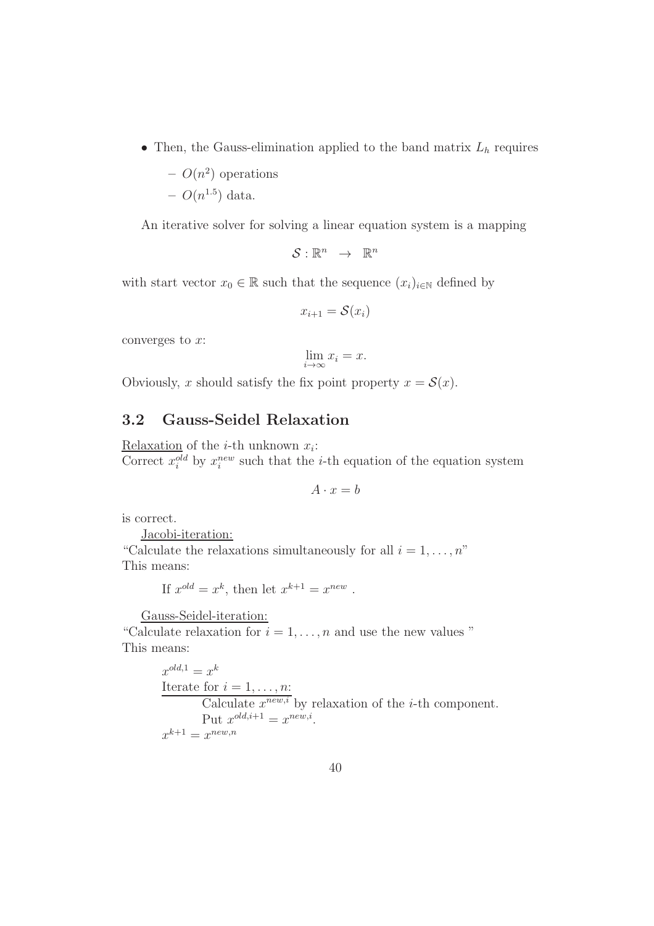• Then, the Gauss-elimination applied to the band matrix  $L_h$  requires

$$
- O(n^2)
$$
 operations  
- O(n<sup>1.5</sup>) data.

An iterative solver for solving a linear equation system is a mapping

$$
\mathcal{S}:\mathbb{R}^n\ \rightarrow\ \mathbb{R}^n
$$

with start vector  $x_0 \in \mathbb{R}$  such that the sequence  $(x_i)_{i \in \mathbb{N}}$  defined by

$$
x_{i+1} = \mathcal{S}(x_i)
$$

converges to  $x$ :

$$
\lim_{i \to \infty} x_i = x.
$$

Obviously, x should satisfy the fix point property  $x = \mathcal{S}(x)$ .

## 3.2 Gauss-Seidel Relaxation

Relaxation of the *i*-th unknown  $x_i$ : Correct  $x_i^{old}$  by  $x_i^{new}$  such that the *i*-th equation of the equation system

$$
A \cdot x = b
$$

is correct.

Jacobi-iteration:

"Calculate the relaxations simultaneously for all  $i = 1, \ldots, n$ " This means:

If 
$$
x^{old} = x^k
$$
, then let  $x^{k+1} = x^{new}$ .

Gauss-Seidel-iteration:

"Calculate relaxation for  $i = 1, \ldots, n$  and use the new values" This means:

> $x^{old,1} = x^k$ Iterate for  $i = 1, \ldots, n$ : Calculate  $x^{new,i}$  by relaxation of the *i*-th component. Put  $x^{old,i+1} = x^{new,i}$ .  $x^{k+1} = x^{new,n}$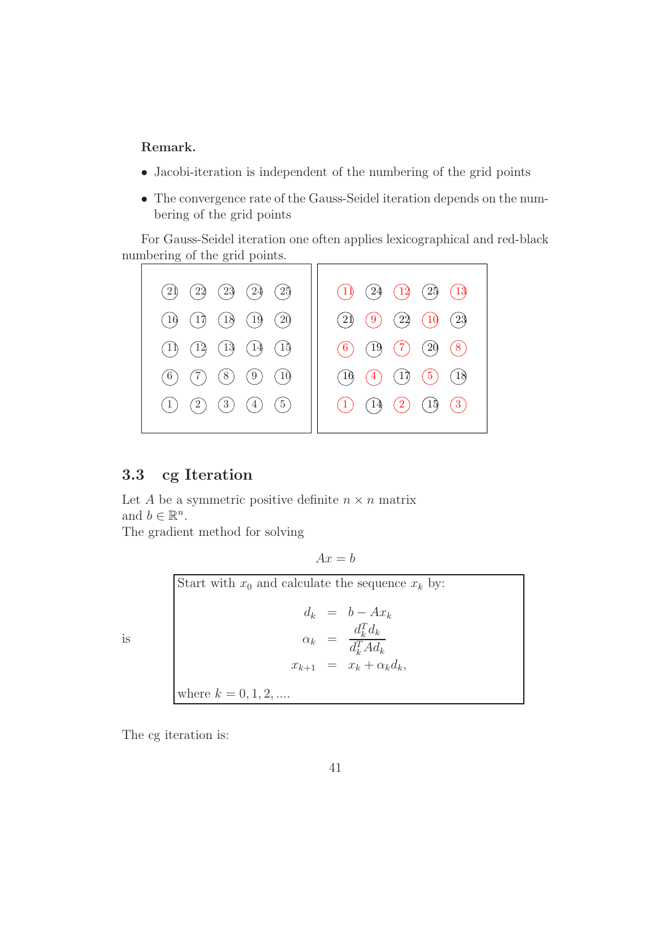#### Remark.

- Jacobi-iteration is independent of the numbering of the grid points
- The convergence rate of the Gauss-Seidel iteration depends on the numbering of the grid points

For Gauss-Seidel iteration one often applies lexicographical and red-black numbering of the grid points.



### 3.3 cg Iteration

Let A be a symmetric positive definite  $n \times n$  matrix and  $b \in \mathbb{R}^n$ .

The gradient method for solving

 $Ax = b$ 

Start with  $x_0$  and calculate the sequence  $x_k$  by:  $d_k = b - Ax_k$  $\alpha_k =$  $d_k^T d_k$  $d_k^T A d_k$  $x_{k+1} = x_k + \alpha_k d_k,$ where  $k = 0, 1, 2, ...$ 

The cg iteration is:

is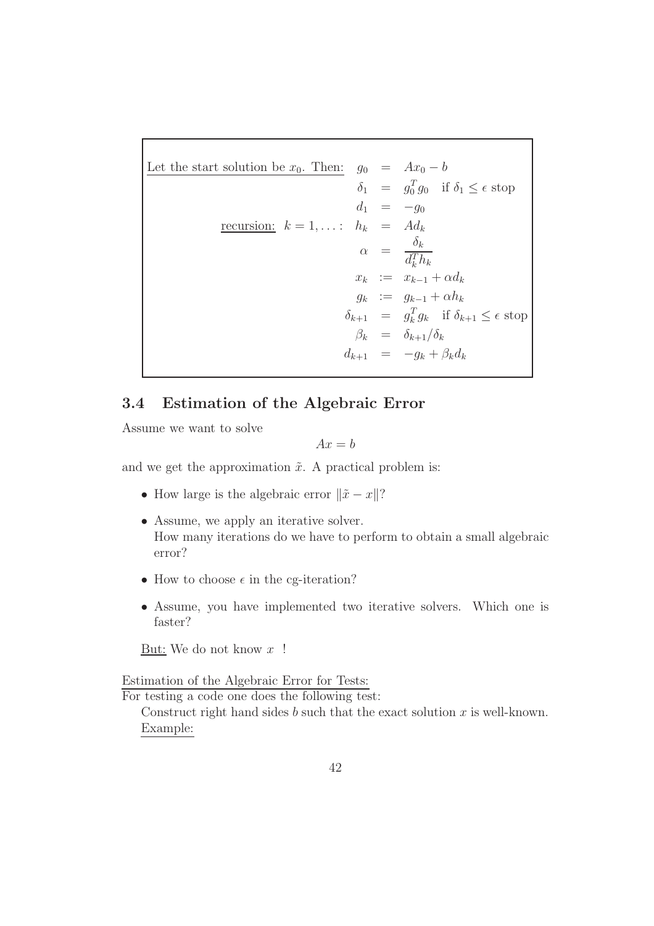Let the start solution be  $x_0$ . Then:  $g_0 = Ax_0 - b$  $\delta_1 = g_0^T g_0$  if  $\delta_1 \leq \epsilon$  stop  $d_1 = -g_0$ recursion:  $k = 1, \ldots$ :  $h_k = Ad_k$  $\alpha = \frac{\delta_k}{T}$  $d_k^Th_k$  $x_k$  :=  $x_{k-1} + \alpha d_k$  $g_k := g_{k-1} + \alpha h_k$  $\delta_{k+1} = g_k^T g_k$  if  $\delta_{k+1} \leq \epsilon$  stop  $\beta_k = \delta_{k+1}/\delta_k$  $d_{k+1} = -g_k + \beta_k d_k$ 

## 3.4 Estimation of the Algebraic Error

Assume we want to solve

$$
Ax = b
$$

and we get the approximation  $\tilde{x}$ . A practical problem is:

- How large is the algebraic error  $\|\tilde{x} x\|$ ?
- Assume, we apply an iterative solver. How many iterations do we have to perform to obtain a small algebraic error?
- How to choose  $\epsilon$  in the cg-iteration?
- Assume, you have implemented two iterative solvers. Which one is faster?

But: We do not know  $x$  !

Estimation of the Algebraic Error for Tests:

For testing a code one does the following test:

Construct right hand sides b such that the exact solution  $x$  is well-known. Example: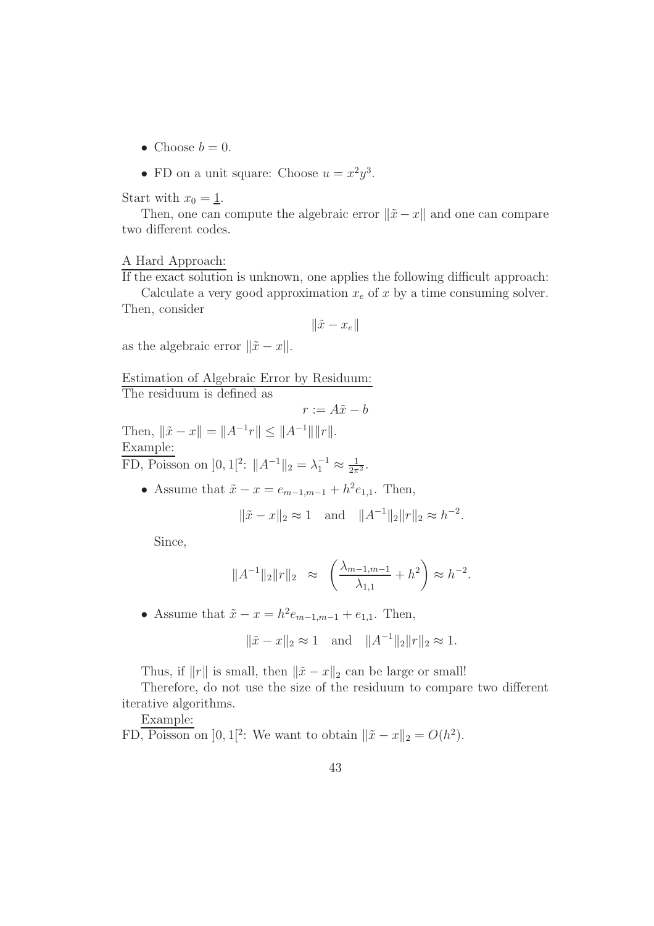- Choose  $b = 0$ .
- FD on a unit square: Choose  $u = x^2y^3$ .

Start with  $x_0 = \underline{1}$ .

Then, one can compute the algebraic error  $\|\tilde{x} - x\|$  and one can compare two different codes.

#### A Hard Approach:

If the exact solution is unknown, one applies the following difficult approach:

Calculate a very good approximation  $x_e$  of x by a time consuming solver. Then, consider

$$
\|\tilde{x} - x_e\|
$$

as the algebraic error  $\|\tilde{x} - x\|$ .

Estimation of Algebraic Error by Residuum:

The residuum is defined as

$$
r := A\tilde{x} - b
$$

Then,  $\|\tilde{x} - x\| = \|A^{-1}r\| \le \|A^{-1}\| \|r\|.$ Example: FD, Poisson on  $]0,1[^2: \|A^{-1}\|_2 = \lambda_1^{-1} \approx \frac{1}{2\pi^2}$ .

• Assume that  $\tilde{x} - x = e_{m-1,m-1} + h^2 e_{1,1}$ . Then,

$$
\|\tilde{x} - x\|_2 \approx 1
$$
 and  $\|A^{-1}\|_2 \|r\|_2 \approx h^{-2}$ .

Since,

$$
||A^{-1}||_2||r||_2 \approx \left(\frac{\lambda_{m-1,m-1}}{\lambda_{1,1}} + h^2\right) \approx h^{-2}.
$$

• Assume that  $\tilde{x} - x = h^2 e_{m-1,m-1} + e_{1,1}$ . Then,

$$
\|\tilde{x} - x\|_2 \approx 1
$$
 and  $\|A^{-1}\|_2 \|r\|_2 \approx 1$ .

Thus, if  $||r||$  is small, then  $||\tilde{x} - x||_2$  can be large or small!

Therefore, do not use the size of the residuum to compare two different iterative algorithms.

Example:

FD, Poisson on  $]0,1[^2$ : We want to obtain  $\|\tilde{x} - x\|_2 = O(h^2)$ .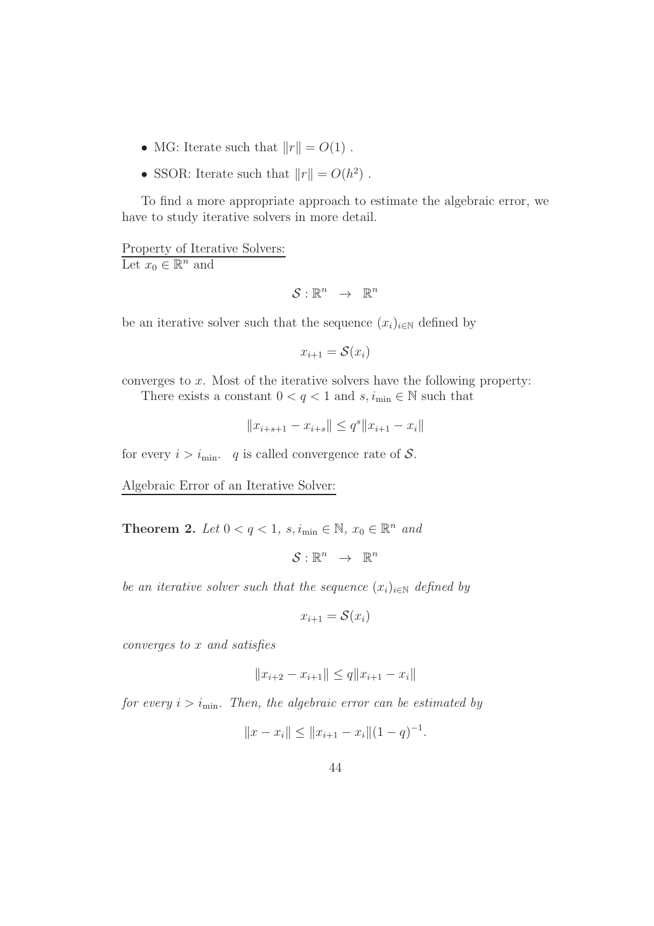- MG: Iterate such that  $||r|| = O(1)$ .
- SSOR: Iterate such that  $||r|| = O(h^2)$ .

To find a more appropriate approach to estimate the algebraic error, we have to study iterative solvers in more detail.

Property of Iterative Solvers: Let  $x_0 \in \mathbb{R}^n$  and

$$
\mathcal{S}:\mathbb{R}^n\ \rightarrow\ \mathbb{R}^n
$$

be an iterative solver such that the sequence  $(x_i)_{i\in\mathbb{N}}$  defined by

$$
x_{i+1} = \mathcal{S}(x_i)
$$

converges to x. Most of the iterative solvers have the following property: There exists a constant  $0 < q < 1$  and  $s, i_{\min} \in \mathbb{N}$  such that

$$
||x_{i+s+1}-x_{i+s}||\leq q^s||x_{i+1}-x_i||
$$

for every  $i > i_{\text{min}}$ . q is called convergence rate of S.

Algebraic Error of an Iterative Solver:

**Theorem 2.** Let  $0 < q < 1$ ,  $s, i_{\min} \in \mathbb{N}$ ,  $x_0 \in \mathbb{R}^n$  and

 $S: \mathbb{R}^n \rightarrow \mathbb{R}^n$ 

be an iterative solver such that the sequence  $(x_i)_{i\in\mathbb{N}}$  defined by

 $x_{i+1} = \mathcal{S}(x_i)$ 

converges to x and satisfies

$$
||x_{i+2} - x_{i+1}|| \le q ||x_{i+1} - x_i||
$$

for every  $i > i_{\text{min}}$ . Then, the algebraic error can be estimated by

$$
||x - x_i|| \le ||x_{i+1} - x_i|| (1 - q)^{-1}.
$$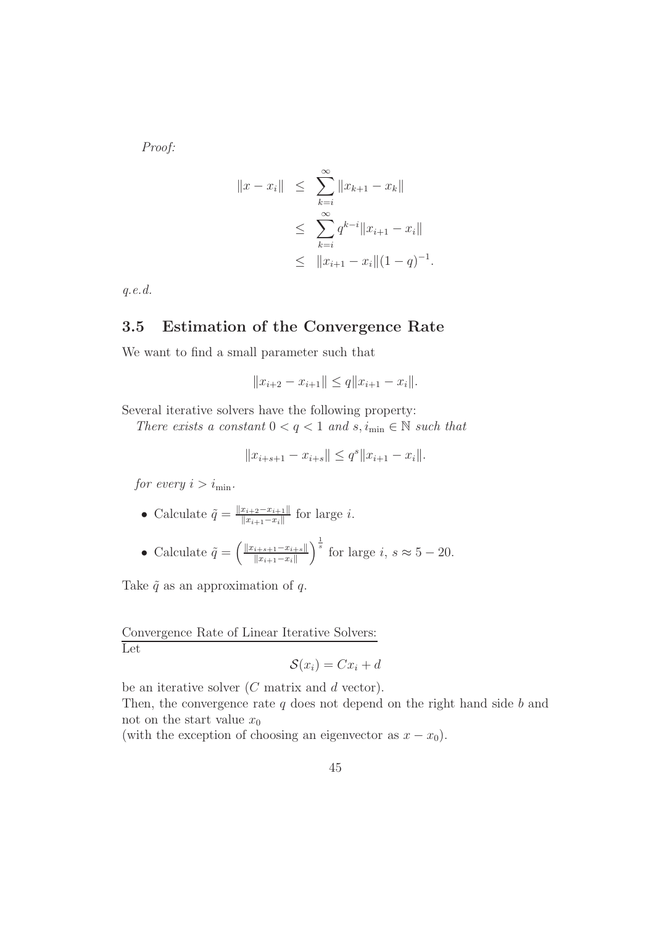Proof:

$$
||x - x_i|| \leq \sum_{k=i}^{\infty} ||x_{k+1} - x_k||
$$
  
\n
$$
\leq \sum_{k=i}^{\infty} q^{k-i} ||x_{i+1} - x_i||
$$
  
\n
$$
\leq ||x_{i+1} - x_i|| (1 - q)^{-1}.
$$

q.e.d.

### 3.5 Estimation of the Convergence Rate

We want to find a small parameter such that

$$
||x_{i+2} - x_{i+1}|| \le q ||x_{i+1} - x_i||.
$$

Several iterative solvers have the following property:

There exists a constant  $0 < q < 1$  and  $s, i_{\min} \in \mathbb{N}$  such that

$$
||x_{i+s+1} - x_{i+s}|| \le q^s ||x_{i+1} - x_i||.
$$

for every  $i > i_{\text{min}}$ .

- Calculate  $\tilde{q} = \frac{||x_{i+2}-x_{i+1}||}{||x_{i+1}-x_i||}$  $\frac{x_{i+2}-x_{i+1||}}{||x_{i+1}-x_i||}$  for large *i*.
- Calculate  $\tilde{q} = \left( \frac{\|x_{i+s+1} x_{i+s}\|}{\|x_{i+1} x_i\|} \right)$  $\|x_{i+1}-x_i\|$  $\int_{s}^{\frac{1}{s}}$  for large *i*,  $s \approx 5 - 20$ .

Take  $\tilde{q}$  as an approximation of q.

Convergence Rate of Linear Iterative Solvers: Let

$$
\mathcal{S}(x_i) = Cx_i + d
$$

be an iterative solver  $(C \text{ matrix and } d \text{ vector}).$ 

Then, the convergence rate  $q$  does not depend on the right hand side  $b$  and not on the start value  $x_0$ 

(with the exception of choosing an eigenvector as  $x - x_0$ ).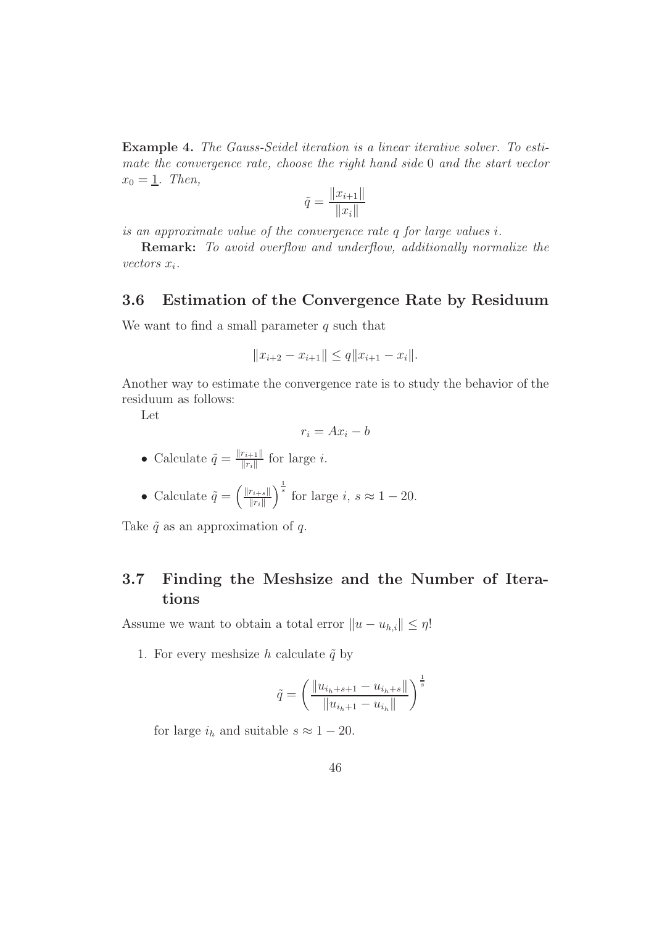Example 4. The Gauss-Seidel iteration is a linear iterative solver. To estimate the convergence rate, choose the right hand side 0 and the start vector  $x_0 = \underline{1}$ . Then,

$$
\tilde{q} = \frac{||x_{i+1}||}{||x_i||}
$$

is an approximate value of the convergence rate q for large values i.

Remark: To avoid overflow and underflow, additionally normalize the vectors  $x_i$ .

### 3.6 Estimation of the Convergence Rate by Residuum

We want to find a small parameter  $q$  such that

$$
||x_{i+2} - x_{i+1}|| \le q ||x_{i+1} - x_i||.
$$

Another way to estimate the convergence rate is to study the behavior of the residuum as follows:

Let

$$
r_i = Ax_i - b
$$

- Calculate  $\tilde{q} = \frac{\|r_{i+1}\|}{\|r_i\|}$  $\frac{r_{i+1||}}{||r_i||}$  for large *i*.
- Calculate  $\tilde{q} = \left(\frac{\|r_{i+s}\|}{\|r_i\|}\right)$  $\Vert r_i \Vert$  $\int_{s}^{\frac{1}{s}}$  for large *i*,  $s \approx 1 - 20$ .

Take  $\tilde{q}$  as an approximation of q.

## 3.7 Finding the Meshsize and the Number of Iterations

Assume we want to obtain a total error  $||u - u_{h,i}|| \leq \eta!$ 

1. For every mesh ize h calculate  $\tilde{q}$  by

$$
\tilde{q} = \left(\frac{\|u_{i_h+s+1} - u_{i_h+s}\|}{\|u_{i_h+1} - u_{i_h}\|}\right)^{\frac{1}{s}}
$$

for large  $i_h$  and suitable  $s \approx 1 - 20$ .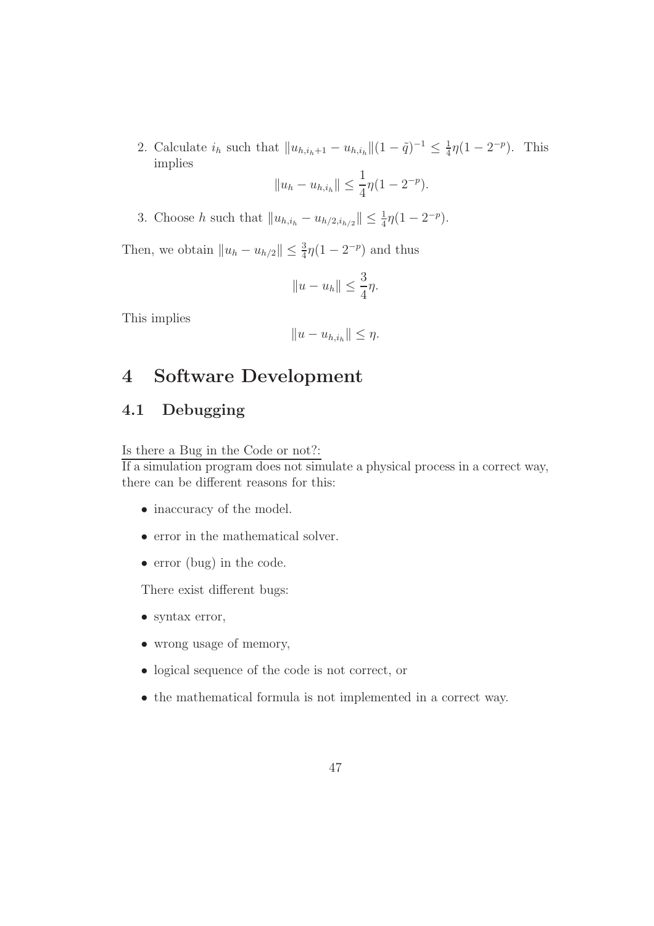2. Calculate  $i_h$  such that  $||u_{h,i_h+1} - u_{h,i_h}|| (1 - \tilde{q})^{-1} \le \frac{1}{4}$  $\frac{1}{4}\eta(1-2^{-p}).$  This implies

$$
||u_h - u_{h,i_h}|| \leq \frac{1}{4}\eta(1 - 2^{-p}).
$$

3. Choose h such that  $||u_{h,i_h} - u_{h/2,i_{h/2}}|| \leq \frac{1}{4}\eta(1 - 2^{-p}).$ 

Then, we obtain  $||u_h - u_{h/2}|| \leq \frac{3}{4}\eta(1 - 2^{-p})$  and thus

$$
||u - u_h|| \leq \frac{3}{4}\eta.
$$

This implies

$$
||u-u_{h,i_h}||\leq \eta.
$$

# 4 Software Development

# 4.1 Debugging

Is there a Bug in the Code or not?:

If a simulation program does not simulate a physical process in a correct way, there can be different reasons for this:

- inaccuracy of the model.
- error in the mathematical solver.
- error (bug) in the code.

There exist different bugs:

- syntax error,
- wrong usage of memory,
- logical sequence of the code is not correct, or
- the mathematical formula is not implemented in a correct way.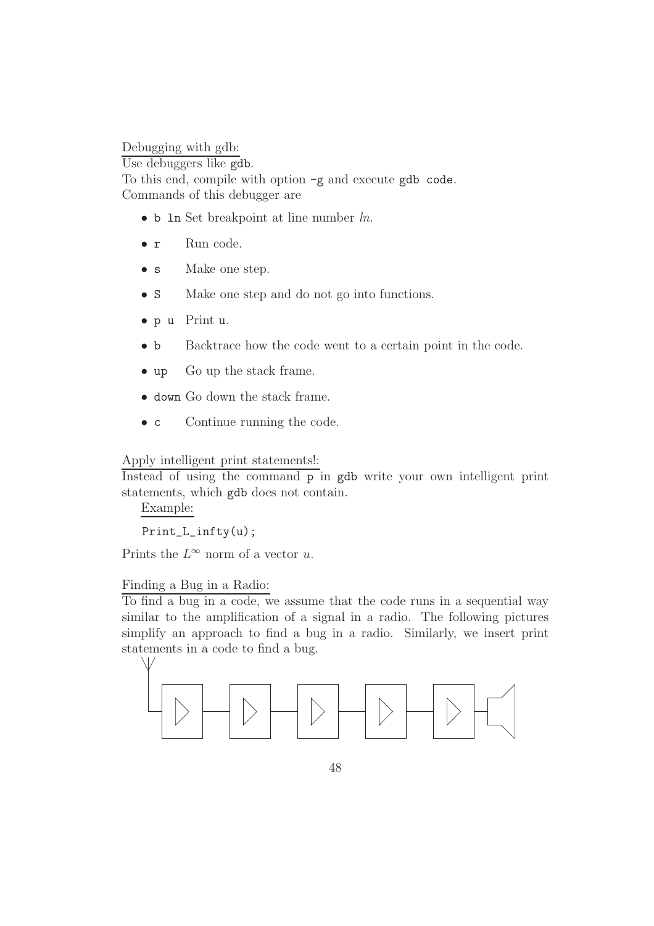Debugging with gdb:

Use debuggers like gdb.

To this end, compile with option -g and execute gdb code. Commands of this debugger are

- $\bullet$  b 1n Set breakpoint at line number  $ln$ .
- **r** Run code.
- s Make one step.
- S Make one step and do not go into functions.
- p u Print u.
- **b** Backtrace how the code went to a certain point in the code.
- up Go up the stack frame.
- down Go down the stack frame.
- c Continue running the code.

Apply intelligent print statements!:

Instead of using the command p in gdb write your own intelligent print statements, which gdb does not contain.

Example:

Print\_L\_infty(u);

Prints the  $L^{\infty}$  norm of a vector u.

### Finding a Bug in a Radio:

To find a bug in a code, we assume that the code runs in a sequential way similar to the amplification of a signal in a radio. The following pictures simplify an approach to find a bug in a radio. Similarly, we insert print statements in a code to find a bug.

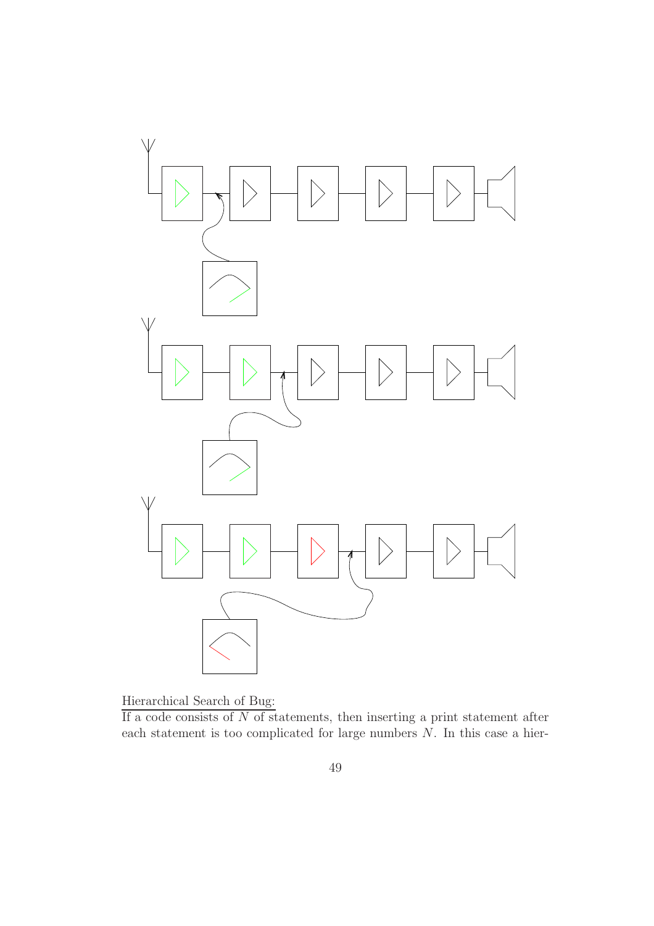

Hierarchical Search of Bug:

If a code consists of  $N$  of statements, then inserting a print statement after each statement is too complicated for large numbers N. In this case a hier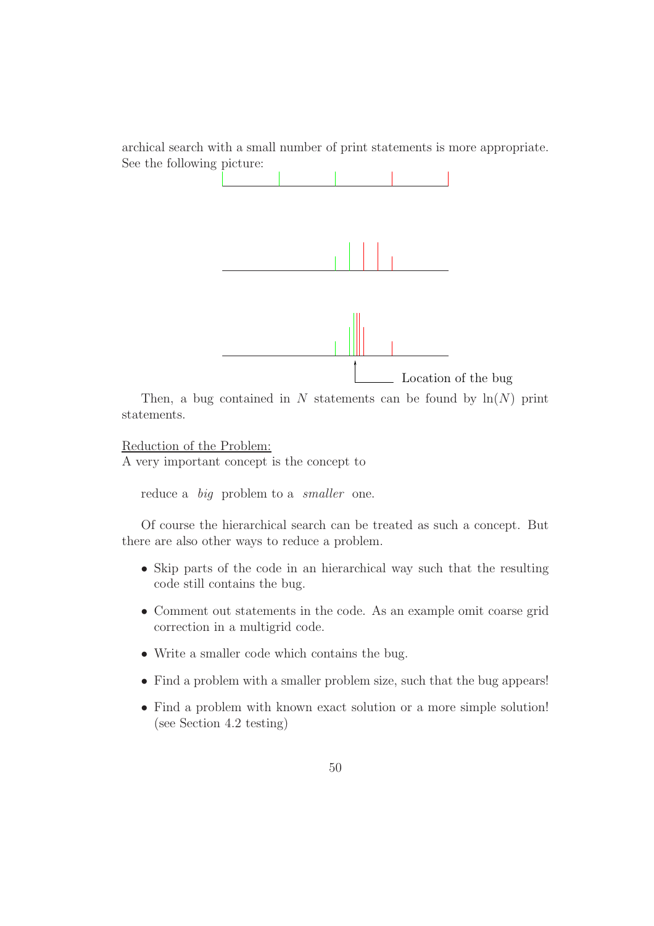archical search with a small number of print statements is more appropriate. See the following picture:



Then, a bug contained in  $N$  statements can be found by  $\ln(N)$  print statements.

Reduction of the Problem:

A very important concept is the concept to

reduce a *big* problem to a *smaller* one.

Of course the hierarchical search can be treated as such a concept. But there are also other ways to reduce a problem.

- Skip parts of the code in an hierarchical way such that the resulting code still contains the bug.
- Comment out statements in the code. As an example omit coarse grid correction in a multigrid code.
- Write a smaller code which contains the bug.
- Find a problem with a smaller problem size, such that the bug appears!
- Find a problem with known exact solution or a more simple solution! (see Section 4.2 testing)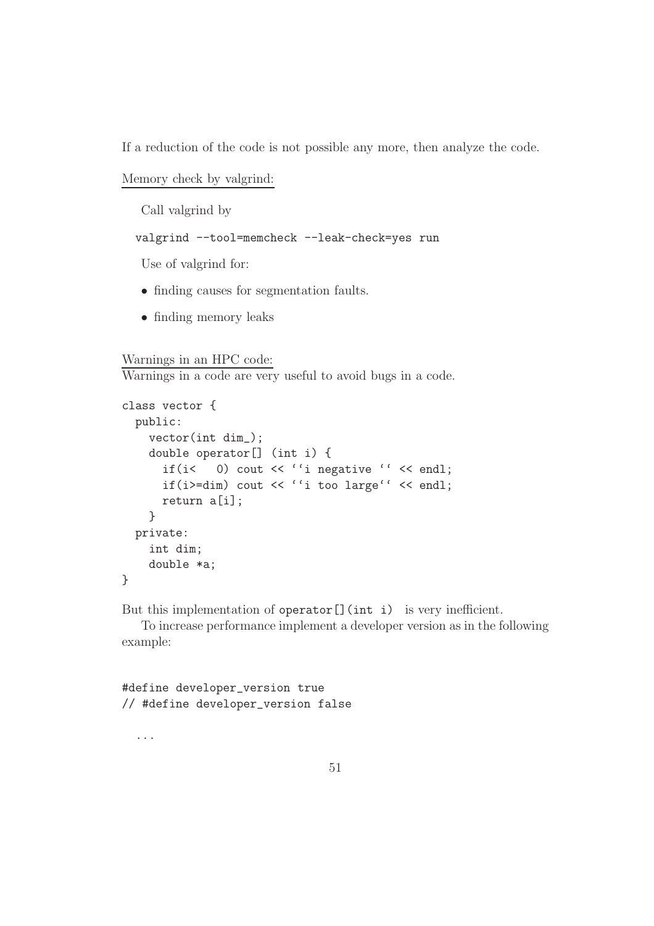If a reduction of the code is not possible any more, then analyze the code.

```
Memory check by valgrind:
```
Call valgrind by

valgrind --tool=memcheck --leak-check=yes run

Use of valgrind for:

- finding causes for segmentation faults.
- finding memory leaks

#### Warnings in an HPC code:

Warnings in a code are very useful to avoid bugs in a code.

```
class vector {
  public:
    vector(int dim_);
    double operator[] (int i) {
      if(i< \bigcirc) cout << ''i negative '' << endl;
      if(i>=dim) cout << ''i too large'' << endl;
      return a[i];
    }
  private:
    int dim;
    double *a;
}
```
But this implementation of operator [] (int i) is very inefficient.

To increase performance implement a developer version as in the following example:

#define developer\_version true // #define developer\_version false

...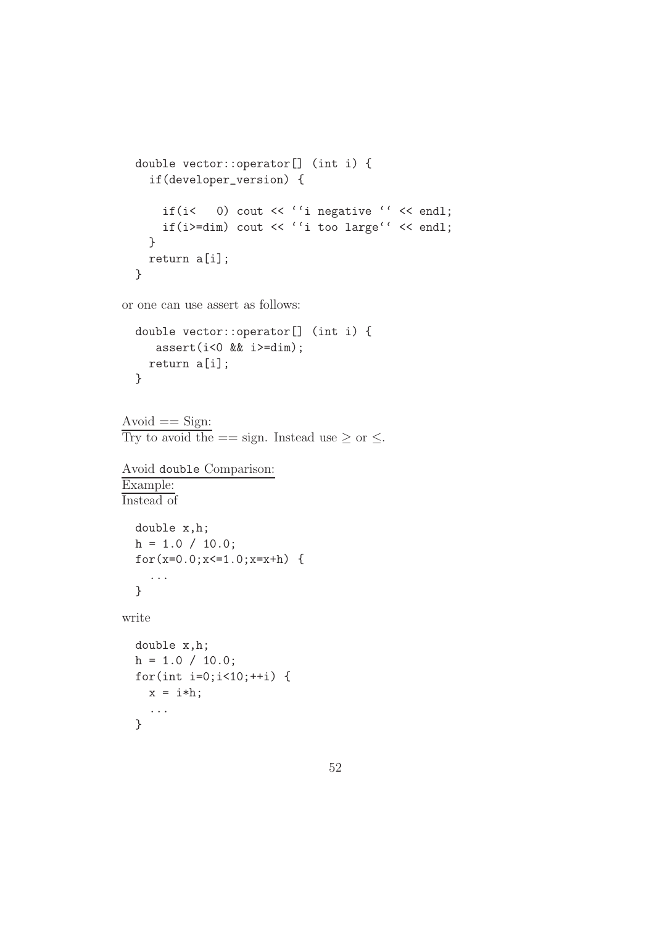```
double vector::operator[] (int i) {
  if(developer_version) {
    if(i< 0) cout << ''i negative '' << endl;
    if(i>=dim) cout << ''i too large'' << endl;
 }
 return a[i];
}
```
or one can use assert as follows:

```
double vector::operator[] (int i) {
   assert(i<0 \&& i>=dim);return a[i];
}
```

```
Avoid == Sign:Try to avoid the == sign. Instead use \geq or \leq.
```

```
Avoid double Comparison:
Example:
Instead of
  double x,h;
 h = 1.0 / 10.0;for(x=0.0; x<=1.0; x=x+h) {
    ...
  }
write
 double x,h;
 h = 1.0 / 10.0;for(int i=0;i<10;++i) {
    x = i * h;
```
...

}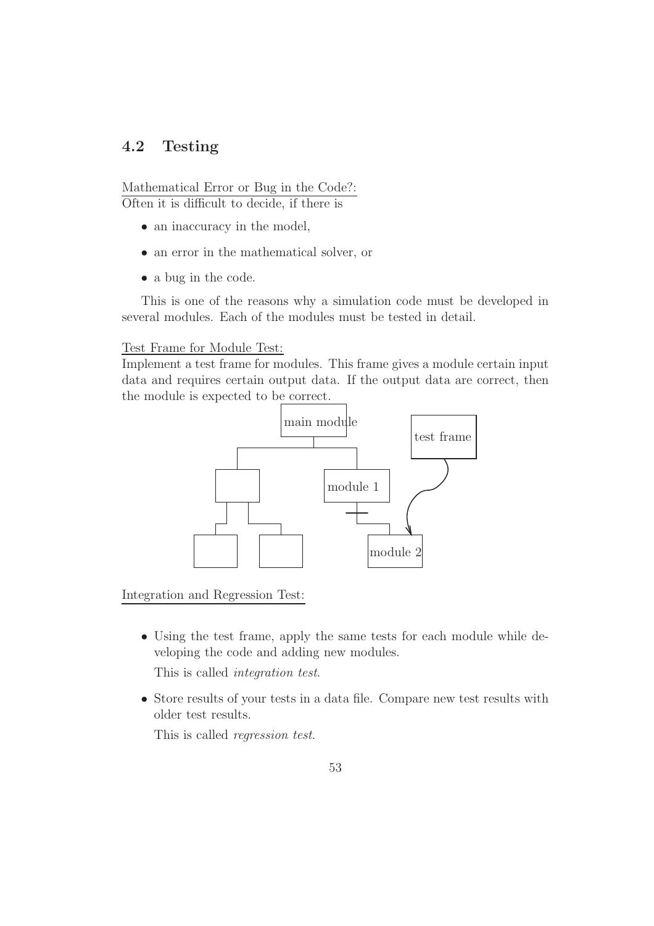## 4.2 Testing

Mathematical Error or Bug in the Code?: Often it is difficult to decide, if there is

- an inaccuracy in the model,
- an error in the mathematical solver, or
- a bug in the code.

This is one of the reasons why a simulation code must be developed in several modules. Each of the modules must be tested in detail.

### Test Frame for Module Test:

Implement a test frame for modules. This frame gives a module certain input data and requires certain output data. If the output data are correct, then the module is expected to be correct.



Integration and Regression Test:

• Using the test frame, apply the same tests for each module while developing the code and adding new modules.

This is called integration test.

• Store results of your tests in a data file. Compare new test results with older test results.

This is called regression test.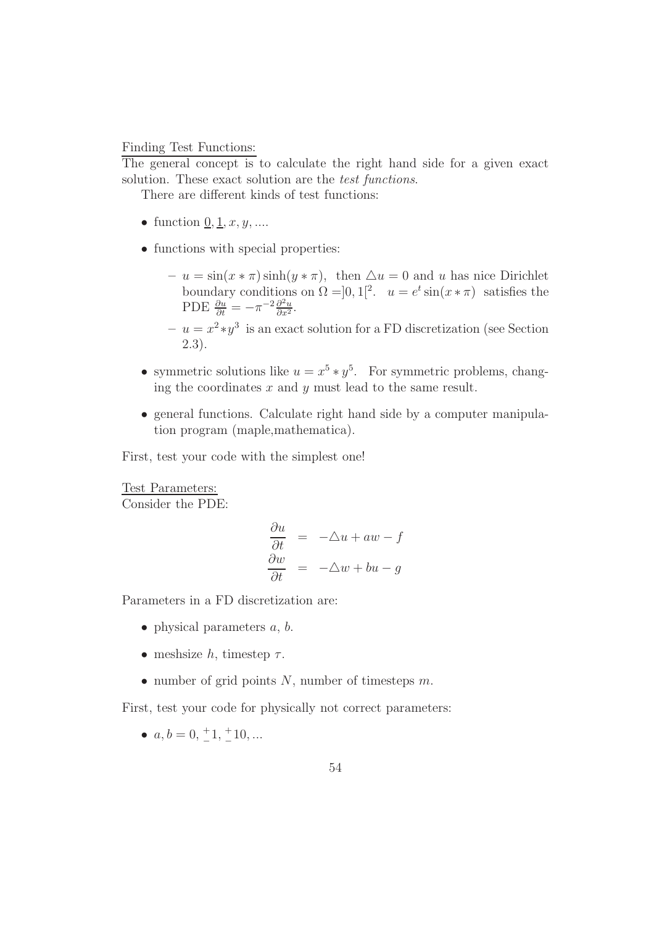Finding Test Functions:

The general concept is to calculate the right hand side for a given exact solution. These exact solution are the *test functions*.

There are different kinds of test functions:

- function  $\underline{0}, \underline{1}, x, y, \dots$
- functions with special properties:
	- $-u = \sin(x * \pi) \sinh(y * \pi)$ , then  $\Delta u = 0$  and u has nice Dirichlet boundary conditions on  $\Omega = ]0,1[^2$ .  $u = e^t \sin(x * \pi)$  satisfies the PDE  $\frac{\partial u}{\partial t} = -\pi^{-2} \frac{\partial^2 u}{\partial x^2}$  $\frac{\partial^2 u}{\partial x^2}$ .
	- $u = x^2 * y^3$  is an exact solution for a FD discretization (see Section 2.3).
- symmetric solutions like  $u = x^5 * y^5$ . For symmetric problems, changing the coordinates  $x$  and  $y$  must lead to the same result.
- general functions. Calculate right hand side by a computer manipulation program (maple,mathematica).

First, test your code with the simplest one!

Test Parameters:

Consider the PDE:

$$
\frac{\partial u}{\partial t} = -\Delta u + aw - f
$$

$$
\frac{\partial w}{\partial t} = -\Delta w + bu - g
$$

Parameters in a FD discretization are:

- physical parameters  $a, b$ .
- meshsize h, timestep  $\tau$ .
- number of grid points  $N$ , number of timesteps  $m$ .

First, test your code for physically not correct parameters:

•  $a, b = 0, \frac{+}{-}$  $^{+1, +}$  $^{+10}$ ...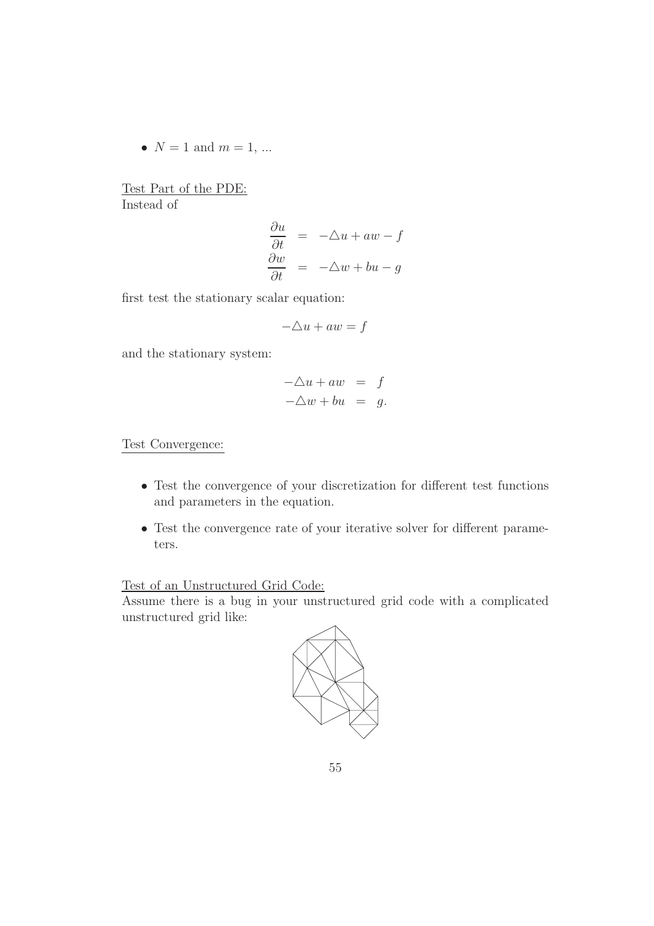•  $N = 1$  and  $m = 1, ...$ 

Test Part of the PDE: Instead of

$$
\begin{array}{rcl}\n\frac{\partial u}{\partial t} & = & -\triangle u + aw - f \\
\frac{\partial w}{\partial t} & = & -\triangle w + bu - g\n\end{array}
$$

first test the stationary scalar equation:

$$
-\triangle u + aw = f
$$

and the stationary system:

$$
-\triangle u + aw = f
$$
  

$$
-\triangle w + bu = g.
$$

Test Convergence:

- Test the convergence of your discretization for different test functions and parameters in the equation.
- Test the convergence rate of your iterative solver for different parameters.

## Test of an Unstructured Grid Code:

Assume there is a bug in your unstructured grid code with a complicated unstructured grid like:

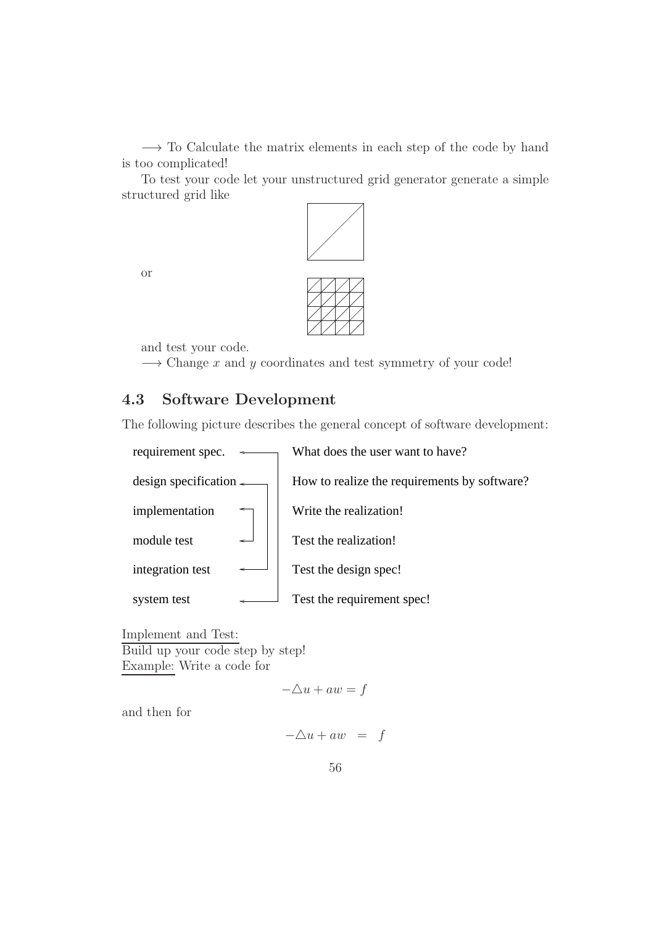→ To Calculate the matrix elements in each step of the code by hand is too complicated!

To test your code let your unstructured grid generator generate a simple structured grid like



or



and test your code.

 $\rightarrow$  Change x and y coordinates and test symmetry of your code!

## 4.3 Software Development

The following picture describes the general concept of software development:



Implement and Test: Build up your code step by step! Example: Write a code for

 $-\Delta u + aw = f$ 

and then for

$$
-\triangle u + aw = f
$$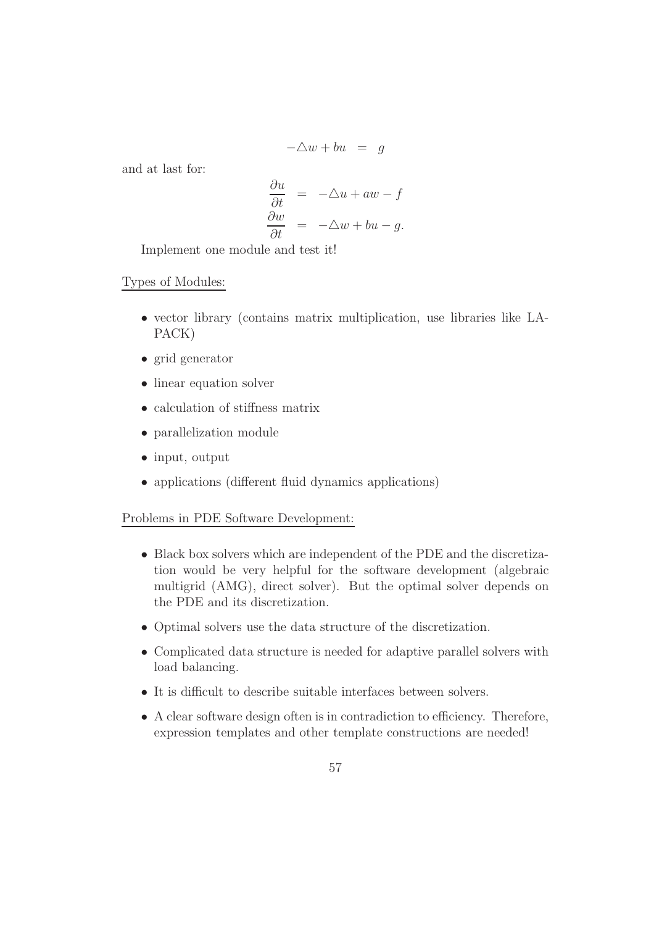$$
-\triangle w + bu = g
$$

and at last for:

$$
\frac{\partial u}{\partial t} = -\Delta u + aw - f
$$

$$
\frac{\partial w}{\partial t} = -\Delta w + bu - g.
$$

Implement one module and test it!

### Types of Modules:

- vector library (contains matrix multiplication, use libraries like LA-PACK)
- grid generator
- linear equation solver
- calculation of stiffness matrix
- parallelization module
- input, output
- applications (different fluid dynamics applications)

#### Problems in PDE Software Development:

- Black box solvers which are independent of the PDE and the discretization would be very helpful for the software development (algebraic multigrid (AMG), direct solver). But the optimal solver depends on the PDE and its discretization.
- Optimal solvers use the data structure of the discretization.
- Complicated data structure is needed for adaptive parallel solvers with load balancing.
- It is difficult to describe suitable interfaces between solvers.
- A clear software design often is in contradiction to efficiency. Therefore, expression templates and other template constructions are needed!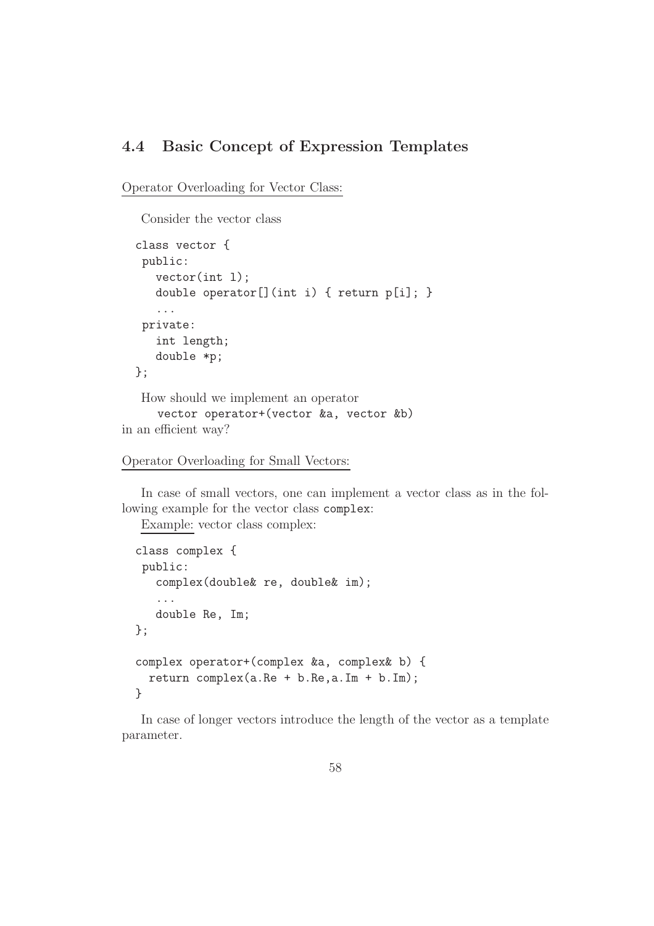## 4.4 Basic Concept of Expression Templates

Operator Overloading for Vector Class:

Consider the vector class

```
class vector {
   public:
     vector(int l);
     double operator[](int i) { return p[i]; }
     ...
   private:
     int length;
     double *p;
  };
   How should we implement an operator
     vector operator+(vector &a, vector &b)
in an efficient way?
```

```
Operator Overloading for Small Vectors:
```
In case of small vectors, one can implement a vector class as in the following example for the vector class complex:

Example: vector class complex:

```
class complex {
 public:
   complex(double& re, double& im);
   ...
   double Re, Im;
};
complex operator+(complex &a, complex& b) {
  return complex(a.Re + b.Re,a.Im + b.Im);
}
```
In case of longer vectors introduce the length of the vector as a template parameter.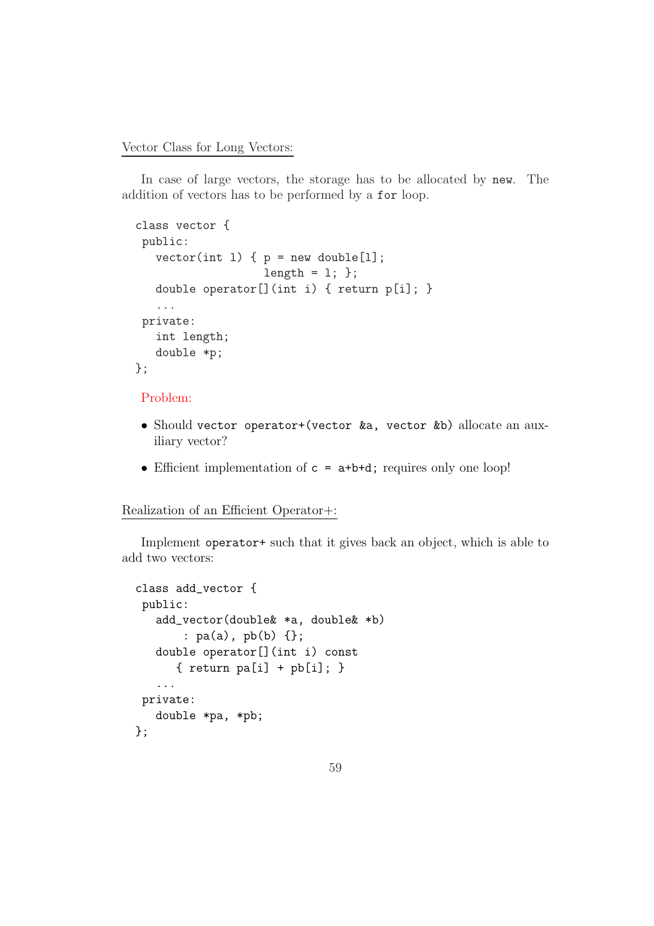Vector Class for Long Vectors:

In case of large vectors, the storage has to be allocated by new. The addition of vectors has to be performed by a for loop.

```
class vector {
 public:
   vector(int 1) { p = new double [1];length = 1; };
   double operator[](int i) { return p[i]; }
   ...
 private:
   int length;
   double *p;
};
```
#### Problem:

- Should vector operator+(vector &a, vector &b) allocate an auxiliary vector?
- Efficient implementation of  $c = a+b+d$ ; requires only one loop!

### Realization of an Efficient Operator+:

Implement operator+ such that it gives back an object, which is able to add two vectors:

```
class add_vector {
 public:
   add_vector(double& *a, double& *b)
       : pa(a), pb(b) {};
   double operator[](int i) const
      { return pa[i] + pb[i]; }
   ...
private:
   double *pa, *pb;
};
```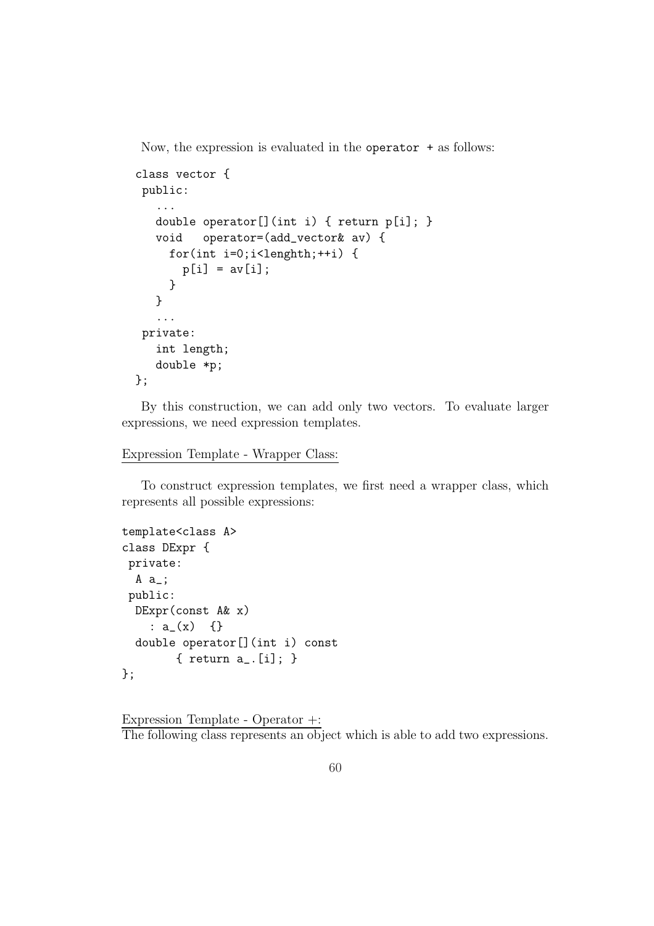Now, the expression is evaluated in the operator + as follows:

```
class vector {
 public:
   ...
   double operator[](int i) { return p[i]; }
   void operator=(add_vector& av) {
     for(int i=0;i<lenghth;++i) {
       p[i] = av[i];}
   }
   ...
 private:
   int length;
   double *p;
};
```
By this construction, we can add only two vectors. To evaluate larger expressions, we need expression templates.

```
Expression Template - Wrapper Class:
```
To construct expression templates, we first need a wrapper class, which represents all possible expressions:

```
template<class A>
class DExpr {
 private:
  A a_;
 public:
 DExpr(const A& x)
    : a(x) \{ \}double operator[](int i) const
        { return a_.[i]; }
};
```

```
Expression Template - Operator +:
The following class represents an object which is able to add two expressions.
```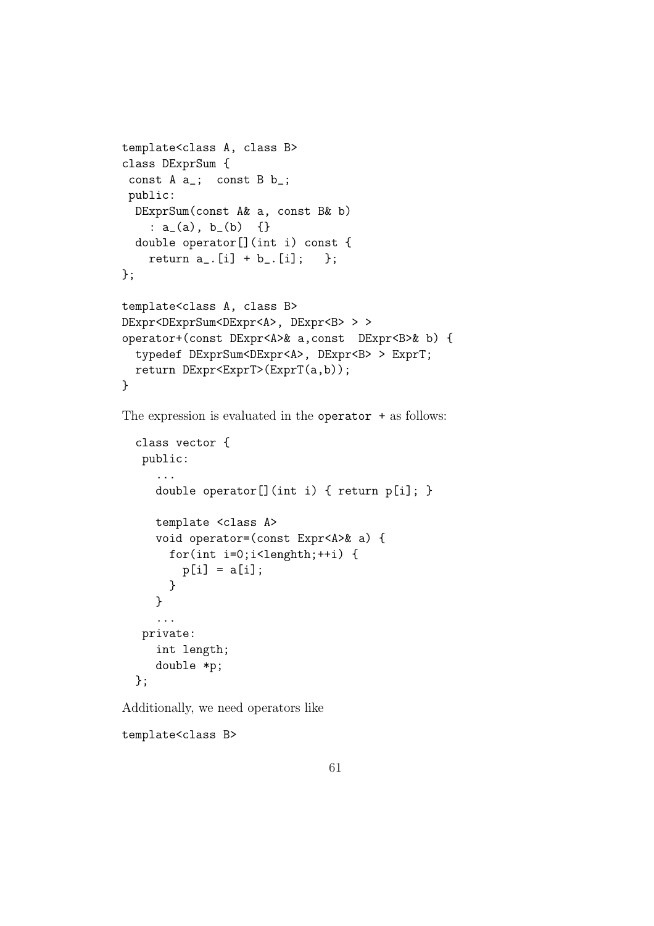```
template<class A, class B>
class DExprSum {
 const A a_; const B b_;
 public:
  DExprSum(const A& a, const B& b)
    : a_-(a), b_-(b) {}
  double operator[](int i) const {
    return a_{-}. [i] + b_{-}. [i]; };
};
template<class A, class B>
DExpr<DExprSum<DExpr<A>, DExpr<B>>>>>>>>>
operator+(const DExpr<A>& a,const DExpr<B>& b) {
  typedef DExprSum<DExpr<A>, DExpr<B> > ExprT;
  return DExpr<ExprT>(ExprT(a,b));
}
```
The expression is evaluated in the operator  $+$  as follows:

```
class vector {
 public:
   ...
   double operator[](int i) { return p[i]; }
   template <class A>
   void operator=(const Expr<A>& a) {
     for(int i=0;i<lenghth;++i) {
       p[i] = a[i];}
   }
   ...
 private:
   int length;
   double *p;
};
```
Additionally, we need operators like

template<class B>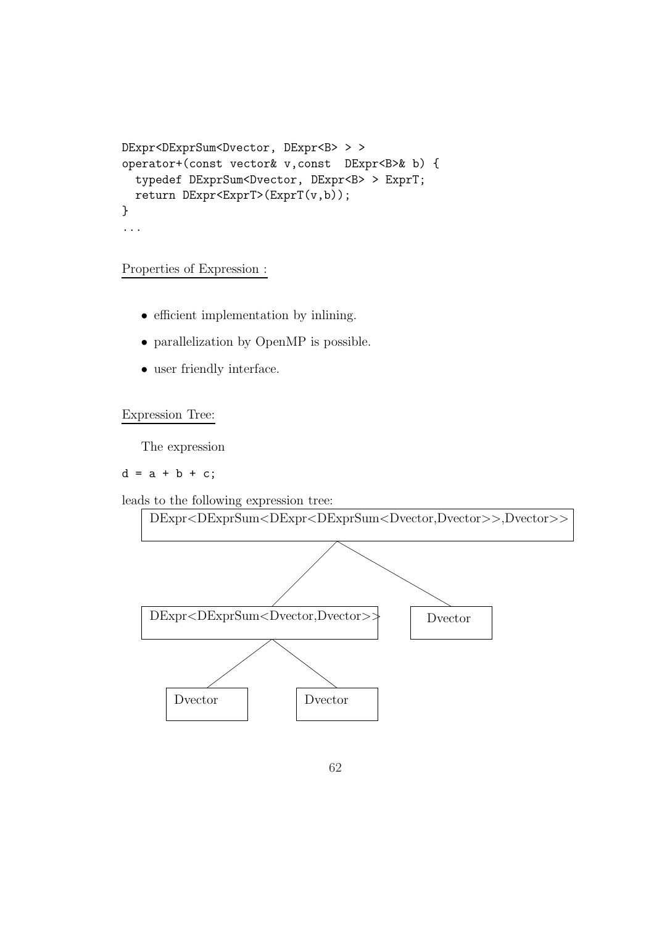```
DExpr<DExprSum<Dvector, DExpr<B> > >
operator+(const vector& v,const DExpr<B>& b) {
  typedef DExprSum<Dvector, DExpr<B> > ExprT;
 return DExpr<ExprT>(ExprT(v,b));
}
...
```
#### Properties of Expression :

- efficient implementation by inlining.
- parallelization by OpenMP is possible.
- user friendly interface.

Expression Tree:

The expression

#### $d = a + b + c$ ;

leads to the following expression tree:

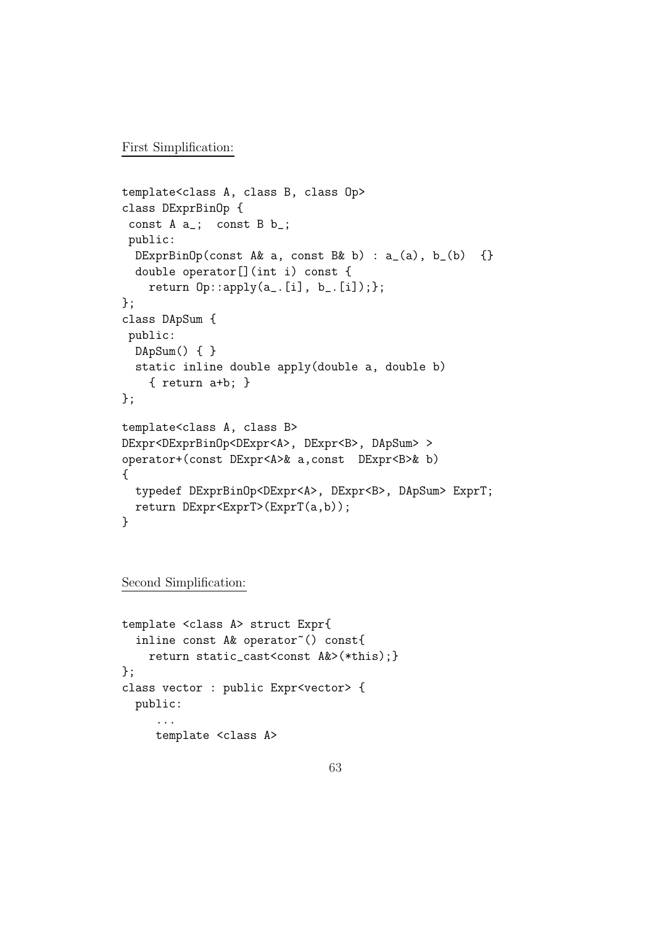First Simplification:

```
template<class A, class B, class Op>
class DExprBinOp {
 const A a_; const B b_;
 public:
  DExprBinOp(const A& a, const B& b) : a_-(a), b_-(b) {}
  double operator[](int i) const {
    return 0p::apply(a_{i}:[i], b_{i}:[i]);};
class DApSum {
 public:
 DApSum() { }
  static inline double apply(double a, double b)
    { return a+b; }
};
template<class A, class B>
DExpr<DExprBinOp<DExpr<A>, DExpr<B>, DApSum> >
operator+(const DExpr<A>& a,const DExpr<B>& b)
{
  typedef DExprBinOp<DExpr<A>, DExpr<B>, DApSum> ExprT;
  return DExpr<ExprT>(ExprT(a,b));
}
```
Second Simplification:

```
template <class A> struct Expr{
  inline const A& operator"() const{
    return static_cast<const A&>(*this);}
};
class vector : public Expr<vector> {
  public:
     ...
     template <class A>
```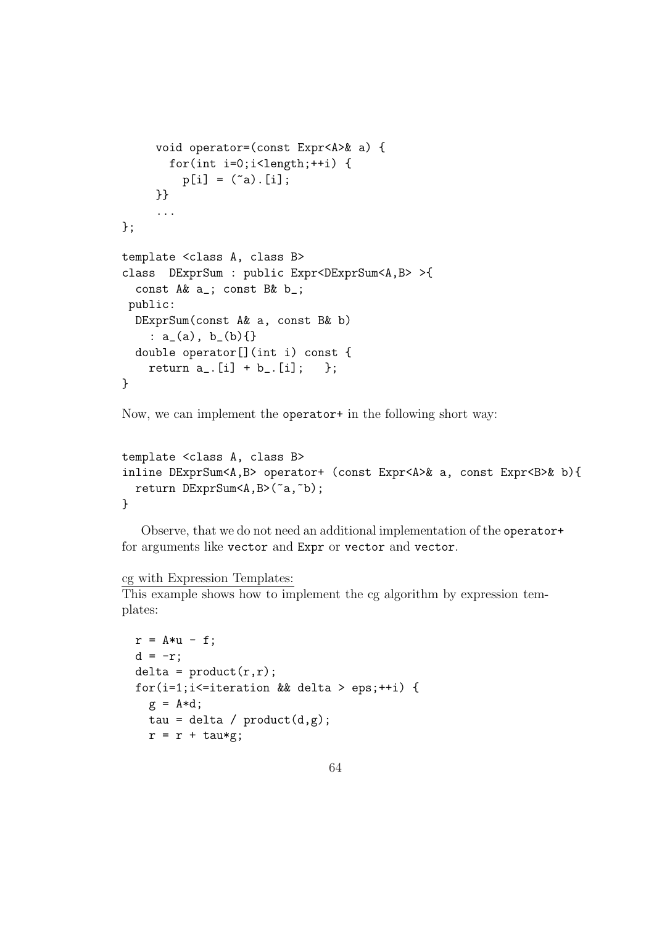```
void operator=(const Expr<A>& a) {
       for(int i=0; i<length;+i) {
         p[i] = (a) . [i];}}
     ...
};
template <class A, class B>
class DExprSum : public Expr<DExprSum<A,B> >{
  const A& a_; const B& b_;
public:
  DExprSum(const A& a, const B& b)
    : a_-(a), b_-(b) { }
  double operator[](int i) const {
    return a_{-}. [i] + b_{-}. [i]; };
}
```
Now, we can implement the operator+ in the following short way:

```
template <class A, class B>
inline DExprSum<A,B> operator+ (const Expr<A>& a, const Expr<B>& b){
 return DExprSum<A,B>(~a,~b);
}
```
Observe, that we do not need an additional implementation of the operator+ for arguments like vector and Expr or vector and vector.

#### cg with Expression Templates:

This example shows how to implement the cg algorithm by expression templates:

```
r = A*u - f;d = -r;
delta = product(r,r);for(i=1;i<=iteration && delta > eps;++i) {
  g = A * d;tau = delta / product(d,g);
  r = r + \text{tau};
```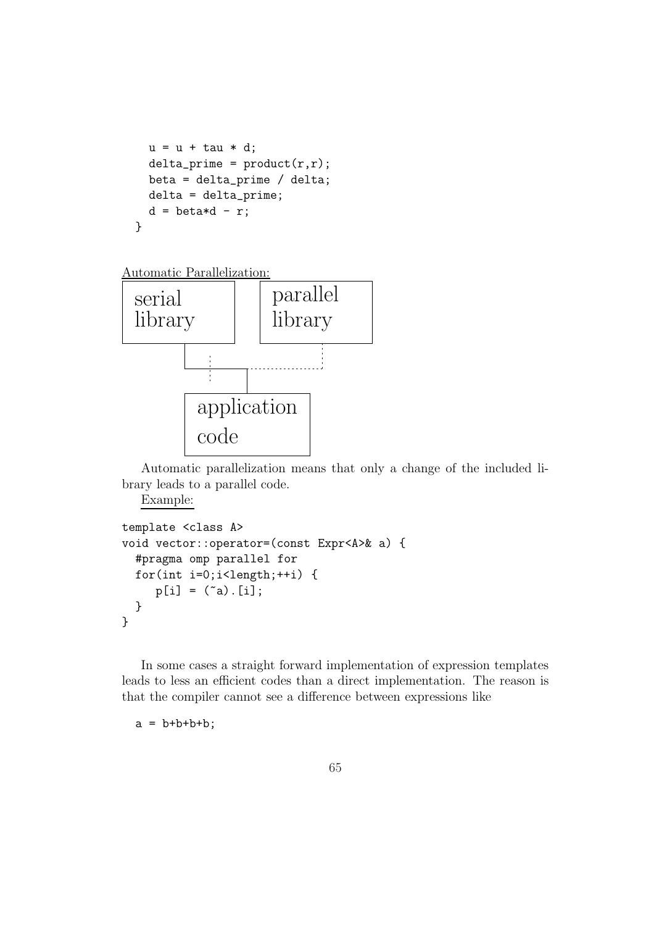```
u = u + \tan * d;delta\_prime = product(r,r);beta = delta_prime / delta;
  delta = delta_prime;
  d = \text{beta} * d - r;}
```

```
Automatic Parallelization:
```


Automatic parallelization means that only a change of the included library leads to a parallel code.

Example:

```
template <class A>
void vector::operator=(const Expr<A>& a) {
 #pragma omp parallel for
 for(int i=0; i<length;+i) {
    p[i] = (a) [i];}
}
```
In some cases a straight forward implementation of expression templates leads to less an efficient codes than a direct implementation. The reason is that the compiler cannot see a difference between expressions like

 $a = b+b+b+b;$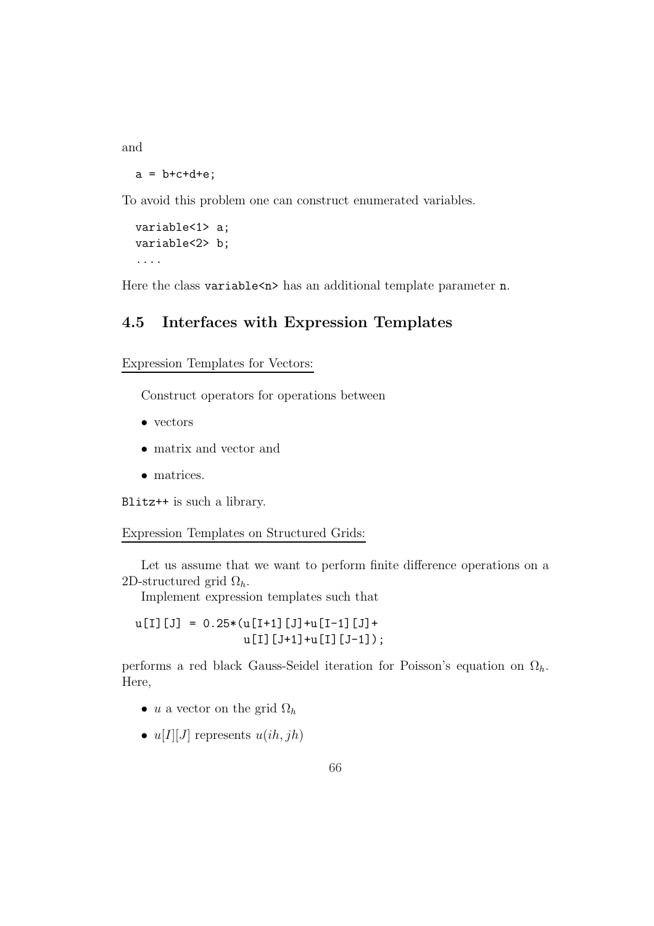and

 $a = b + c + d + e$ ;

To avoid this problem one can construct enumerated variables.

variable<1> a; variable<2> b; ....

Here the class variable  $\langle n \rangle$  has an additional template parameter n.

## 4.5 Interfaces with Expression Templates

Expression Templates for Vectors:

Construct operators for operations between

- vectors
- matrix and vector and
- matrices.

Blitz++ is such a library.

#### Expression Templates on Structured Grids:

Let us assume that we want to perform finite difference operations on a 2D-structured grid  $\Omega_h$ .

Implement expression templates such that

 $u[I][J] = 0.25*(u[I+1][J]+u[I-1][J]+$ u[I][J+1]+u[I][J-1]);

performs a red black Gauss-Seidel iteration for Poisson's equation on  $\Omega_h$ . Here,

- u a vector on the grid  $\Omega_h$
- $u[I][J]$  represents  $u(ih, jh)$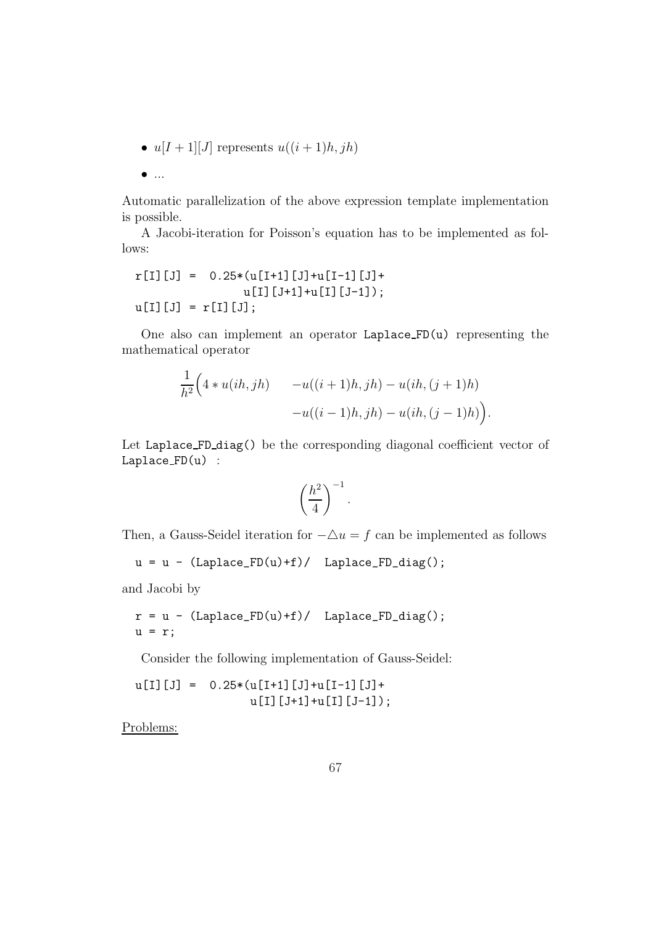•  $u[I+1][J]$  represents  $u((i+1)h, jh)$ 

```
\bullet ...
```
Automatic parallelization of the above expression template implementation is possible.

A Jacobi-iteration for Poisson's equation has to be implemented as follows:

$$
r[I][J] = 0.25*(u[I+1][J]+u[I-1][J]+u[I][J-1]);
$$
  
\n
$$
u[I][J] = r[I][J];
$$

One also can implement an operator Laplace FD(u) representing the mathematical operator

$$
\frac{1}{h^2} \Big( 4 * u(ih, jh) - u((i+1)h, jh) - u(ih, (j+1)h) - u((i-1)h, jh) - u(ih, (j-1)h) \Big).
$$

Let Laplace FD diag() be the corresponding diagonal coefficient vector of Laplace FD(u) :

$$
\left(\frac{h^2}{4}\right)^{-1}.
$$

Then, a Gauss-Seidel iteration for  $-\Delta u = f$  can be implemented as follows

```
u = u - (Laplace_FD(u)+f) / Laplace_FD_diag();
```
and Jacobi by

$$
r = u - (Laplace_FD(u)+f) / Laplace_FD_diag();
$$
  
  $u = r;$ 

Consider the following implementation of Gauss-Seidel:

 $u[I][J] = 0.25*(u[I+1][J]+u[I-1][J]+$ u[I][J+1]+u[I][J-1]);

Problems: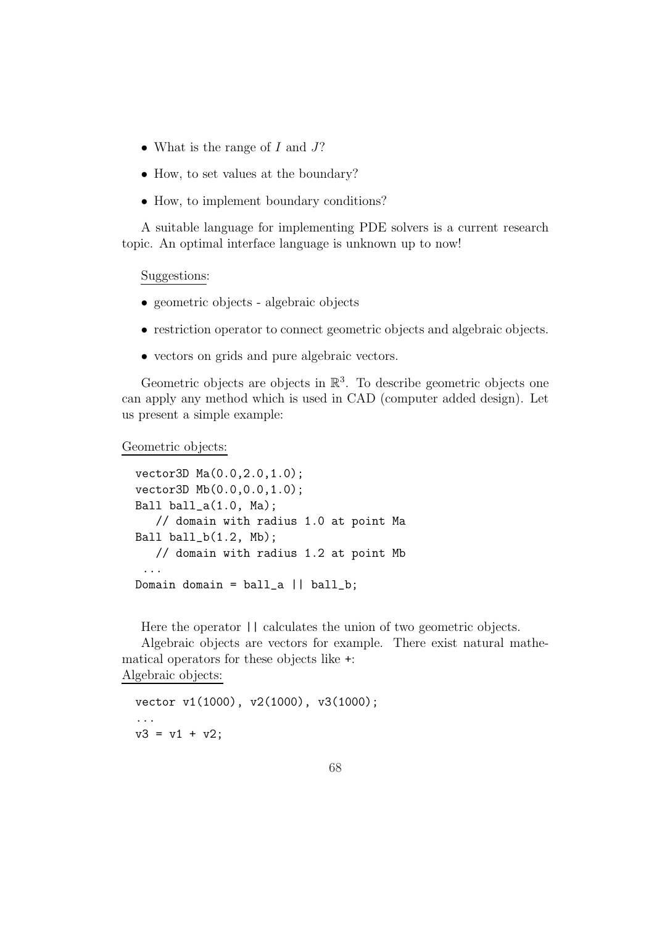- What is the range of  $I$  and  $J$ ?
- How, to set values at the boundary?
- How, to implement boundary conditions?

A suitable language for implementing PDE solvers is a current research topic. An optimal interface language is unknown up to now!

#### Suggestions:

- geometric objects algebraic objects
- restriction operator to connect geometric objects and algebraic objects.
- vectors on grids and pure algebraic vectors.

Geometric objects are objects in  $\mathbb{R}^3$ . To describe geometric objects one can apply any method which is used in CAD (computer added design). Let us present a simple example:

Geometric objects:

```
vector3D Ma(0.0,2.0,1.0);
vector3D Mb(0.0,0.0,1.0);
Ball ball_a(1.0, Ma);
   // domain with radius 1.0 at point Ma
Ball ball_b(1.2, Mb);
   // domain with radius 1.2 at point Mb
 ...
Domain domain = ball_a || ball_b;
```
Here the operator  $||$  calculates the union of two geometric objects.

Algebraic objects are vectors for example. There exist natural mathematical operators for these objects like +:

Algebraic objects:

vector v1(1000), v2(1000), v3(1000); ...  $v3 = v1 + v2$ ;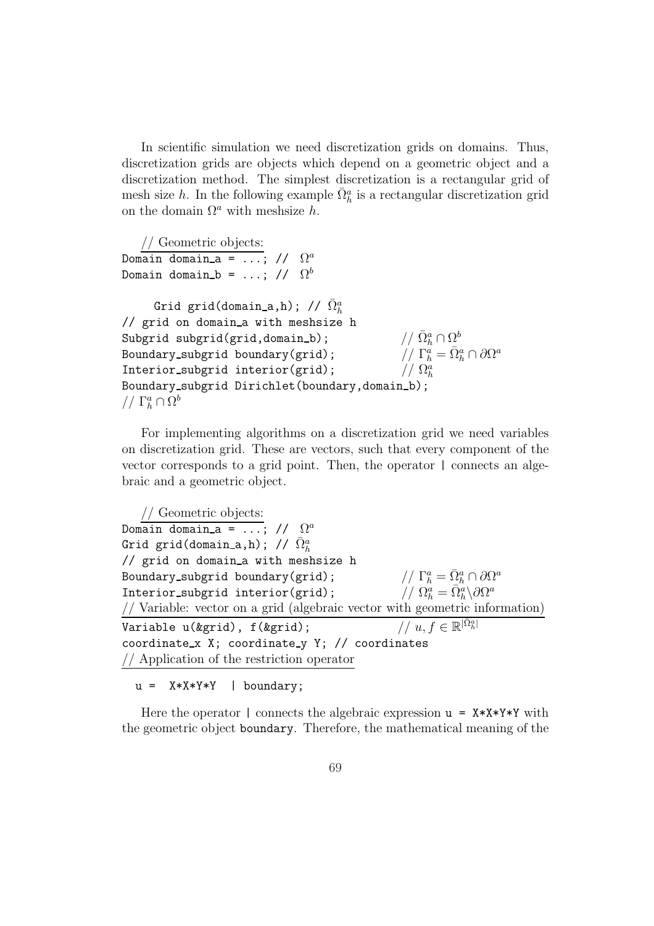In scientific simulation we need discretization grids on domains. Thus, discretization grids are objects which depend on a geometric object and a discretization method. The simplest discretization is a rectangular grid of mesh size h. In the following example  $\bar{\Omega}_h^a$  is a rectangular discretization grid on the domain  $\Omega^a$  with meshsize h.

// Geometric objects: Domain domain\_a = ...; //  $\Omega$  $\Omega^a$ Domain domain\_b = ...; //  $\Omega^b$ Grid grid(domain\_a,h); //  $\bar{\Omega}^a_h$ // grid on domain a with meshsize h Subgrid subgrid(grid,domain\_b);  $_{h}^{a}\cap \Omega _{p}^{b}$ Boundary\_subgrid boundary(grid);  $\overline{a}^a_h = \overline{\Omega}^a_h \cap \partial \Omega^a$ Interior\_subgrid interior(grid); //  $\Omega_h^a$ Boundary\_subgrid Dirichlet(boundary,domain\_b);  $// \Gamma_h^a \cap \Omega_b^b$ 

For implementing algorithms on a discretization grid we need variables on discretization grid. These are vectors, such that every component of the vector corresponds to a grid point. Then, the operator | connects an algebraic and a geometric object.

```
// Geometric objects:
Domain domain_a = ...; // \Omega^aGrid grid(domain_a,h); // \bar{\Omega}^a_h// grid on domain_a with meshsize h
Boundary_subgrid boundary(grid);
                                                                 \Omega_h^a = \bar{\Omega}_h^a \cap \partial \Omega^aInterior_subgrid interior(grid);
                                                                  \tilde{a}_h^a = \bar{\Omega}_h^a \backslash \partial \Omega^a// Variable: vector on a grid (algebraic vector with geometric information)
Variable u(&grid), f(&grid); \qquad \qquad // \; u,f \in \mathbb{R}^{|\bar{\Omega}^a_h|}coordinate_x X; coordinate_y Y; // coordinates
// Application of the restriction operator
```
 $u = X*X*Y*Y$  | boundary;

Here the operator | connects the algebraic expression  $u = X*X*Y*Y$  with the geometric object boundary. Therefore, the mathematical meaning of the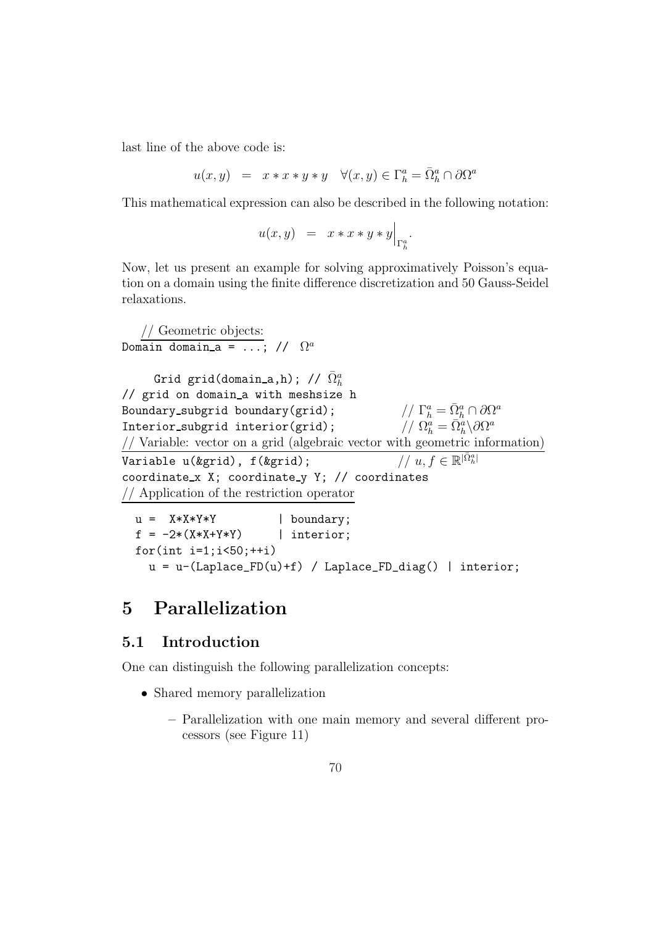last line of the above code is:

$$
u(x, y) = x * x * y * y \quad \forall (x, y) \in \Gamma_h^a = \overline{\Omega}_h^a \cap \partial \Omega^a
$$

This mathematical expression can also be described in the following notation:

$$
u(x,y) = x * x * y * y \Big|_{\Gamma_h^a}.
$$

Now, let us present an example for solving approximatively Poisson's equation on a domain using the finite difference discretization and 50 Gauss-Seidel relaxations.

```
// Geometric objects:
Domain domain_a = ...; // \Omega^aGrid grid(domain_a,h); // \bar{\Omega}^a_h// grid on domain a with meshsize h
Boundary_subgrid boundary(grid);
                                                            \Omega_h^a = \overline{\Omega}_h^a \cap \partial \Omega^aInterior_subgrid interior(grid);
                                                             \tilde{a}_h^a = \bar{\Omega}_h^a \backslash \partial \Omega^a// Variable: vector on a grid (algebraic vector with geometric information)
Variable u(&grid), f(&grid);
                                                                   |\bar{\Omega}^a_h|coordinate x X; coordinate y Y; // coordinates
// Application of the restriction operator
  u = X*X*Y*Y | boundary;
  f = -2*(X*X+Y*Y) | interior;
  for(int i=1; i<50; ++i)
```
 $u = u-(Laplace_FD(u)+f)$  / Laplace\_FD\_diag() | interior;

# 5 Parallelization

### 5.1 Introduction

One can distinguish the following parallelization concepts:

- Shared memory parallelization
	- Parallelization with one main memory and several different processors (see Figure 11)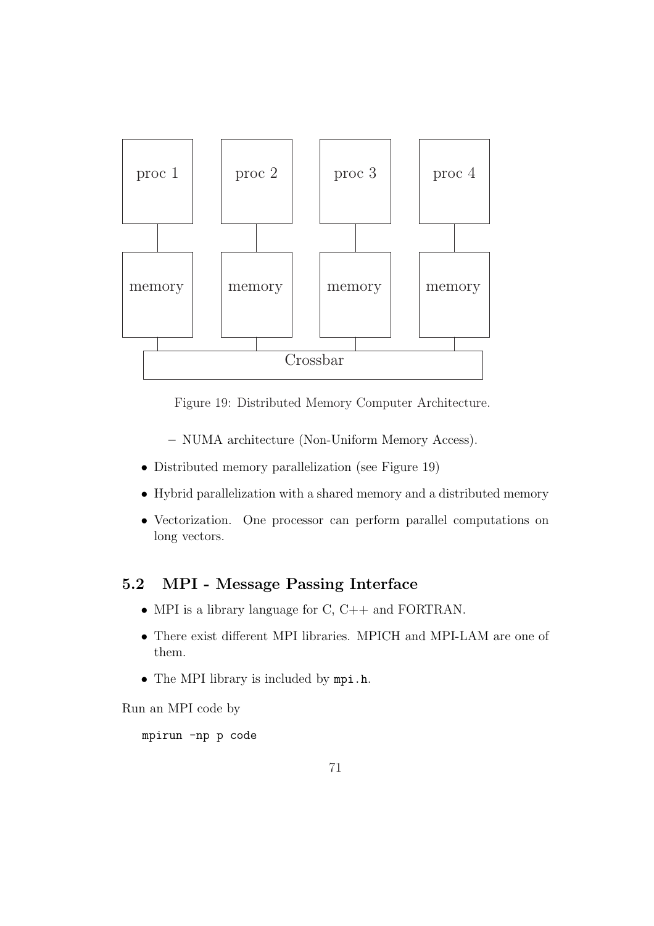

Figure 19: Distributed Memory Computer Architecture.

- NUMA architecture (Non-Uniform Memory Access).
- Distributed memory parallelization (see Figure 19)
- Hybrid parallelization with a shared memory and a distributed memory
- Vectorization. One processor can perform parallel computations on long vectors.

### 5.2 MPI - Message Passing Interface

- MPI is a library language for C, C++ and FORTRAN.
- There exist different MPI libraries. MPICH and MPI-LAM are one of them.
- The MPI library is included by mpi.h.

Run an MPI code by

mpirun -np p code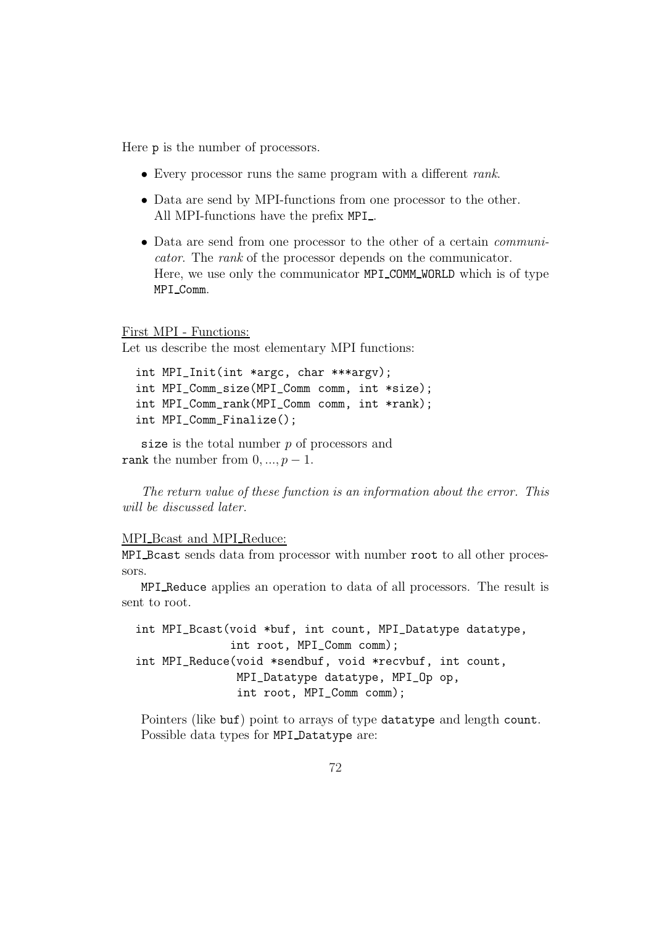Here p is the number of processors.

- Every processor runs the same program with a different *rank*.
- Data are send by MPI-functions from one processor to the other. All MPI-functions have the prefix MPI...
- Data are send from one processor to the other of a certain communicator. The rank of the processor depends on the communicator. Here, we use only the communicator MPI COMM WORLD which is of type MPI Comm.

#### First MPI - Functions:

Let us describe the most elementary MPI functions:

```
int MPI_Init(int *argc, char ***argv);
int MPI_Comm_size(MPI_Comm comm, int *size);
int MPI_Comm_rank(MPI_Comm comm, int *rank);
int MPI_Comm_Finalize();
```
size is the total number  $p$  of processors and rank the number from  $0, ..., p-1$ .

The return value of these function is an information about the error. This will be discussed later.

### MPI Bcast and MPI Reduce:

MPI Bcast sends data from processor with number root to all other processors.

MPI Reduce applies an operation to data of all processors. The result is sent to root.

int MPI\_Bcast(void \*buf, int count, MPI\_Datatype datatype, int root, MPI\_Comm comm); int MPI\_Reduce(void \*sendbuf, void \*recvbuf, int count, MPI\_Datatype datatype, MPI\_Op op, int root, MPI\_Comm comm);

Pointers (like buf) point to arrays of type datatype and length count. Possible data types for MPI Datatype are: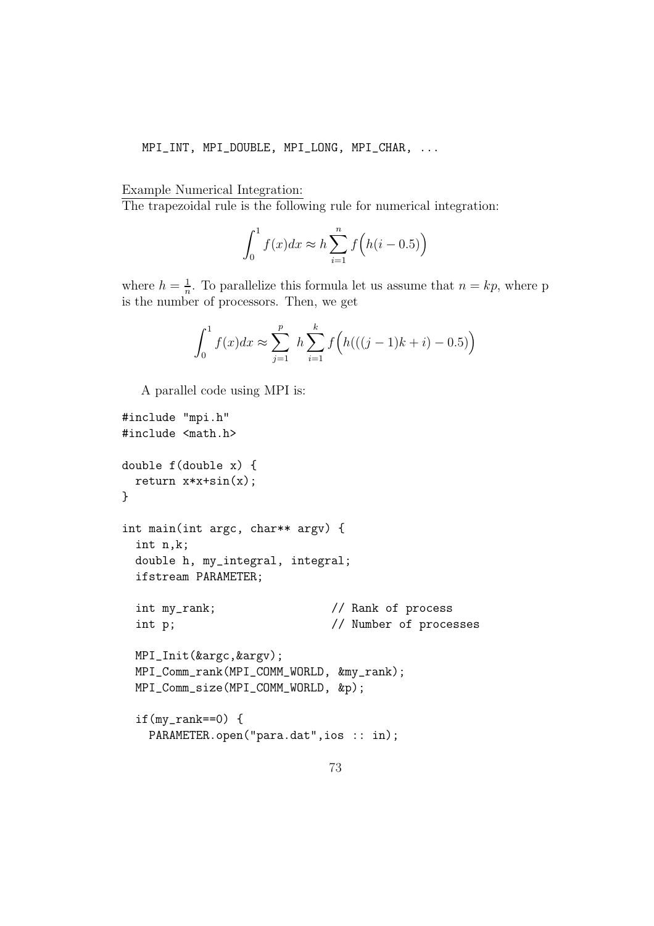#### MPI\_INT, MPI\_DOUBLE, MPI\_LONG, MPI\_CHAR, ...

#### Example Numerical Integration:

The trapezoidal rule is the following rule for numerical integration:

$$
\int_0^1 f(x)dx \approx h \sum_{i=1}^n f\left(h(i-0.5)\right)
$$

where  $h=\frac{1}{n}$  $\frac{1}{n}$ . To parallelize this formula let us assume that  $n = kp$ , where p is the number of processors. Then, we get

$$
\int_0^1 f(x)dx \approx \sum_{j=1}^p h \sum_{i=1}^k f\Big(h(((j-1)k+i)-0.5)\Big)
$$

A parallel code using MPI is:

```
#include "mpi.h"
#include <math.h>
double f(double x) {
 return x*x+sin(x);
}
int main(int argc, char** argv) {
  int n,k;
  double h, my_integral, integral;
  ifstream PARAMETER;
  int my_rank; \frac{1}{2} // Rank of process
  int p; \frac{1}{2} // Number of processes
 MPI_Init(&argc,&argv);
  MPI_Comm_rank(MPI_COMM_WORLD, &my_rank);
  MPI_Comm_size(MPI_COMM_WORLD, &p);
  if(my\_rank==0) {PARAMETER.open("para.dat",ios :: in);
```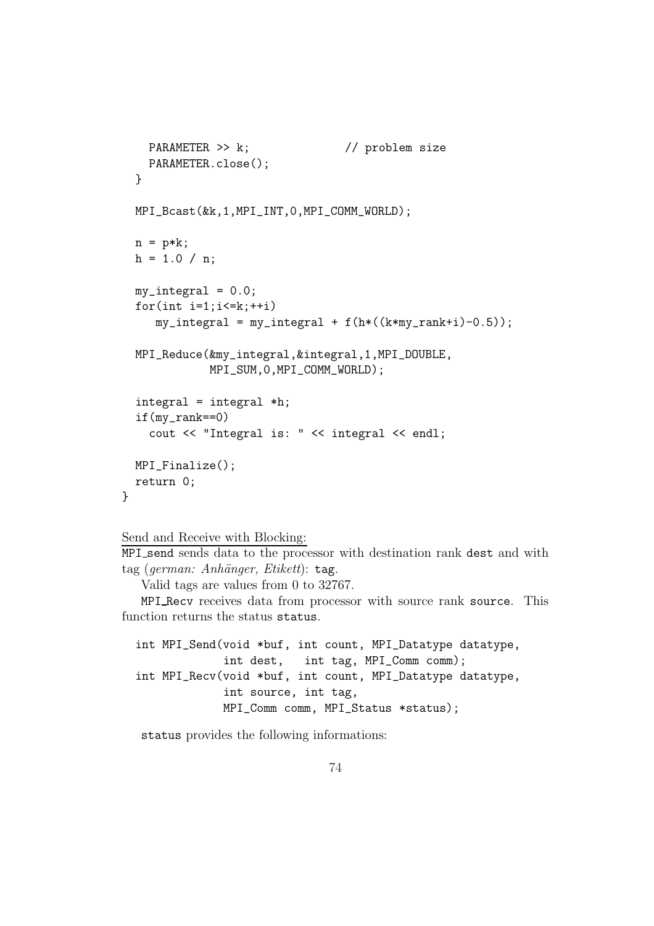```
PARAMETER >> k; // problem size
  PARAMETER.close();
}
MPI_Bcast(&k,1,MPI_INT,0,MPI_COMM_WORLD);
n = p*k;h = 1.0 / n;
my\_integral = 0.0;for(int i=1; i<=k; ++i)my\_integral = my\_integral + f(h*((k*my\_rank+i)-0.5));MPI_Reduce(&my_integral,&integral,1,MPI_DOUBLE,
           MPI_SUM,0,MPI_COMM_WORLD);
integral = integral *h;
if(my_rank==0)
  cout << "Integral is: " << integral << endl;
MPI_Finalize();
return 0;
```
Send and Receive with Blocking:

}

MPI send sends data to the processor with destination rank dest and with tag (german: Anhänger, Etikett): tag.

Valid tags are values from 0 to 32767.

MPI Recv receives data from processor with source rank source. This function returns the status status.

int MPI\_Send(void \*buf, int count, MPI\_Datatype datatype, int dest, int tag, MPI\_Comm comm); int MPI\_Recv(void \*buf, int count, MPI\_Datatype datatype, int source, int tag, MPI\_Comm comm, MPI\_Status \*status);

status provides the following informations: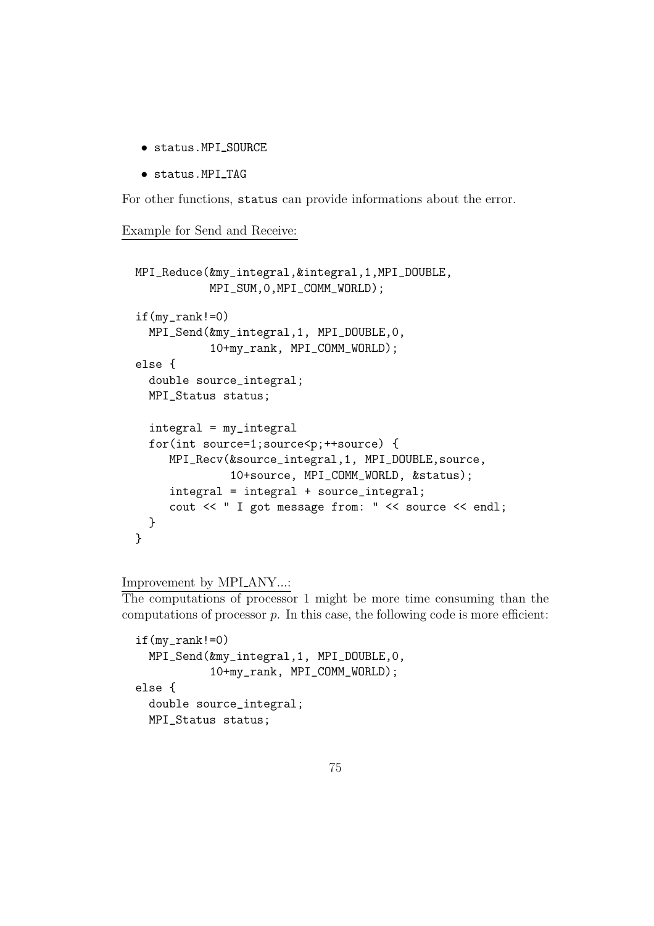- status.MPI SOURCE
- status.MPI TAG

For other functions, status can provide informations about the error.

Example for Send and Receive:

```
MPI_Reduce(&my_integral,&integral,1,MPI_DOUBLE,
           MPI_SUM,0,MPI_COMM_WORLD);
if(my\_rank!=0)MPI_Send(&my_integral,1, MPI_DOUBLE,0,
           10+my_rank, MPI_COMM_WORLD);
else {
  double source_integral;
  MPI_Status status;
  integral = my_integral
  for(int source=1;source<p;++source) {
     MPI_Recv(&source_integral,1, MPI_DOUBLE,source,
              10+source, MPI_COMM_WORLD, &status);
     integral = integral + source_integral;
     cout << " I got message from: " << source << endl;
  }
}
```
Improvement by MPI\_ANY...:

The computations of processor 1 might be more time consuming than the computations of processor  $p$ . In this case, the following code is more efficient:

```
if(my\_rank!=0)MPI_Send(&my_integral,1, MPI_DOUBLE,0,
           10+my_rank, MPI_COMM_WORLD);
else {
  double source_integral;
 MPI_Status status;
```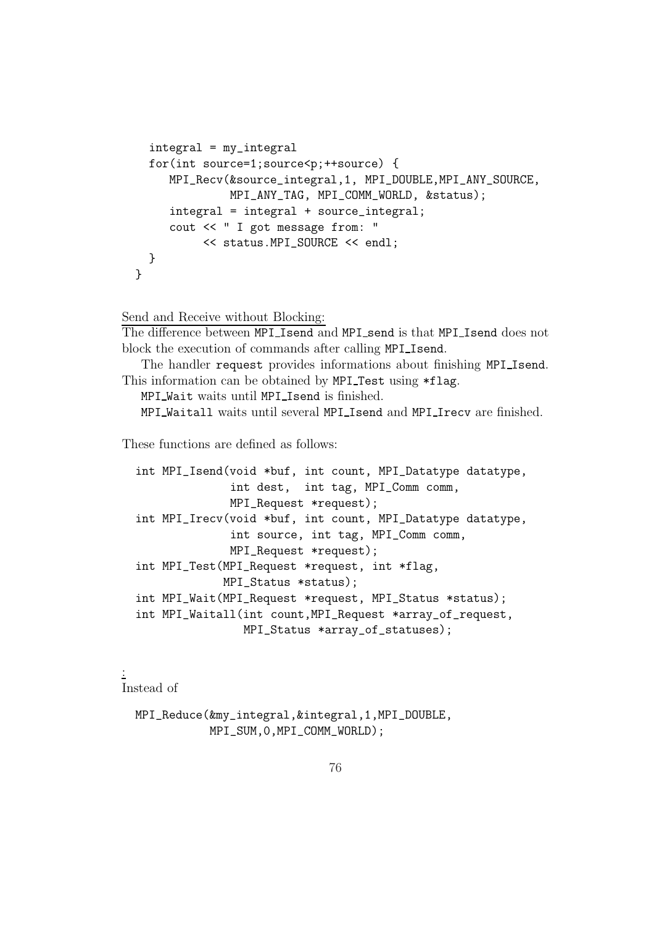```
integral = my_integral
  for(int source=1;source<p;++source) {
     MPI_Recv(&source_integral,1, MPI_DOUBLE,MPI_ANY_SOURCE,
              MPI_ANY_TAG, MPI_COMM_WORLD, &status);
     integral = integral + source_integral;
     cout << " I got message from: "
          << status.MPI_SOURCE << endl;
 }
}
```
Send and Receive without Blocking:

The difference between MPI Isend and MPI send is that MPI Isend does not block the execution of commands after calling MPI Isend.

The handler request provides informations about finishing MPI Isend. This information can be obtained by MPI Test using \*flag.

MPI\_Wait waits until MPI\_Isend is finished.

MPI Waitall waits until several MPI Isend and MPI Irecv are finished.

These functions are defined as follows:

```
int MPI_Isend(void *buf, int count, MPI_Datatype datatype,
              int dest, int tag, MPI_Comm comm,
              MPI_Request *request);
int MPI_Irecv(void *buf, int count, MPI_Datatype datatype,
              int source, int tag, MPI_Comm comm,
              MPI_Request *request);
int MPI_Test(MPI_Request *request, int *flag,
             MPI_Status *status);
int MPI_Wait(MPI_Request *request, MPI_Status *status);
int MPI_Waitall(int count,MPI_Request *array_of_request,
                MPI_Status *array_of_statuses);
```
: Instead of

> MPI\_Reduce(&my\_integral,&integral,1,MPI\_DOUBLE, MPI\_SUM.0.MPI\_COMM\_WORLD);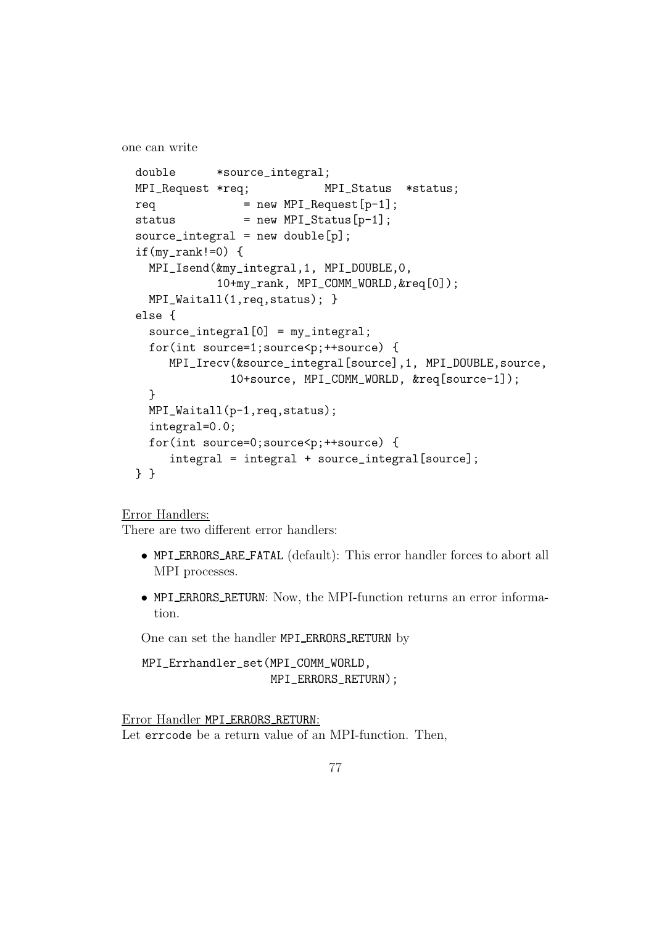one can write

```
double *source_integral;
MPI_Request *req; MPI_Status *status;
req = new MPI\_Request[p-1];status = new MPI_Status[p-1];
source\_integral = new double[p];if(my\_rank!=0) {
  MPI_Isend(&my_integral,1, MPI_DOUBLE,0,
           10+my_rank, MPI_COMM_WORLD,&req[0]);
  MPI_Waitall(1,req, status); }
else {
  source_integral[0] = my_integral;
  for(int source=1;source<p;++source) {
    MPI_Irecv(&source_integral[source],1, MPI_DOUBLE,source,
             10+source, MPI_COMM_WORLD, &req[source-1]);
  }
  MPI_Waitall(p-1,req,status);
  integral=0.0;
  for(int source=0;source<p;++source) {
     integral = integral + source_integral[source];
} }
```
Error Handlers:

There are two different error handlers:

- MPI ERRORS ARE FATAL (default): This error handler forces to abort all MPI processes.
- MPI ERRORS RETURN: Now, the MPI-function returns an error information.

One can set the handler MPI ERRORS RETURN by

MPI\_Errhandler\_set(MPI\_COMM\_WORLD, MPI\_ERRORS\_RETURN);

Error Handler MPI ERRORS RETURN: Let errcode be a return value of an MPI-function. Then,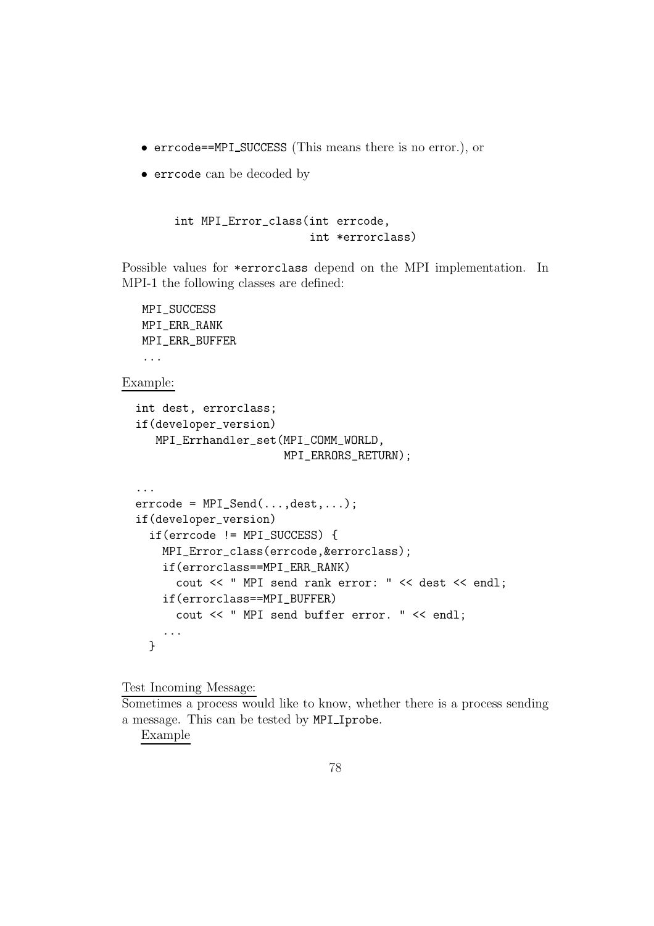- errcode==MPI SUCCESS (This means there is no error.), or
- errcode can be decoded by

```
int MPI_Error_class(int errcode,
                    int *errorclass)
```
Possible values for \*errorclass depend on the MPI implementation. In MPI-1 the following classes are defined:

## MPI\_SUCCESS MPI\_ERR\_RANK MPI\_ERR\_BUFFER ... Example: int dest, errorclass; if(developer\_version) MPI\_Errhandler\_set(MPI\_COMM\_WORLD, MPI\_ERRORS\_RETURN); ...  $\text{erroode} = \text{MPI\_Send}(\ldots, \text{dest}, \ldots);$ if(developer\_version) if(errcode != MPI\_SUCCESS) { MPI\_Error\_class(errcode,&errorclass); if(errorclass==MPI\_ERR\_RANK) cout << " MPI send rank error: " << dest << endl; if(errorclass==MPI\_BUFFER) cout << " MPI send buffer error. " << endl; ... }

Test Incoming Message:

Sometimes a process would like to know, whether there is a process sending a message. This can be tested by MPI Iprobe.

Example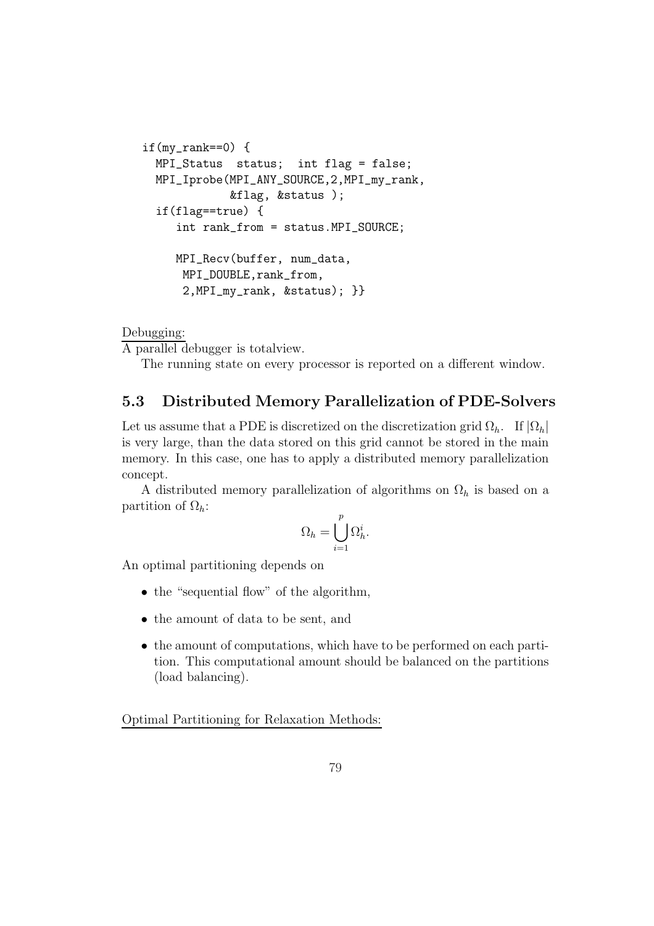```
if(my\_rank==0) {
  MPI_Status status; int flag = false;
  MPI_Iprobe(MPI_ANY_SOURCE,2,MPI_my_rank,
             &flag, &status );
  if(flag==true) {
     int rank_from = status.MPI_SOURCE;
     MPI_Recv(buffer, num_data,
      MPI_DOUBLE,rank_from,
      2,MPI_my_rank, &status); }}
```
Debugging:

A parallel debugger is totalview.

The running state on every processor is reported on a different window.

## 5.3 Distributed Memory Parallelization of PDE-Solvers

Let us assume that a PDE is discretized on the discretization grid  $\Omega_h$ . If  $|\Omega_h|$ is very large, than the data stored on this grid cannot be stored in the main memory. In this case, one has to apply a distributed memory parallelization concept.

A distributed memory parallelization of algorithms on  $\Omega_h$  is based on a partition of  $\Omega_h$ :

$$
\Omega_h = \bigcup_{i=1}^p \Omega_h^i.
$$

An optimal partitioning depends on

- the "sequential flow" of the algorithm,
- the amount of data to be sent, and
- the amount of computations, which have to be performed on each partition. This computational amount should be balanced on the partitions (load balancing).

Optimal Partitioning for Relaxation Methods: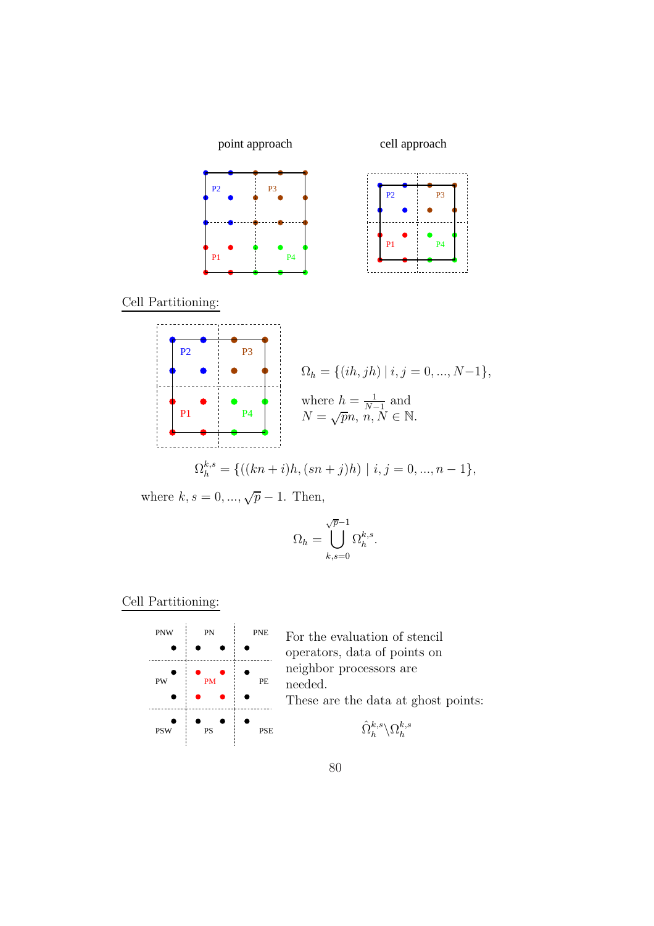





where 
$$
k, s = 0, ..., \sqrt{p} - 1
$$
. Then,

$$
\sqrt{p}\!-\!1
$$

$$
\Omega_h = \bigcup_{k,s=0} \Omega_h^{k,s}
$$

## Cell Partitioning:



PNW For the evaluation of stencil operators, data of points on neighbor processors are needed.

.

These are the data at ghost points:

$$
\hat{\Omega}_{h}^{k,s}\backslash\Omega_{h}^{k,s}
$$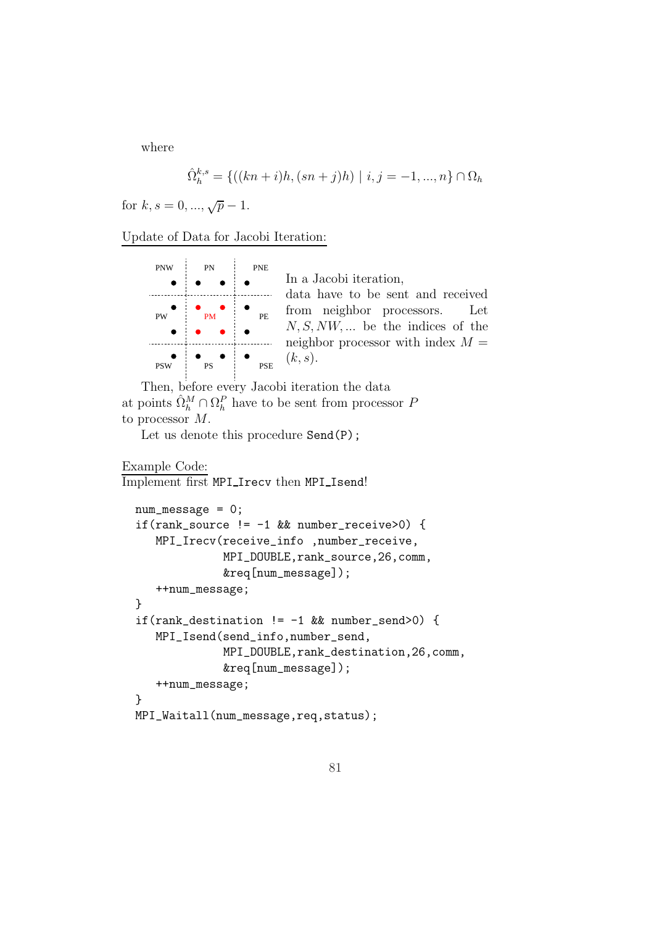where

$$
\hat{\Omega}_{h}^{k,s} = \{((kn+i)h, (sn+j)h) \mid i, j = -1, ..., n\} \cap \Omega_h
$$

for  $k, s = 0, ..., \sqrt{p} - 1$ .

| <b>PNW</b> | PN        | <b>PNE</b> | In a Jacobi iteration,                                                   |
|------------|-----------|------------|--------------------------------------------------------------------------|
|            |           |            | data have to be sent and received                                        |
| PW         | PM        | <b>PE</b>  | from neighbor processors. Let<br>$N, S, NW, \dots$ be the indices of the |
|            |           |            | neighbor processor with index $M =$                                      |
| <b>PSW</b> | <b>PS</b> |            | $\mathbf{PSE}$ $(k, s)$ .                                                |

Then, before every Jacobi iteration the data at points  $\hat{\Omega}_h^M \cap \Omega_h^P$  have to be sent from processor  $P$ to processor M.

Let us denote this procedure Send(P);

#### Example Code:

Implement first MPI Irecv then MPI Isend!

```
num_message = 0;
if(rank_source != -1 && number_receive>0) {
   MPI_Irecv(receive_info ,number_receive,
             MPI_DOUBLE,rank_source,26,comm,
             &req[num_message]);
   ++num_message;
}
if(rank_destination != -1 && number_send>0) {
   MPI_Isend(send_info,number_send,
             MPI_DOUBLE,rank_destination,26,comm,
             &req[num_message]);
   ++num_message;
}
MPI_Waitall(num_message,req,status);
```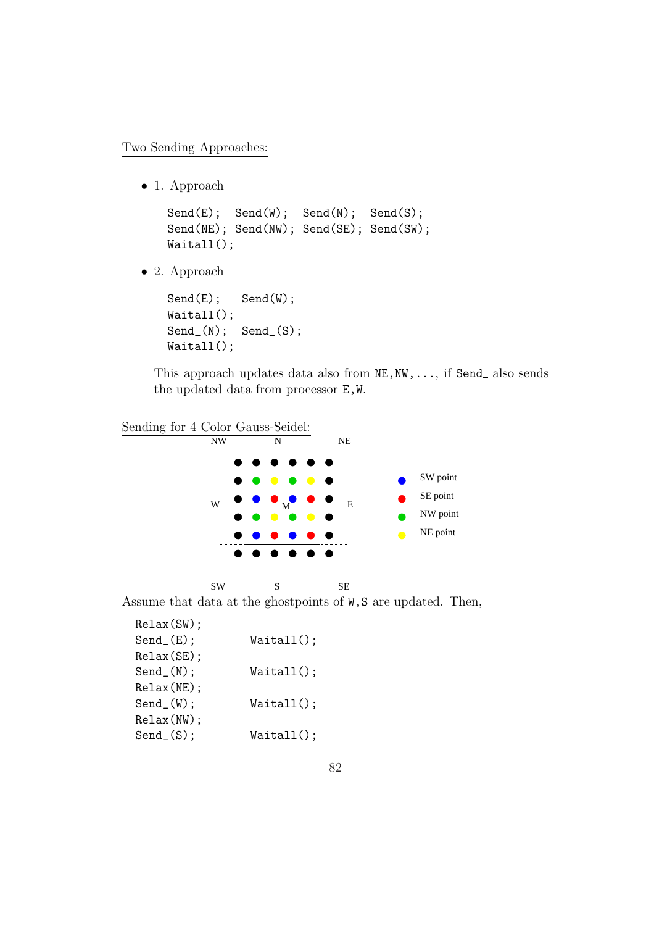Two Sending Approaches:

• 1. Approach

```
Send(E); Send(W); Send(N); Send(S);Send(NE); Send(NW); Send(SE); Send(SW);
Waitall();
```
• 2. Approach

Send(E); Send(W); Waitall(); Send\_(N); Send\_(S); Waitall();

This approach updates data also from  $NE, NW, \ldots$ , if Send also sends the updated data from processor E,W.



Assume that data at the ghostpoints of  $W, S$  are updated. Then,

| Relax(SW);     |            |
|----------------|------------|
| $Send_{-}(E);$ | Waitall(); |
| Relax(SE);     |            |
| $Send_{(N)}$ ; | Waitall(); |
| Relax(NE);     |            |
| $Send_{(W)}$ ; | Waitall(); |
| $Relax(NW)$ ;  |            |
| Send(S);       | Waitall(); |
|                |            |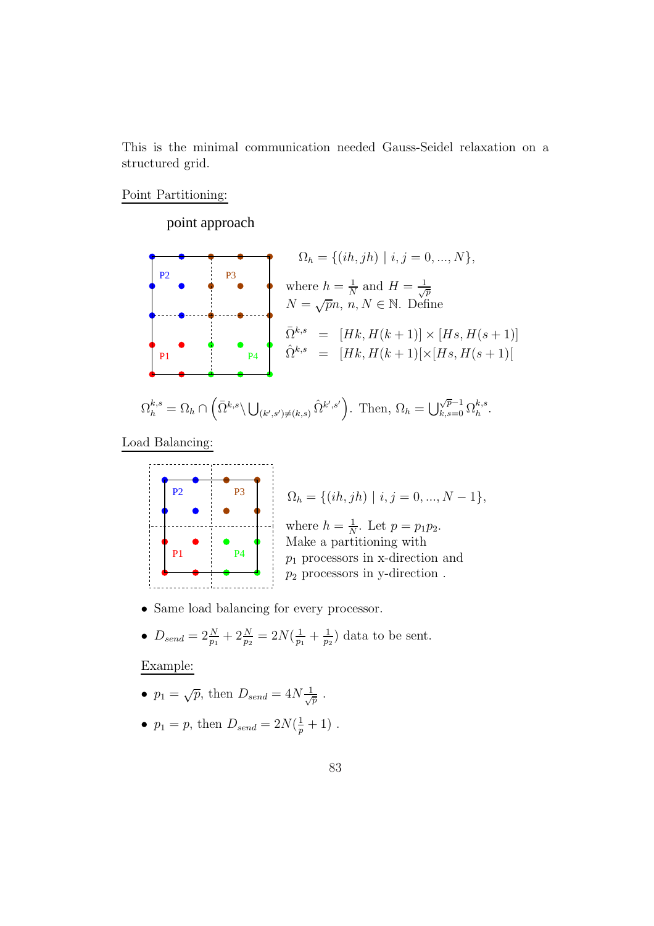This is the minimal communication needed Gauss-Seidel relaxation on a structured grid.

Point Partitioning:

### point approach



$$
\Omega_h^{k,s} = \Omega_h \cap \left( \bar{\Omega}^{k,s} \backslash \bigcup_{(k',s') \neq (k,s)} \hat{\Omega}^{k',s'} \right). \text{ Then, } \Omega_h = \bigcup_{k,s=0}^{\sqrt{p}-1} \Omega_h^{k,s}.
$$

Load Balancing:





- Same load balancing for every processor.
- $D_{send} = 2\frac{N}{p_1} + 2\frac{N}{p_2} = 2N(\frac{1}{p_1})$  $\frac{1}{p_1} + \frac{1}{p_2}$  $\frac{1}{p_2}$ ) data to be sent.

Example:

- $p_1 = \sqrt{p}$ , then  $D_{send} = 4N \frac{1}{\sqrt{p}}$ .
- $p_1 = p$ , then  $D_{send} = 2N(\frac{1}{p} + 1)$ .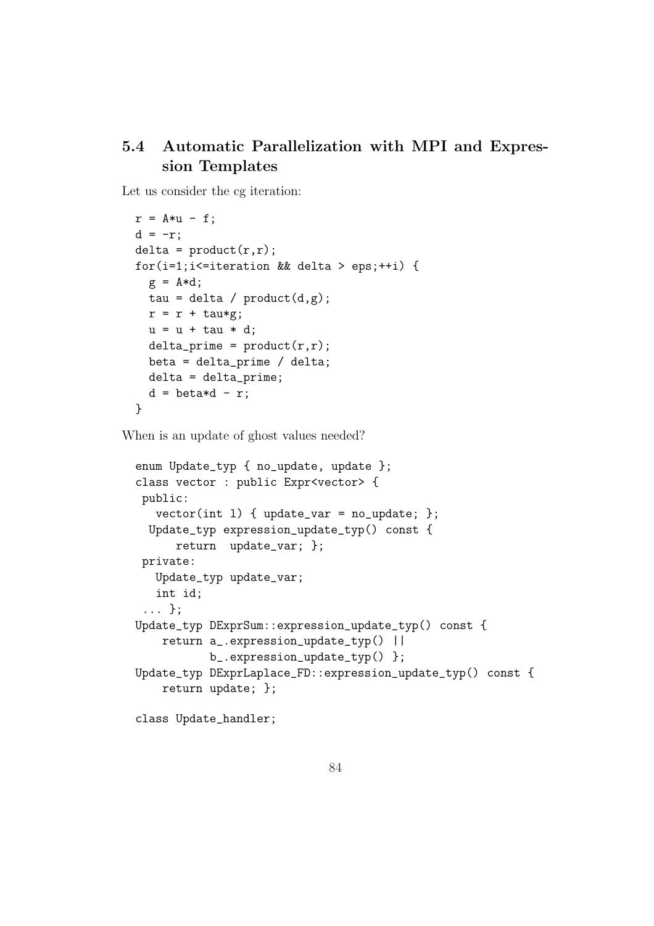## 5.4 Automatic Parallelization with MPI and Expression Templates

Let us consider the cg iteration:

```
r = A*u - f;
d = -r;
delta = product(r,r);for(i=1;i<=iteration && delta > eps;++i) {
  g = A*d;tau = delta / product(d,g);
  r = r + \text{tau};
  u = u + \tan * d;delta\_prime = product(r,r);beta = delta_prime / delta;
  delta = delta_prime;
  d = \text{beta} * d - r;
}
```
When is an update of ghost values needed?

```
enum Update_typ { no_update, update };
class vector : public Expr<vector> {
public:
  vector(int 1) { update_var = no_update; };
 Update_typ expression_update_typ() const {
      return update_var; };
private:
   Update_typ update_var;
   int id;
 ... };
Update_typ DExprSum::expression_update_typ() const {
    return a_.expression_update_typ() ||
           b_.expression_update_typ() };
Update_typ DExprLaplace_FD::expression_update_typ() const {
   return update; };
class Update_handler;
```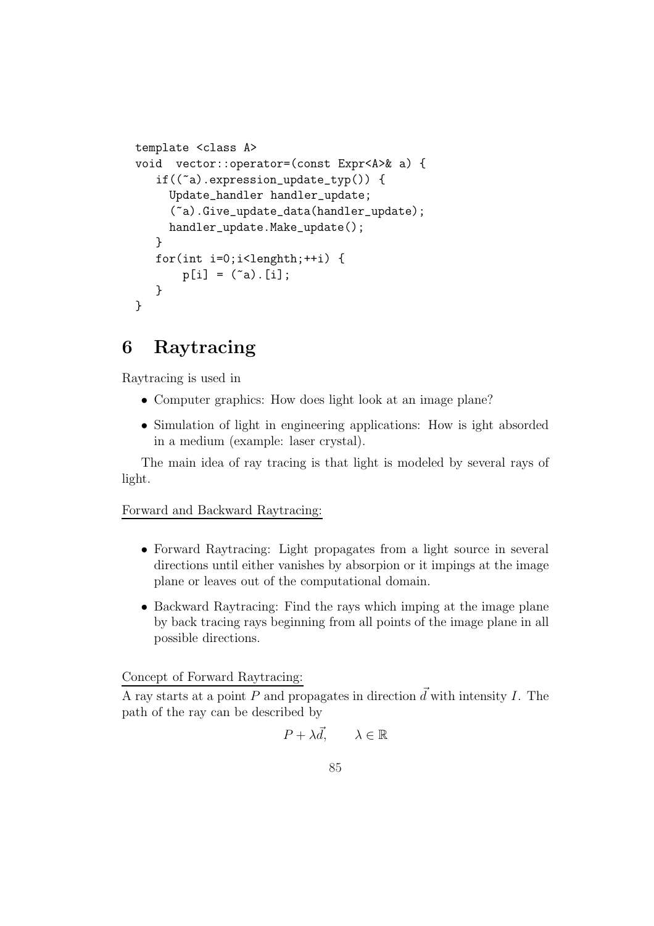```
template <class A>
void vector::operator=(const Expr<A>& a) {
   if((\tilde{a}).expression_update_typ()) {
     Update_handler handler_update;
     (~a).Give_update_data(handler_update);
     handler_update.Make_update();
   }
   for(int i=0; i<lenghth; +i) {
       p[i] = (a) . [i];}
}
```
# 6 Raytracing

Raytracing is used in

- Computer graphics: How does light look at an image plane?
- Simulation of light in engineering applications: How is ight absorded in a medium (example: laser crystal).

The main idea of ray tracing is that light is modeled by several rays of light.

### Forward and Backward Raytracing:

- Forward Raytracing: Light propagates from a light source in several directions until either vanishes by absorpion or it impings at the image plane or leaves out of the computational domain.
- Backward Raytracing: Find the rays which imping at the image plane by back tracing rays beginning from all points of the image plane in all possible directions.

### Concept of Forward Raytracing:

A ray starts at a point P and propagates in direction  $\vec{d}$  with intensity I. The path of the ray can be described by

$$
P + \lambda \vec{d}, \qquad \lambda \in \mathbb{R}
$$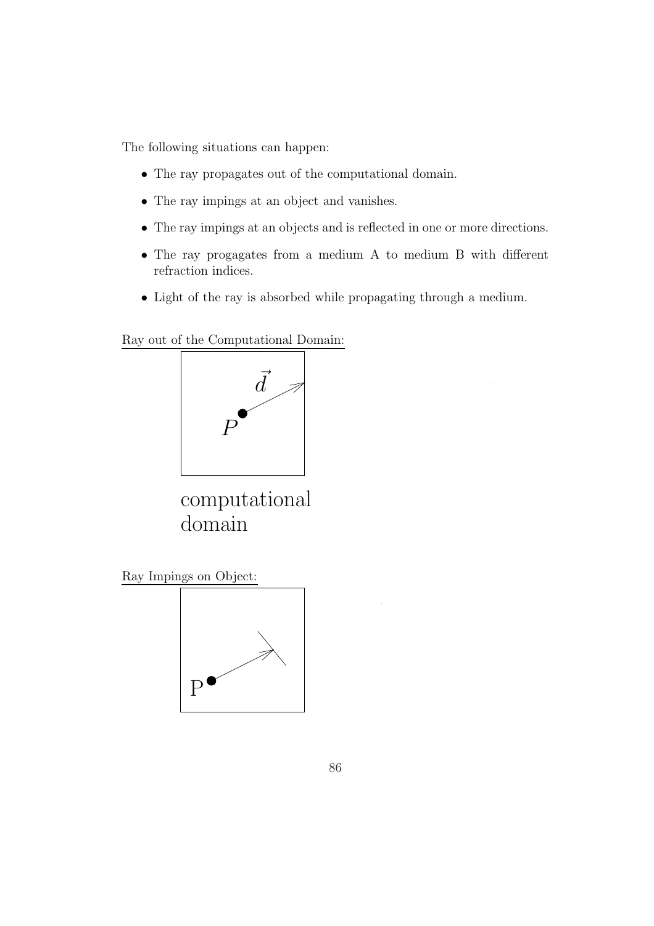The following situations can happen:

- The ray propagates out of the computational domain.
- The ray impings at an object and vanishes.
- The ray impings at an objects and is reflected in one or more directions.
- The ray progagates from a medium A to medium B with different refraction indices.
- Light of the ray is absorbed while propagating through a medium.

Ray out of the Computational Domain:



computational domain

Ray Impings on Object:

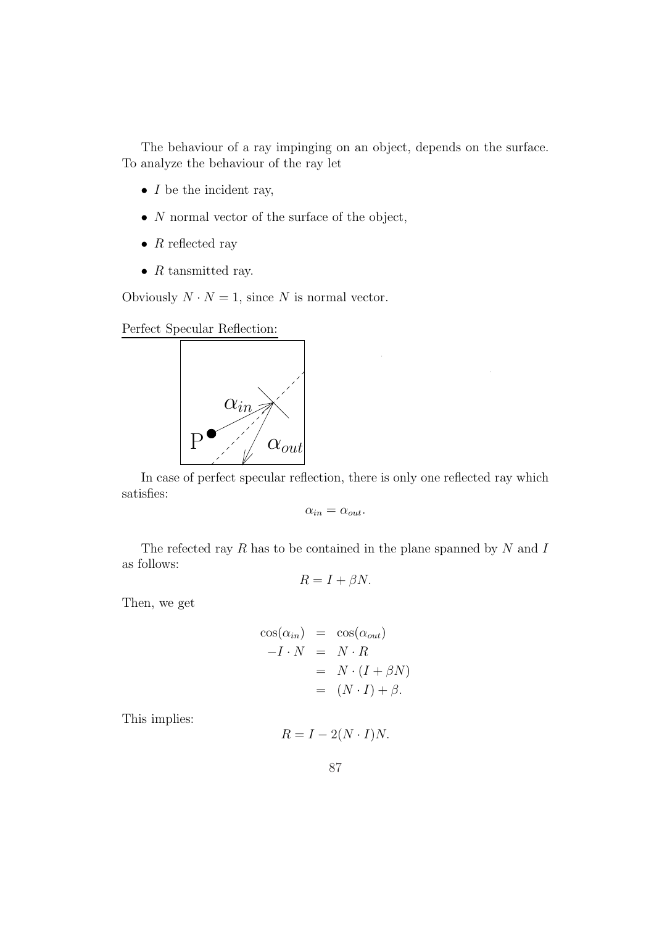The behaviour of a ray impinging on an object, depends on the surface. To analyze the behaviour of the ray let

- $I$  be the incident ray,
- $\bullet$  N normal vector of the surface of the object,
- $R$  reflected ray
- $R$  tansmitted ray.

Obviously  $N \cdot N = 1$ , since N is normal vector.

Perfect Specular Reflection:



In case of perfect specular reflection, there is only one reflected ray which satisfies:

$$
\alpha_{in} = \alpha_{out}.
$$

The refected ray  $R$  has to be contained in the plane spanned by  $N$  and  $I$ as follows:

$$
R = I + \beta N.
$$

Then, we get

$$
\cos(\alpha_{in}) = \cos(\alpha_{out})
$$
  
-I \cdot N = N \cdot R  
= N \cdot (I + \beta N)  
= (N \cdot I) + \beta.

This implies:

$$
R = I - 2(N \cdot I)N.
$$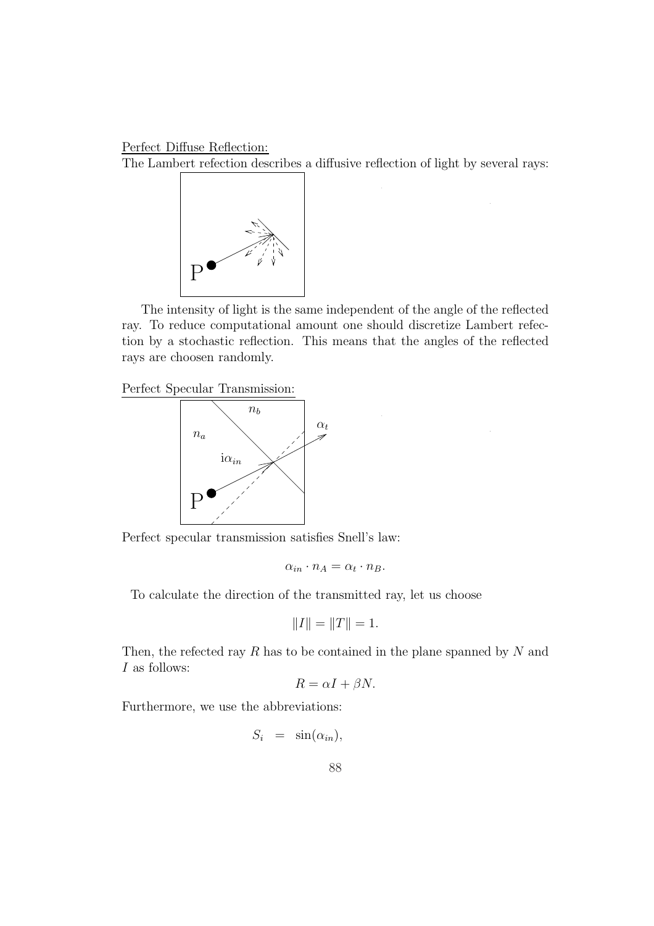Perfect Diffuse Reflection:

The Lambert refection describes a diffusive reflection of light by several rays:



The intensity of light is the same independent of the angle of the reflected ray. To reduce computational amount one should discretize Lambert refection by a stochastic reflection. This means that the angles of the reflected rays are choosen randomly.

Perfect Specular Transmission:



Perfect specular transmission satisfies Snell's law:

$$
\alpha_{in} \cdot n_A = \alpha_t \cdot n_B.
$$

To calculate the direction of the transmitted ray, let us choose

$$
||I|| = ||T|| = 1.
$$

Then, the refected ray  $R$  has to be contained in the plane spanned by  $N$  and  $\cal I$  as follows:

$$
R = \alpha I + \beta N.
$$

Furthermore, we use the abbreviations:

 $S_i = \sin(\alpha_{in}),$ 

88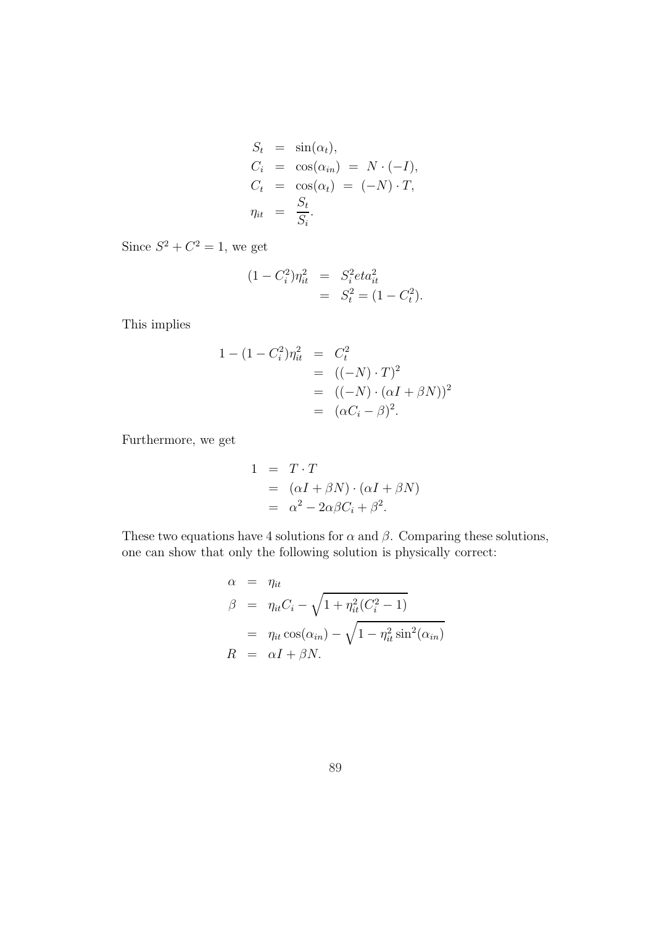$$
S_t = \sin(\alpha_t),
$$
  
\n
$$
C_i = \cos(\alpha_{in}) = N \cdot (-I),
$$
  
\n
$$
C_t = \cos(\alpha_t) = (-N) \cdot T,
$$
  
\n
$$
\eta_{it} = \frac{S_t}{S_i}.
$$

Since  $S^2 + C^2 = 1$ , we get

$$
(1 - C_i^2)\eta_{it}^2 = S_i^2 \, \text{etc.}^2
$$
\n
$$
= S_t^2 = (1 - C_t^2).
$$

This implies

$$
1 - (1 - C_i^2)\eta_{it}^2 = C_t^2
$$
  
= ((-N) \cdot T)^2  
= ((-N) \cdot (\alpha I + \beta N))^2  
= (\alpha C\_i - \beta)^2.

Furthermore, we get

$$
1 = T \cdot T
$$
  
=  $(\alpha I + \beta N) \cdot (\alpha I + \beta N)$   
=  $\alpha^2 - 2\alpha\beta C_i + \beta^2$ .

These two equations have 4 solutions for  $\alpha$  and  $\beta$ . Comparing these solutions, one can show that only the following solution is physically correct:

$$
\alpha = \eta_{it}
$$
  
\n
$$
\beta = \eta_{it} C_i - \sqrt{1 + \eta_{it}^2 (C_i^2 - 1)}
$$
  
\n
$$
= \eta_{it} \cos(\alpha_{in}) - \sqrt{1 - \eta_{it}^2 \sin^2(\alpha_{in})}
$$
  
\n
$$
R = \alpha I + \beta N.
$$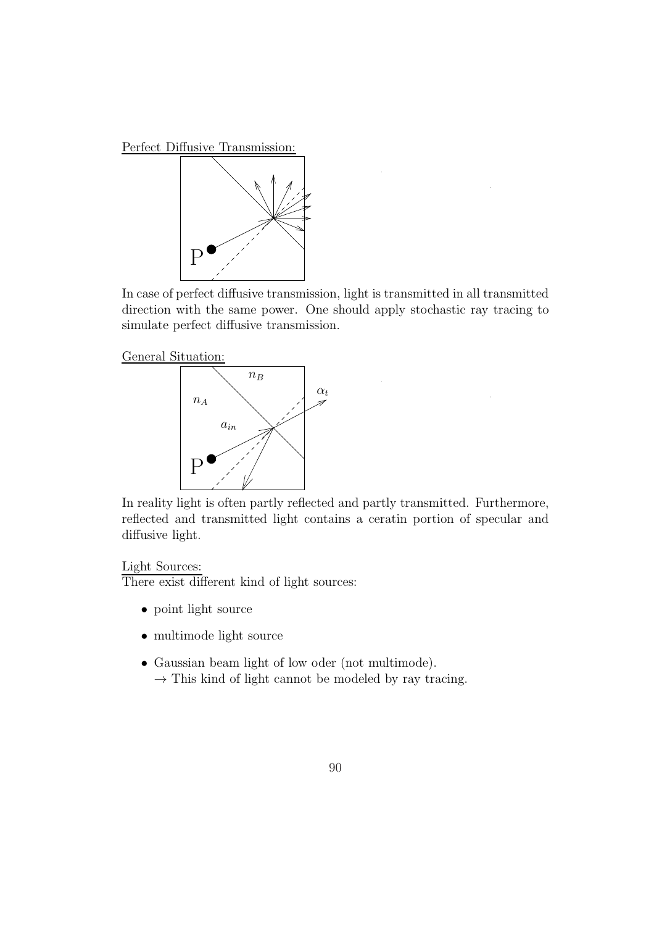Perfect Diffusive Transmission:



In case of perfect diffusive transmission, light is transmitted in all transmitted direction with the same power. One should apply stochastic ray tracing to simulate perfect diffusive transmission.





In reality light is often partly reflected and partly transmitted. Furthermore, reflected and transmitted light contains a ceratin portion of specular and diffusive light.

### Light Sources:

There exist different kind of light sources:

- point light source
- multimode light source
- Gaussian beam light of low oder (not multimode).  $\rightarrow$  This kind of light cannot be modeled by ray tracing.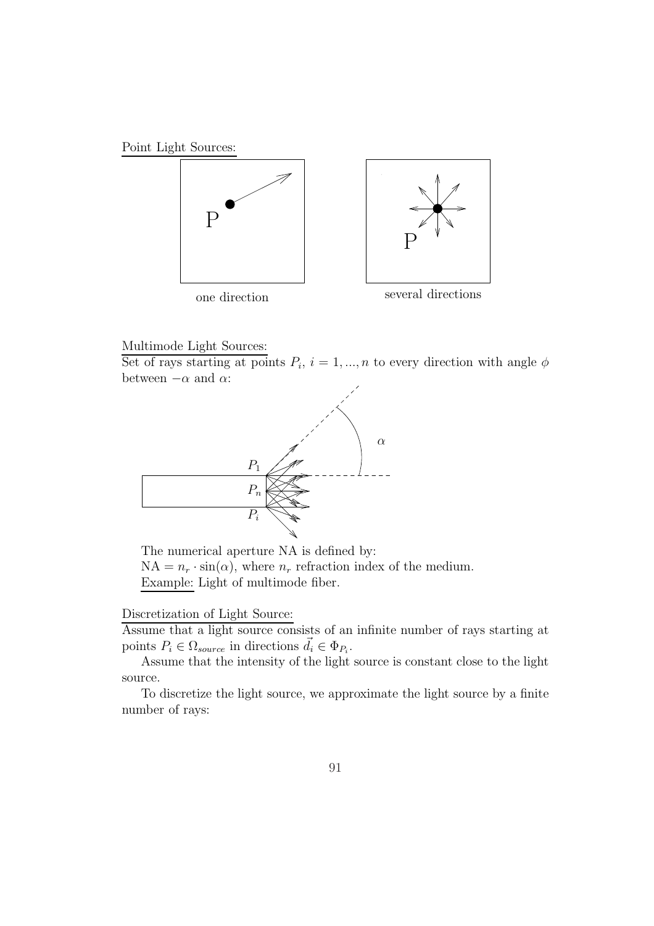





#### Multimode Light Sources:

Set of rays starting at points  $P_i$ ,  $i = 1, ..., n$  to every direction with angle  $\phi$ between  $-\alpha$  and  $\alpha$ :



The numerical aperture NA is defined by:  $NA = n_r \cdot \sin(\alpha)$ , where  $n_r$  refraction index of the medium. Example: Light of multimode fiber.

#### Discretization of Light Source:

Assume that a light source consists of an infinite number of rays starting at points  $P_i \in \Omega_{source}$  in directions  $\vec{d}_i \in \Phi_{P_i}$ .

Assume that the intensity of the light source is constant close to the light source.

To discretize the light source, we approximate the light source by a finite number of rays: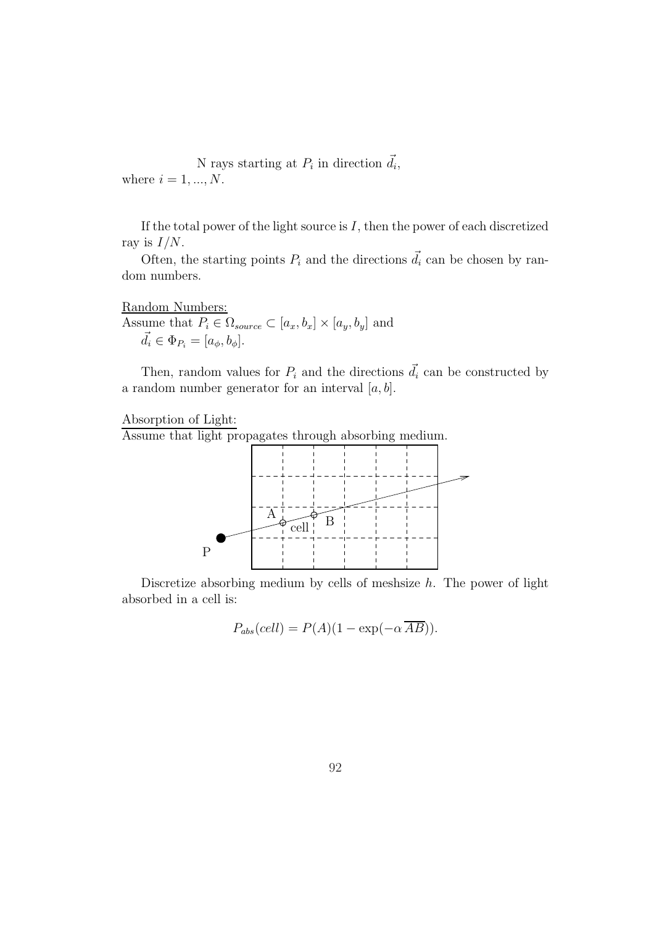N rays starting at  $P_i$  in direction  $\vec{d}_i$ , where  $i = 1, ..., N$ .

If the total power of the light source is  $I$ , then the power of each discretized ray is  $I/N$ .

Often, the starting points  $P_i$  and the directions  $\vec{d}_i$  can be chosen by random numbers.

Random Numbers: Assume that  $P_i \in \Omega_{source} \subset [a_x, b_x] \times [a_y, b_y]$  and  $\vec{d}_i \in \Phi_{P_i} = [a_{\phi}, b_{\phi}].$ 

Then, random values for  $P_i$  and the directions  $\vec{d}_i$  can be constructed by a random number generator for an interval  $[a, b]$ .

Absorption of Light:

Assume that light propagates through absorbing medium.



Discretize absorbing medium by cells of meshsize  $h$ . The power of light absorbed in a cell is:

$$
P_{abs}(cell) = P(A)(1 - \exp(-\alpha \overline{AB})).
$$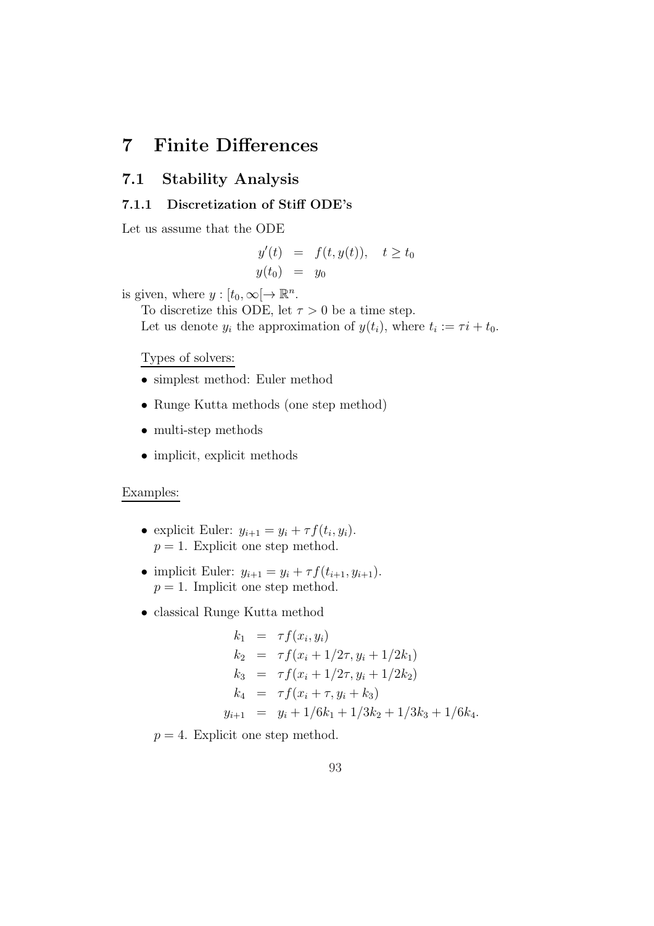# 7 Finite Differences

## 7.1 Stability Analysis

#### 7.1.1 Discretization of Stiff ODE's

Let us assume that the ODE

$$
y'(t) = f(t, y(t)), \quad t \ge t_0
$$
  

$$
y(t_0) = y_0
$$

is given, where  $y: [t_0, \infty[ \to \mathbb{R}^n]$ .

To discretize this ODE, let  $\tau > 0$  be a time step.

Let us denote  $y_i$  the approximation of  $y(t_i)$ , where  $t_i := \tau i + t_0$ .

#### Types of solvers:

- simplest method: Euler method
- Runge Kutta methods (one step method)
- multi-step methods
- implicit, explicit methods

#### Examples:

- explicit Euler:  $y_{i+1} = y_i + \tau f(t_i, y_i)$ .  $p = 1$ . Explicit one step method.
- implicit Euler:  $y_{i+1} = y_i + \tau f(t_{i+1}, y_{i+1}).$  $p = 1$ . Implicit one step method.
- classical Runge Kutta method

$$
k_1 = \tau f(x_i, y_i)
$$
  
\n
$$
k_2 = \tau f(x_i + 1/2\tau, y_i + 1/2k_1)
$$
  
\n
$$
k_3 = \tau f(x_i + 1/2\tau, y_i + 1/2k_2)
$$
  
\n
$$
k_4 = \tau f(x_i + \tau, y_i + k_3)
$$
  
\n
$$
y_{i+1} = y_i + 1/6k_1 + 1/3k_2 + 1/3k_3 + 1/6k_4.
$$

 $p = 4$ . Explicit one step method.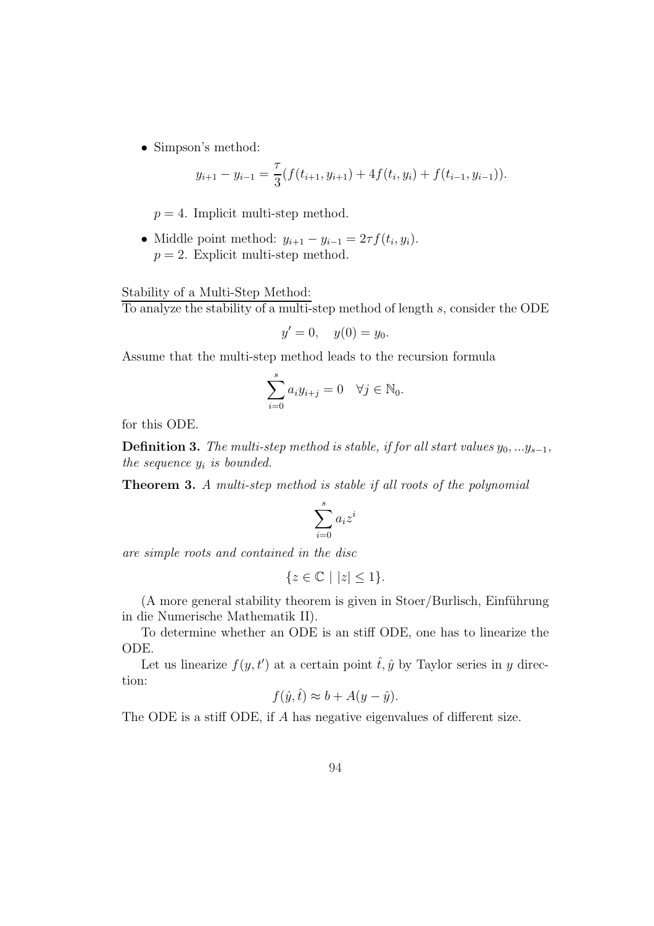• Simpson's method:

$$
y_{i+1} - y_{i-1} = \frac{\tau}{3}(f(t_{i+1}, y_{i+1}) + 4f(t_i, y_i) + f(t_{i-1}, y_{i-1})).
$$

 $p = 4$ . Implicit multi-step method.

• Middle point method:  $y_{i+1} - y_{i-1} = 2\tau f(t_i, y_i)$ .  $p = 2$ . Explicit multi-step method.

Stability of a Multi-Step Method:

To analyze the stability of a multi-step method of length s, consider the ODE

$$
y' = 0, \quad y(0) = y_0.
$$

Assume that the multi-step method leads to the recursion formula

$$
\sum_{i=0}^{s} a_i y_{i+j} = 0 \quad \forall j \in \mathbb{N}_0.
$$

for this ODE.

**Definition 3.** The multi-step method is stable, if for all start values  $y_0, \ldots y_{s-1}$ , the sequence  $y_i$  is bounded.

Theorem 3. A multi-step method is stable if all roots of the polynomial

$$
\sum_{i=0}^s a_i z^i
$$

are simple roots and contained in the disc

$$
\{z\in\mathbb{C}\mid |z|\leq 1\}.
$$

 $(A \text{ more general stability theorem}$  is given in Stoer/Burlisch, Einführung in die Numerische Mathematik II).

To determine whether an ODE is an stiff ODE, one has to linearize the ODE.

Let us linearize  $f(y, t')$  at a certain point  $\hat{t}, \hat{y}$  by Taylor series in y direction:

$$
f(\hat{y}, \hat{t}) \approx b + A(y - \hat{y}).
$$

The ODE is a stiff ODE, if A has negative eigenvalues of different size.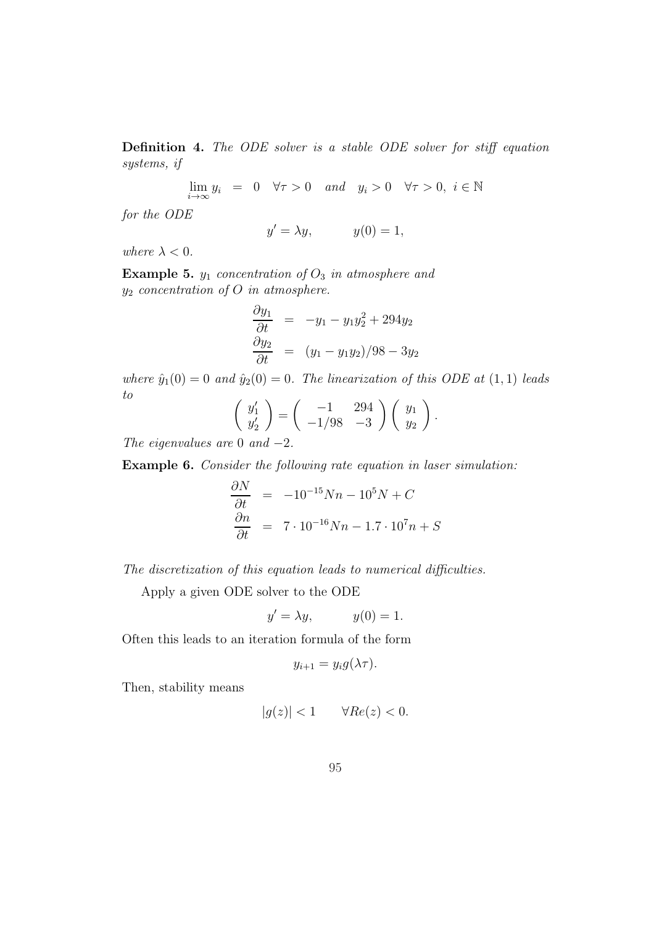Definition 4. The ODE solver is a stable ODE solver for stiff equation systems, if

> lim  $\lim_{i\to\infty} y_i = 0 \quad \forall \tau > 0 \quad and \quad y_i > 0 \quad \forall \tau > 0, \ i \in \mathbb{N}$

for the ODE

$$
y' = \lambda y, \qquad y(0) = 1,
$$

where  $\lambda < 0$ .

Example 5.  $y_1$  concentration of  $O_3$  in atmosphere and  $y_2$  concentration of O in atmosphere.

$$
\frac{\partial y_1}{\partial t} = -y_1 - y_1 y_2^2 + 294y_2
$$
  

$$
\frac{\partial y_2}{\partial t} = (y_1 - y_1 y_2)/98 - 3y_2
$$

where  $\hat{y}_1(0) = 0$  and  $\hat{y}_2(0) = 0$ . The linearization of this ODE at  $(1, 1)$  leads to

$$
\begin{pmatrix} y_1' \\ y_2' \end{pmatrix} = \begin{pmatrix} -1 & 294 \\ -1/98 & -3 \end{pmatrix} \begin{pmatrix} y_1 \\ y_2 \end{pmatrix}.
$$

The eigenvalues are 0 and  $-2$ .

Example 6. Consider the following rate equation in laser simulation:

$$
\frac{\partial N}{\partial t} = -10^{-15} Nn - 10^5 N + C
$$
  

$$
\frac{\partial n}{\partial t} = 7 \cdot 10^{-16} Nn - 1.7 \cdot 10^7 n + S
$$

The discretization of this equation leads to numerical difficulties.

Apply a given ODE solver to the ODE

$$
y' = \lambda y, \qquad y(0) = 1.
$$

Often this leads to an iteration formula of the form

$$
y_{i+1} = y_i g(\lambda \tau).
$$

Then, stability means

$$
|g(z)| < 1 \qquad \forall Re(z) < 0.
$$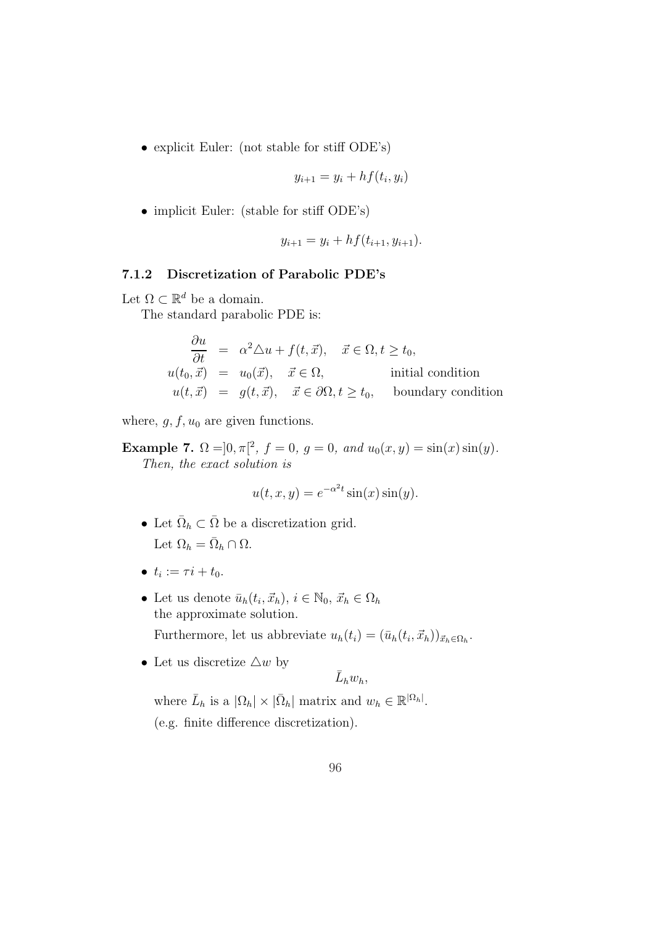• explicit Euler: (not stable for stiff ODE's)

$$
y_{i+1} = y_i + h f(t_i, y_i)
$$

• implicit Euler: (stable for stiff ODE's)

$$
y_{i+1} = y_i + h f(t_{i+1}, y_{i+1}).
$$

### 7.1.2 Discretization of Parabolic PDE's

Let  $\Omega \subset \mathbb{R}^d$  be a domain.

The standard parabolic PDE is:

$$
\begin{aligned}\n\frac{\partial u}{\partial t} &= \alpha^2 \triangle u + f(t, \vec{x}), \quad \vec{x} \in \Omega, t \ge t_0, \\
u(t_0, \vec{x}) &= u_0(\vec{x}), \quad \vec{x} \in \Omega, \quad \text{initial condition} \\
u(t, \vec{x}) &= g(t, \vec{x}), \quad \vec{x} \in \partial\Omega, t \ge t_0, \quad \text{boundary condition}\n\end{aligned}
$$

where,  $g, f, u_0$  are given functions.

Example 7.  $\Omega = ]0, \pi[^2, f = 0, g = 0, and u_0(x, y) = \sin(x)\sin(y).$ Then, the exact solution is

$$
u(t, x, y) = e^{-\alpha^2 t} \sin(x) \sin(y).
$$

- Let  $\overline{\Omega}_h \subset \overline{\Omega}$  be a discretization grid. Let  $\Omega_h = \overline{\Omega}_h \cap \Omega$ .
- $t_i := \tau i + t_0.$
- Let us denote  $\bar{u}_h(t_i, \vec{x}_h), i \in \mathbb{N}_0, \, \vec{x}_h \in \Omega_h$ the approximate solution. Furthermore, let us abbreviate  $u_h(t_i) = (\bar{u}_h(t_i, \vec{x}_h))_{\vec{x}_h \in \Omega_h}$ .
- Let us discretize  $\triangle w$  by

$$
\bar{L}_hw_h,
$$

where  $\bar{L}_h$  is a  $|\Omega_h| \times |\bar{\Omega}_h|$  matrix and  $w_h \in \mathbb{R}^{|\Omega_h|}$ . (e.g. finite difference discretization).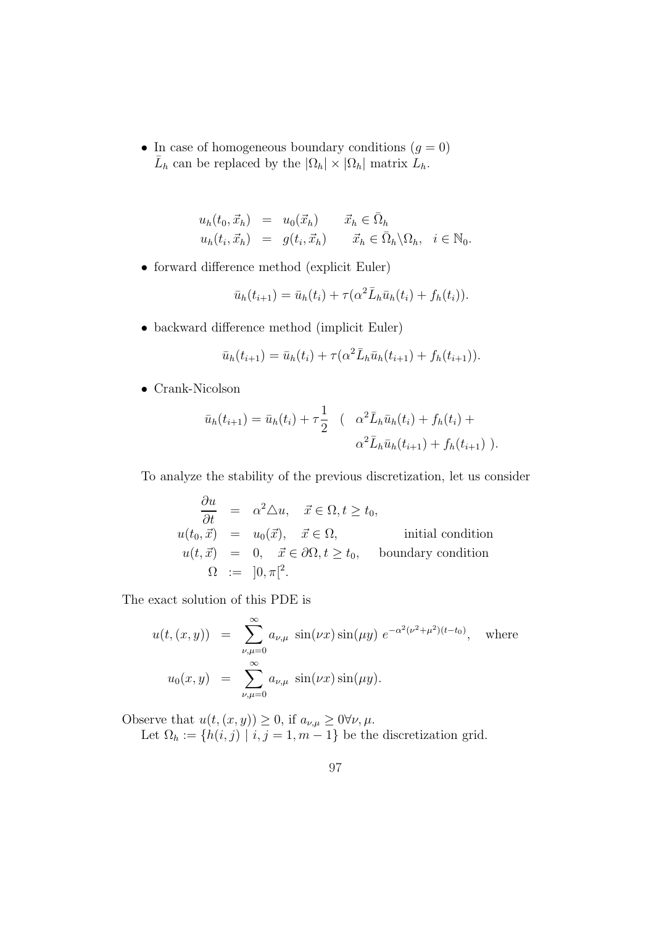• In case of homogeneous boundary conditions  $(g = 0)$  $\bar{L}_h$  can be replaced by the  $|\Omega_h| \times |\Omega_h|$  matrix  $\bar{L}_h$ .

$$
u_h(t_0, \vec{x}_h) = u_0(\vec{x}_h) \qquad \vec{x}_h \in \bar{\Omega}_h
$$
  

$$
u_h(t_i, \vec{x}_h) = g(t_i, \vec{x}_h) \qquad \vec{x}_h \in \bar{\Omega}_h \backslash \Omega_h, \quad i \in \mathbb{N}_0.
$$

• forward difference method (explicit Euler)

$$
\bar{u}_h(t_{i+1}) = \bar{u}_h(t_i) + \tau(\alpha^2 \bar{L}_h \bar{u}_h(t_i) + f_h(t_i)).
$$

• backward difference method (implicit Euler)

$$
\bar{u}_h(t_{i+1}) = \bar{u}_h(t_i) + \tau(\alpha^2 \bar{L}_h \bar{u}_h(t_{i+1}) + f_h(t_{i+1})).
$$

• Crank-Nicolson

$$
\bar{u}_h(t_{i+1}) = \bar{u}_h(t_i) + \tau \frac{1}{2} \quad ( \quad \alpha^2 \bar{L}_h \bar{u}_h(t_i) + f_h(t_i) + \alpha^2 \bar{L}_h \bar{u}_h(t_{i+1}) + f_h(t_{i+1}) ).
$$

To analyze the stability of the previous discretization, let us consider

$$
\begin{array}{rcl}\n\frac{\partial u}{\partial t} & = & \alpha^2 \triangle u, \quad \vec{x} \in \Omega, t \ge t_0, \\
u(t_0, \vec{x}) & = & u_0(\vec{x}), \quad \vec{x} \in \Omega, \\
u(t, \vec{x}) & = & 0, \quad \vec{x} \in \partial\Omega, t \ge t_0, \quad \text{boundary condition} \\
\Omega & := & ]0, \pi [^2.\n\end{array}
$$

The exact solution of this PDE is

$$
u(t,(x,y)) = \sum_{\nu,\mu=0}^{\infty} a_{\nu,\mu} \sin(\nu x) \sin(\mu y) e^{-\alpha^2(\nu^2 + \mu^2)(t-t_0)}, \text{ where}
$$
  

$$
u_0(x,y) = \sum_{\nu,\mu=0}^{\infty} a_{\nu,\mu} \sin(\nu x) \sin(\mu y).
$$

Observe that  $u(t,(x,y)) \geq 0$ , if  $a_{\nu,\mu} \geq 0 \forall \nu, \mu$ . Let  $\Omega_h := \{h(i, j) \mid i, j = 1, m - 1\}$  be the discretization grid.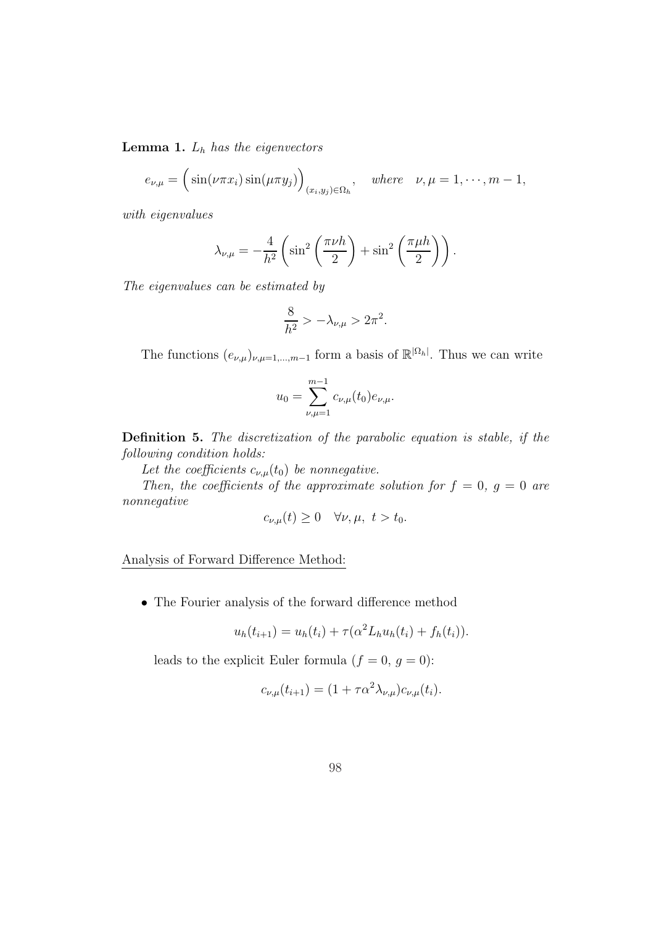**Lemma 1.**  $L_h$  has the eigenvectors

$$
e_{\nu,\mu} = \left(\sin(\nu\pi x_i)\sin(\mu\pi y_j)\right)_{(x_i,y_j)\in\Omega_h}, \quad \text{where} \quad \nu,\mu = 1,\cdots,m-1,
$$

with eigenvalues

$$
\lambda_{\nu,\mu} = -\frac{4}{h^2} \left( \sin^2 \left( \frac{\pi \nu h}{2} \right) + \sin^2 \left( \frac{\pi \mu h}{2} \right) \right).
$$

The eigenvalues can be estimated by

$$
\frac{8}{h^2} > -\lambda_{\nu,\mu} > 2\pi^2.
$$

The functions  $(e_{\nu,\mu})_{\nu,\mu=1,\dots,m-1}$  form a basis of  $\mathbb{R}^{\vert\Omega_h\vert}$ . Thus we can write

$$
u_0 = \sum_{\nu,\mu=1}^{m-1} c_{\nu,\mu}(t_0) e_{\nu,\mu}.
$$

Definition 5. The discretization of the parabolic equation is stable, if the following condition holds:

Let the coefficients  $c_{\nu,\mu}(t_0)$  be nonnegative.

Then, the coefficients of the approximate solution for  $f = 0$ ,  $g = 0$  are nonnegative

$$
c_{\nu,\mu}(t) \ge 0 \quad \forall \nu,\mu, \ t > t_0.
$$

Analysis of Forward Difference Method:

• The Fourier analysis of the forward difference method

$$
u_h(t_{i+1}) = u_h(t_i) + \tau(\alpha^2 L_h u_h(t_i) + f_h(t_i)).
$$

leads to the explicit Euler formula  $(f = 0, g = 0)$ :

$$
c_{\nu,\mu}(t_{i+1}) = (1 + \tau \alpha^2 \lambda_{\nu,\mu}) c_{\nu,\mu}(t_i).
$$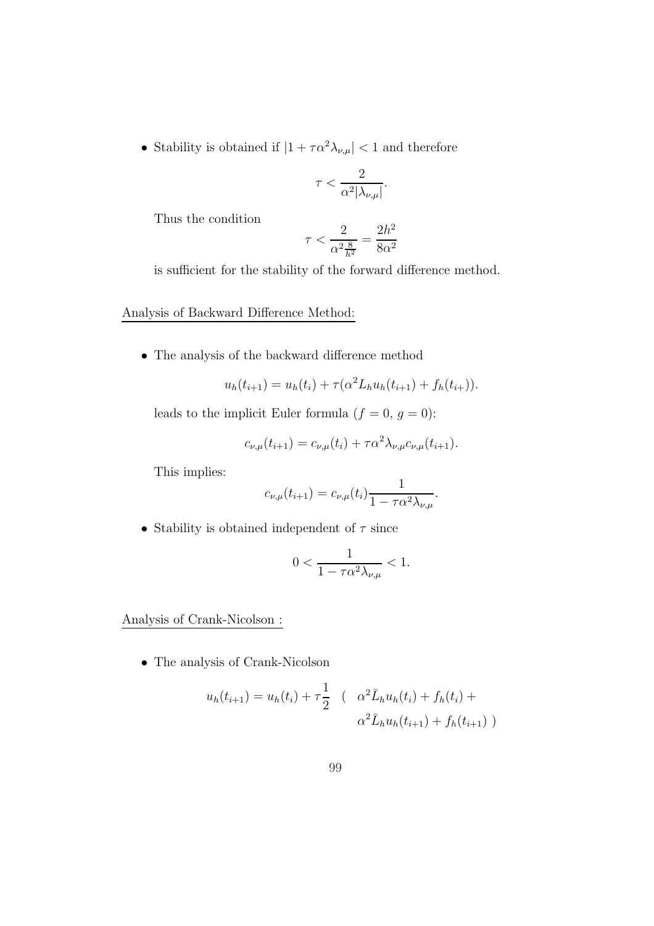$\bullet\,$  Stability is obtained if  $|1+\tau\alpha^2\lambda_{\nu,\mu}|<1$  and therefore

$$
\tau < \frac{2}{\alpha^2 |\lambda_{\nu,\mu}|}.
$$

Thus the condition

$$
\tau < \frac{2}{\alpha^2 \frac{8}{h^2}} = \frac{2h^2}{8\alpha^2}
$$

is sufficient for the stability of the forward difference method.

Analysis of Backward Difference Method:

• The analysis of the backward difference method

$$
u_h(t_{i+1}) = u_h(t_i) + \tau(\alpha^2 L_h u_h(t_{i+1}) + f_h(t_{i+1})).
$$

leads to the implicit Euler formula  $(f = 0, g = 0)$ :

$$
c_{\nu,\mu}(t_{i+1}) = c_{\nu,\mu}(t_i) + \tau \alpha^2 \lambda_{\nu,\mu} c_{\nu,\mu}(t_{i+1}).
$$

This implies:

$$
c_{\nu,\mu}(t_{i+1}) = c_{\nu,\mu}(t_i) \frac{1}{1 - \tau \alpha^2 \lambda_{\nu,\mu}}.
$$

• Stability is obtained independent of  $\tau$  since

$$
0 < \frac{1}{1 - \tau \alpha^2 \lambda_{\nu, \mu}} < 1.
$$

Analysis of Crank-Nicolson :

• The analysis of Crank-Nicolson

$$
u_h(t_{i+1}) = u_h(t_i) + \tau \frac{1}{2} \quad ( \quad \alpha^2 \bar{L}_h u_h(t_i) + f_h(t_i) + \alpha^2 \bar{L}_h u_h(t_{i+1}) + f_h(t_{i+1}) )
$$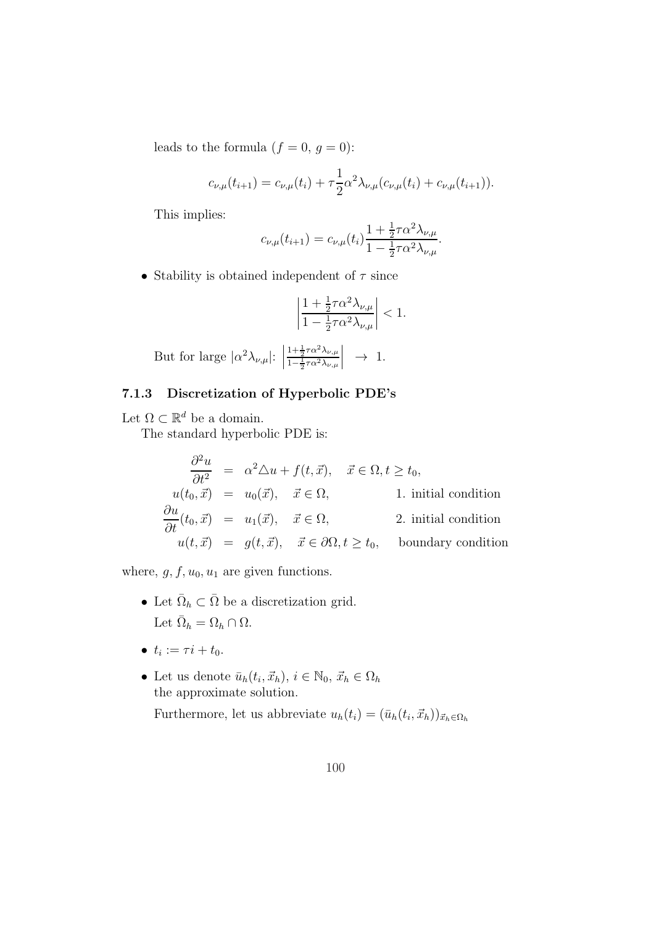leads to the formula  $(f = 0, g = 0)$ :

$$
c_{\nu,\mu}(t_{i+1}) = c_{\nu,\mu}(t_i) + \tau \frac{1}{2} \alpha^2 \lambda_{\nu,\mu}(c_{\nu,\mu}(t_i) + c_{\nu,\mu}(t_{i+1})).
$$

This implies:

$$
c_{\nu,\mu}(t_{i+1}) = c_{\nu,\mu}(t_i) \frac{1 + \frac{1}{2} \tau \alpha^2 \lambda_{\nu,\mu}}{1 - \frac{1}{2} \tau \alpha^2 \lambda_{\nu,\mu}}.
$$

• Stability is obtained independent of  $\tau$  since

$$
\left|\frac{1+\frac{1}{2}\tau\alpha^2\lambda_{\nu,\mu}}{1-\frac{1}{2}\tau\alpha^2\lambda_{\nu,\mu}}\right|<1.
$$

But for large 
$$
|\alpha^2 \lambda_{\nu,\mu}|
$$
:  $\left| \frac{1 + \frac{1}{2} \tau \alpha^2 \lambda_{\nu,\mu}}{1 - \frac{1}{2} \tau \alpha^2 \lambda_{\nu,\mu}} \right| \rightarrow 1$ .

## 7.1.3 Discretization of Hyperbolic PDE's

Let  $\Omega \subset \mathbb{R}^d$  be a domain.

The standard hyperbolic PDE is:

$$
\frac{\partial^2 u}{\partial t^2} = \alpha^2 \Delta u + f(t, \vec{x}), \quad \vec{x} \in \Omega, t \ge t_0,
$$
  
\n
$$
u(t_0, \vec{x}) = u_0(\vec{x}), \quad \vec{x} \in \Omega,
$$
  
\n1. initial condition  
\n
$$
\frac{\partial u}{\partial t}(t_0, \vec{x}) = u_1(\vec{x}), \quad \vec{x} \in \Omega,
$$
  
\n2. initial condition  
\n
$$
u(t, \vec{x}) = g(t, \vec{x}), \quad \vec{x} \in \partial\Omega, t \ge t_0,
$$
 boundary condition

where,  $g, f, u_0, u_1$  are given functions.

- Let  $\overline{\Omega}_h \subset \overline{\Omega}$  be a discretization grid. Let  $\bar{\Omega}_h = \Omega_h \cap \Omega$ .
- $t_i := \tau i + t_0.$
- Let us denote  $\bar{u}_h(t_i, \vec{x}_h), i \in \mathbb{N}_0, \, \vec{x}_h \in \Omega_h$ the approximate solution. Furthermore, let us abbreviate  $u_h(t_i) = (\bar{u}_h(t_i, \vec{x}_h))_{\vec{x}_h \in \Omega_h}$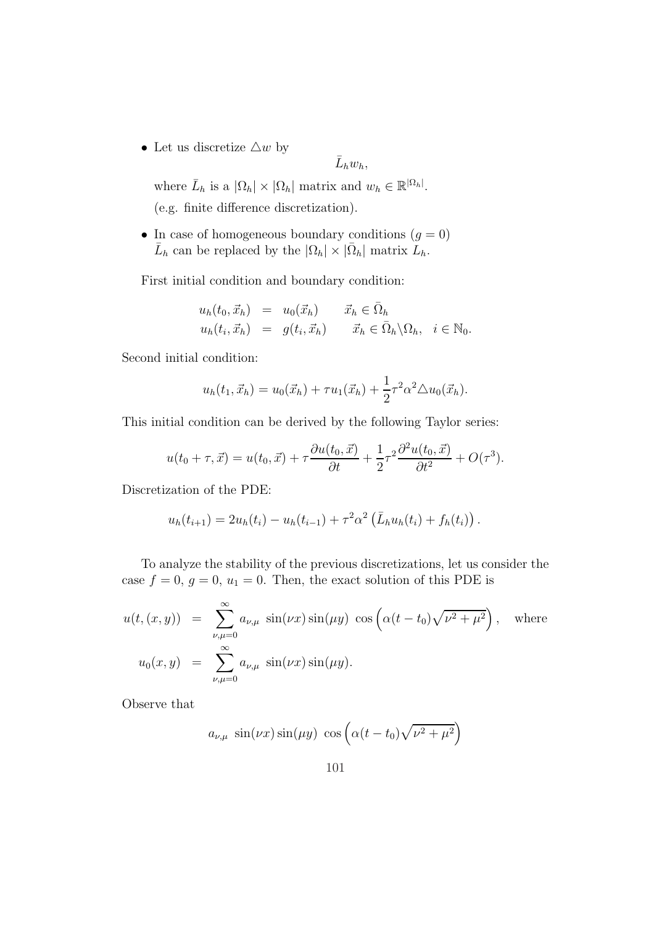• Let us discretize  $\triangle w$  by

$$
\bar{L}_hw_h,
$$

where  $\bar{L}_h$  is a  $|\Omega_h| \times |\Omega_h|$  matrix and  $w_h \in \mathbb{R}^{|\Omega_h|}$ . (e.g. finite difference discretization).

• In case of homogeneous boundary conditions  $(q = 0)$  $\bar{L}_h$  can be replaced by the  $|\Omega_h| \times |\bar{\Omega}_h|$  matrix  $\bar{L}_h$ .

First initial condition and boundary condition:

$$
u_h(t_0, \vec{x}_h) = u_0(\vec{x}_h) \qquad \vec{x}_h \in \bar{\Omega}_h
$$
  

$$
u_h(t_i, \vec{x}_h) = g(t_i, \vec{x}_h) \qquad \vec{x}_h \in \bar{\Omega}_h \setminus \Omega_h, \quad i \in \mathbb{N}_0.
$$

Second initial condition:

$$
u_h(t_1, \vec{x}_h) = u_0(\vec{x}_h) + \tau u_1(\vec{x}_h) + \frac{1}{2}\tau^2 \alpha^2 \triangle u_0(\vec{x}_h).
$$

This initial condition can be derived by the following Taylor series:

$$
u(t_0+\tau, \vec{x}) = u(t_0, \vec{x}) + \tau \frac{\partial u(t_0, \vec{x})}{\partial t} + \frac{1}{2}\tau^2 \frac{\partial^2 u(t_0, \vec{x})}{\partial t^2} + O(\tau^3).
$$

Discretization of the PDE:

$$
u_h(t_{i+1}) = 2u_h(t_i) - u_h(t_{i-1}) + \tau^2 \alpha^2 \left( \bar{L}_h u_h(t_i) + f_h(t_i) \right).
$$

To analyze the stability of the previous discretizations, let us consider the case  $f = 0$ ,  $g = 0$ ,  $u_1 = 0$ . Then, the exact solution of this PDE is

$$
u(t,(x,y)) = \sum_{\nu,\mu=0}^{\infty} a_{\nu,\mu} \sin(\nu x) \sin(\mu y) \cos\left(\alpha (t-t_0) \sqrt{\nu^2 + \mu^2}\right), \text{ where}
$$
  

$$
u_0(x,y) = \sum_{\nu,\mu=0}^{\infty} a_{\nu,\mu} \sin(\nu x) \sin(\mu y).
$$

Observe that

$$
a_{\nu,\mu} \sin(\nu x) \sin(\mu y) \cos\left(\alpha (t - t_0) \sqrt{\nu^2 + \mu^2}\right)
$$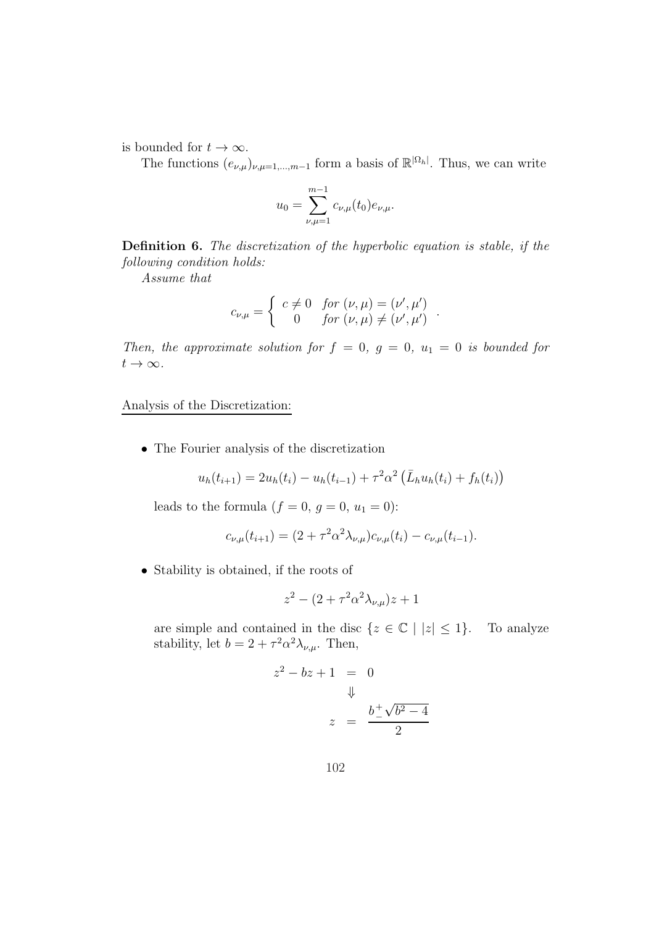is bounded for  $t \to \infty$ .

The functions  $(e_{\nu,\mu})_{\nu,\mu=1,\dots,m-1}$  form a basis of  $\mathbb{R}^{\vert\Omega_h\vert}$ . Thus, we can write

$$
u_0 = \sum_{\nu,\mu=1}^{m-1} c_{\nu,\mu}(t_0) e_{\nu,\mu}.
$$

Definition 6. The discretization of the hyperbolic equation is stable, if the following condition holds:

Assume that

$$
c_{\nu,\mu} = \begin{cases} c \neq 0 & \text{for } (\nu,\mu) = (\nu',\mu') \\ 0 & \text{for } (\nu,\mu) \neq (\nu',\mu') \end{cases}
$$

.

Then, the approximate solution for  $f = 0$ ,  $g = 0$ ,  $u_1 = 0$  is bounded for  $t\to\infty$ .

Analysis of the Discretization:

• The Fourier analysis of the discretization

$$
u_h(t_{i+1}) = 2u_h(t_i) - u_h(t_{i-1}) + \tau^2 \alpha^2 \left( \bar{L}_h u_h(t_i) + f_h(t_i) \right)
$$

leads to the formula  $(f = 0, g = 0, u_1 = 0)$ :

$$
c_{\nu,\mu}(t_{i+1}) = (2 + \tau^2 \alpha^2 \lambda_{\nu,\mu}) c_{\nu,\mu}(t_i) - c_{\nu,\mu}(t_{i-1}).
$$

• Stability is obtained, if the roots of

$$
z^2 - (2 + \tau^2 \alpha^2 \lambda_{\nu,\mu}) z + 1
$$

are simple and contained in the disc  $\{z \in \mathbb{C} \mid |z| \leq 1\}$ . To analyze stability, let  $b = 2 + \tau^2 \alpha^2 \lambda_{\nu,\mu}$ . Then,

$$
z^{2} - bz + 1 = 0
$$
  

$$
\Downarrow
$$
  

$$
z = \frac{b \pm \sqrt{b^{2} - 4}}{2}
$$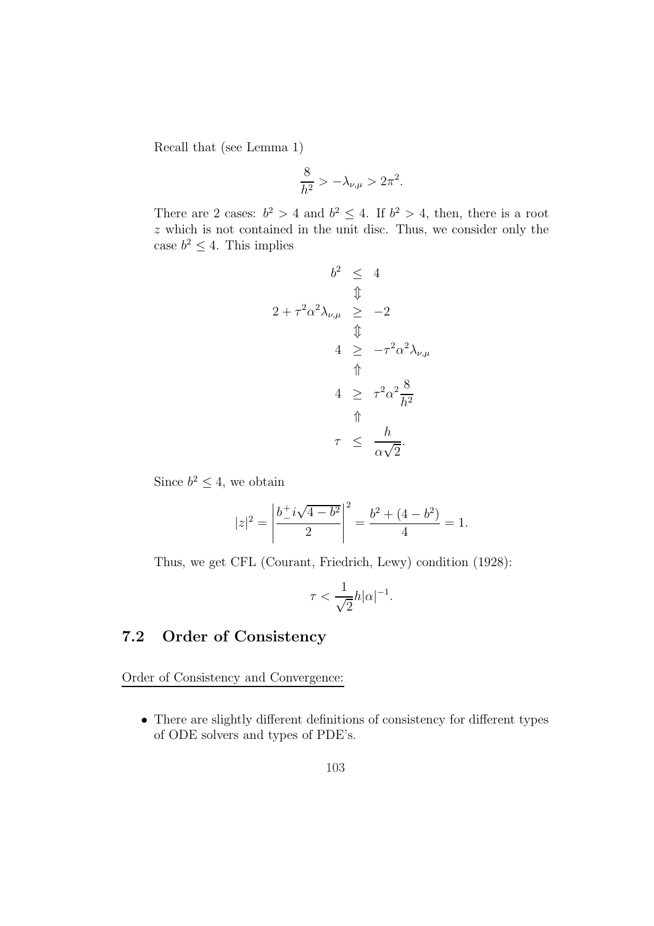Recall that (see Lemma 1)

$$
\frac{8}{h^2} > -\lambda_{\nu,\mu} > 2\pi^2.
$$

There are 2 cases:  $b^2 > 4$  and  $b^2 \leq 4$ . If  $b^2 > 4$ , then, there is a root  $z$  which is not contained in the unit disc. Thus, we consider only the case  $b^2 \leq 4$ . This implies

$$
b^{2} \leq 4
$$
  

$$
\Downarrow
$$
  

$$
2 + \tau^{2} \alpha^{2} \lambda_{\nu,\mu} \geq -2
$$
  

$$
\Downarrow
$$
  

$$
4 \geq -\tau^{2} \alpha^{2} \lambda_{\nu,\mu}
$$
  

$$
4 \geq \tau^{2} \alpha^{2} \frac{8}{h^{2}}
$$
  

$$
\Uparrow
$$
  

$$
\tau \leq \frac{h}{\alpha \sqrt{2}}.
$$

Since  $b^2 \leq 4$ , we obtain

$$
|z|^2 = \left| \frac{b^+ i \sqrt{4 - b^2}}{2} \right|^2 = \frac{b^2 + (4 - b^2)}{4} = 1.
$$

Thus, we get CFL (Courant, Friedrich, Lewy) condition (1928):

$$
\tau < \frac{1}{\sqrt{2}}h|\alpha|^{-1}.
$$

## 7.2 Order of Consistency

Order of Consistency and Convergence:

• There are slightly different definitions of consistency for different types of ODE solvers and types of PDE's.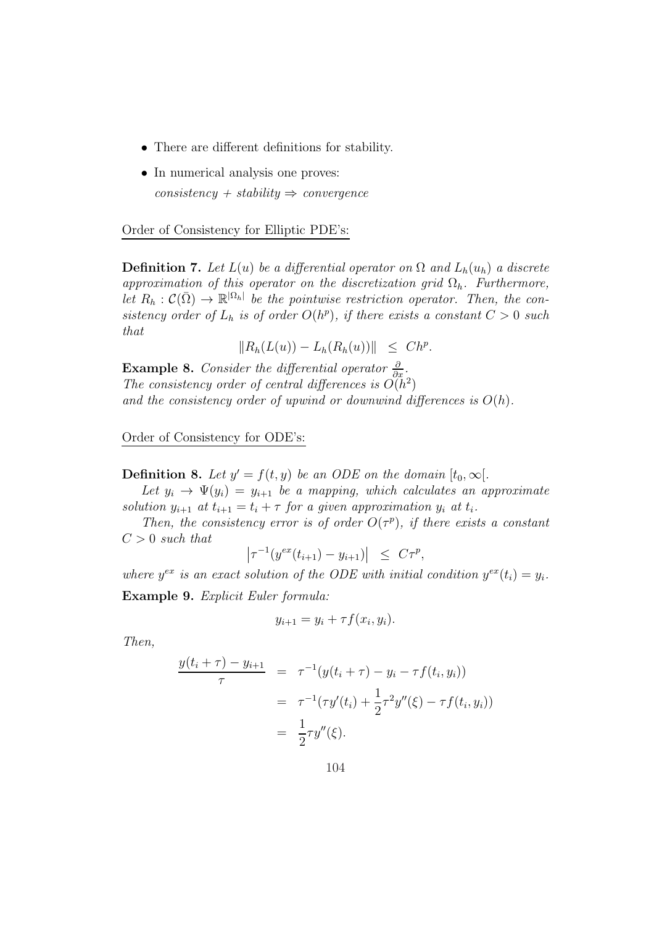- There are different definitions for stability.
- In numerical analysis one proves:  $consistency + stability \Rightarrow convergence$

Order of Consistency for Elliptic PDE's:

**Definition 7.** Let  $L(u)$  be a differential operator on  $\Omega$  and  $L_h(u_h)$  a discrete approximation of this operator on the discretization grid  $\Omega_h$ . Furthermore, let  $R_h: \mathcal{C}(\bar{\Omega}) \to \mathbb{R}^{|\Omega_h|}$  be the pointwise restriction operator. Then, the consistency order of  $L_h$  is of order  $O(h^p)$ , if there exists a constant  $C > 0$  such that

 $||R_h(L(u)) - L_h(R_h(u))|| \leq Ch^p.$ 

**Example 8.** Consider the differential operator  $\frac{\partial}{\partial x}$ . The consistency order of central differences is  $O(h^2)$ and the consistency order of upwind or downwind differences is  $O(h)$ .

Order of Consistency for ODE's:

**Definition 8.** Let  $y' = f(t, y)$  be an ODE on the domain  $[t_0, \infty)$ .

Let  $y_i \rightarrow \Psi(y_i) = y_{i+1}$  be a mapping, which calculates an approximate solution  $y_{i+1}$  at  $t_{i+1} = t_i + \tau$  for a given approximation  $y_i$  at  $t_i$ .

Then, the consistency error is of order  $O(\tau^p)$ , if there exists a constant  $C > 0$  such that

$$
\left|\tau^{-1}(y^{ex}(t_{i+1}) - y_{i+1})\right| \leq C\tau^p,
$$

where  $y^{ex}$  is an exact solution of the ODE with initial condition  $y^{ex}(t_i) = y_i$ . Example 9. Explicit Euler formula:

$$
y_{i+1} = y_i + \tau f(x_i, y_i).
$$

Then,

$$
\frac{y(t_i + \tau) - y_{i+1}}{\tau} = \tau^{-1}(y(t_i + \tau) - y_i - \tau f(t_i, y_i))
$$

$$
= \tau^{-1}(\tau y'(t_i) + \frac{1}{2}\tau^2 y''(\xi) - \tau f(t_i, y_i))
$$

$$
= \frac{1}{2}\tau y''(\xi).
$$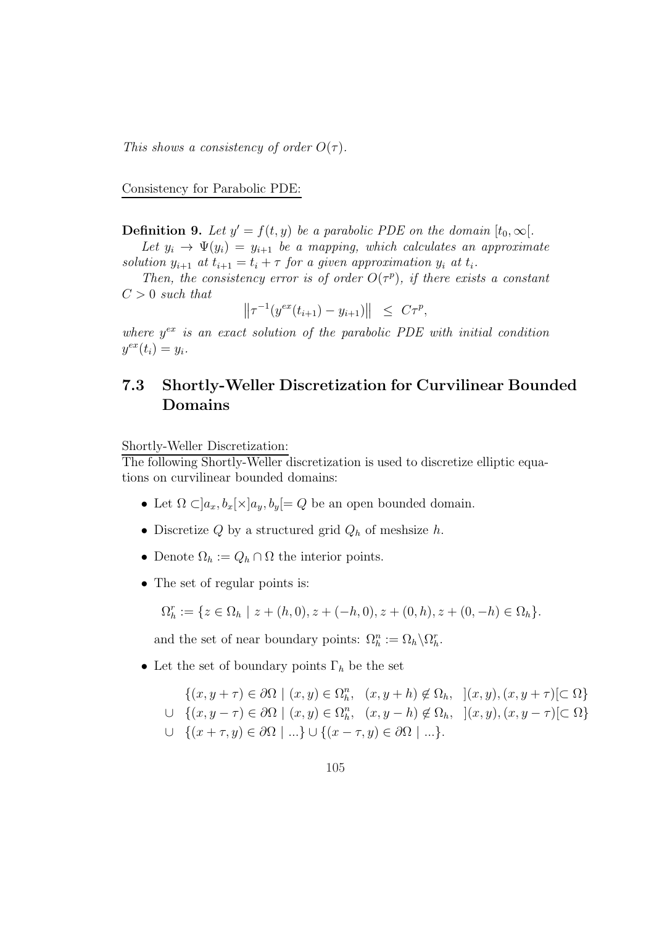This shows a consistency of order  $O(\tau)$ .

Consistency for Parabolic PDE:

**Definition 9.** Let  $y' = f(t, y)$  be a parabolic PDE on the domain  $[t_0, \infty)$ .

Let  $y_i \rightarrow \Psi(y_i) = y_{i+1}$  be a mapping, which calculates an approximate solution  $y_{i+1}$  at  $t_{i+1} = t_i + \tau$  for a given approximation  $y_i$  at  $t_i$ .

Then, the consistency error is of order  $O(\tau^p)$ , if there exists a constant  $C > 0$  such that

 $\left\|\tau^{-1}(y^{ex}(t_{i+1}) - y_{i+1})\right\| \leq C\tau^p,$ 

where  $y^{ex}$  is an exact solution of the parabolic PDE with initial condition  $y^{ex}(t_i) = y_i.$ 

## 7.3 Shortly-Weller Discretization for Curvilinear Bounded Domains

Shortly-Weller Discretization:

The following Shortly-Weller discretization is used to discretize elliptic equations on curvilinear bounded domains:

- Let  $\Omega \subset ]a_x, b_x[\times]a_y, b_y[=Q$  be an open bounded domain.
- $\bullet$  Discretize  $Q$  by a structured grid  $Q_h$  of meshsize  $h.$
- Denote  $\Omega_h := Q_h \cap \Omega$  the interior points.
- The set of regular points is:

$$
\Omega_h^r := \{ z \in \Omega_h \mid z + (h, 0), z + (-h, 0), z + (0, h), z + (0, -h) \in \Omega_h \}.
$$

and the set of near boundary points:  $\Omega_h^n := \Omega_h \backslash \Omega_h^r$ .

• Let the set of boundary points  $\Gamma_h$  be the set

$$
\{(x, y + \tau) \in \partial\Omega \mid (x, y) \in \Omega_h^n, (x, y + h) \notin \Omega_h, \quad](x, y), (x, y + \tau) \subset \Omega\}
$$
  

$$
\cup \{(x, y - \tau) \in \partial\Omega \mid (x, y) \in \Omega_h^n, (x, y - h) \notin \Omega_h, \quad](x, y), (x, y - \tau) \subset \Omega\}
$$
  

$$
\cup \{(x + \tau, y) \in \partial\Omega \mid \dots\} \cup \{(x - \tau, y) \in \partial\Omega \mid \dots\}.
$$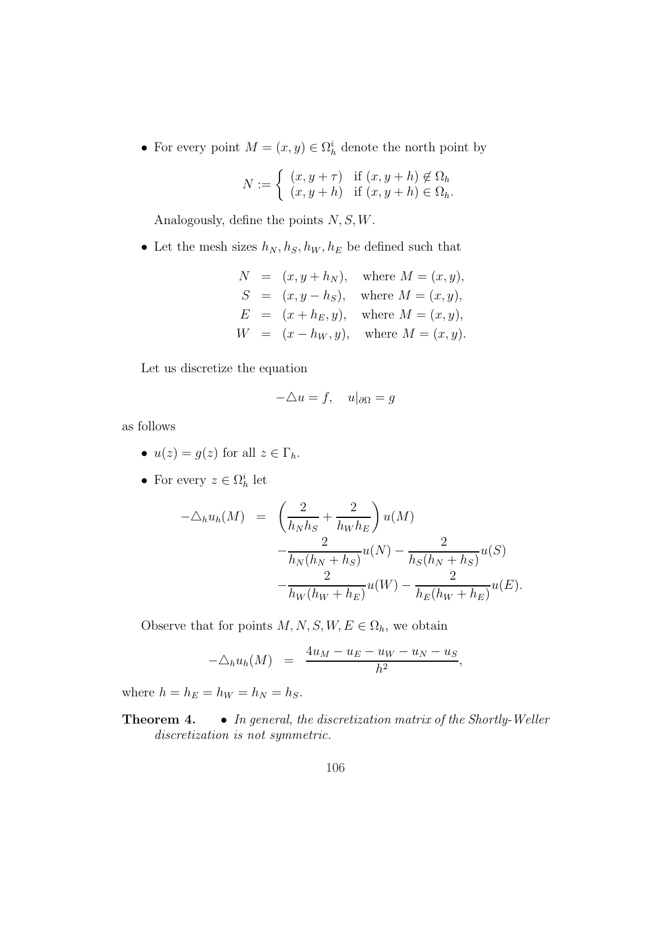• For every point  $M = (x, y) \in \Omega_h^i$  denote the north point by

$$
N := \begin{cases} (x, y + \tau) & \text{if } (x, y + h) \notin \Omega_h \\ (x, y + h) & \text{if } (x, y + h) \in \Omega_h. \end{cases}
$$

Analogously, define the points  $N, S, W$ .

• Let the mesh sizes  $h_N, h_S, h_W, h_E$  be defined such that

$$
N = (x, y + h_N), \text{ where } M = (x, y),
$$
  
\n
$$
S = (x, y - h_S), \text{ where } M = (x, y),
$$
  
\n
$$
E = (x + h_E, y), \text{ where } M = (x, y),
$$
  
\n
$$
W = (x - h_W, y), \text{ where } M = (x, y).
$$

Let us discretize the equation

$$
-\triangle u = f, \quad u|_{\partial \Omega} = g
$$

as follows

- $u(z) = g(z)$  for all  $z \in \Gamma_h$ .
- For every  $z \in \Omega_h^i$  let

$$
-\Delta_h u_h(M) = \left(\frac{2}{h_N h_S} + \frac{2}{h_W h_E}\right) u(M)
$$
  

$$
-\frac{2}{h_N (h_N + h_S)} u(N) - \frac{2}{h_S (h_N + h_S)} u(S)
$$
  

$$
-\frac{2}{h_W (h_W + h_E)} u(W) - \frac{2}{h_E (h_W + h_E)} u(E).
$$

Observe that for points  $M, N, S, W, E \in \Omega_h$ , we obtain

$$
-\triangle_h u_h(M) = \frac{4u_M - u_E - u_W - u_N - u_S}{h^2},
$$

where  $h = h_E = h_W = h_N = h_S$ .

Theorem 4. • In general, the discretization matrix of the Shortly-Weller discretization is not symmetric.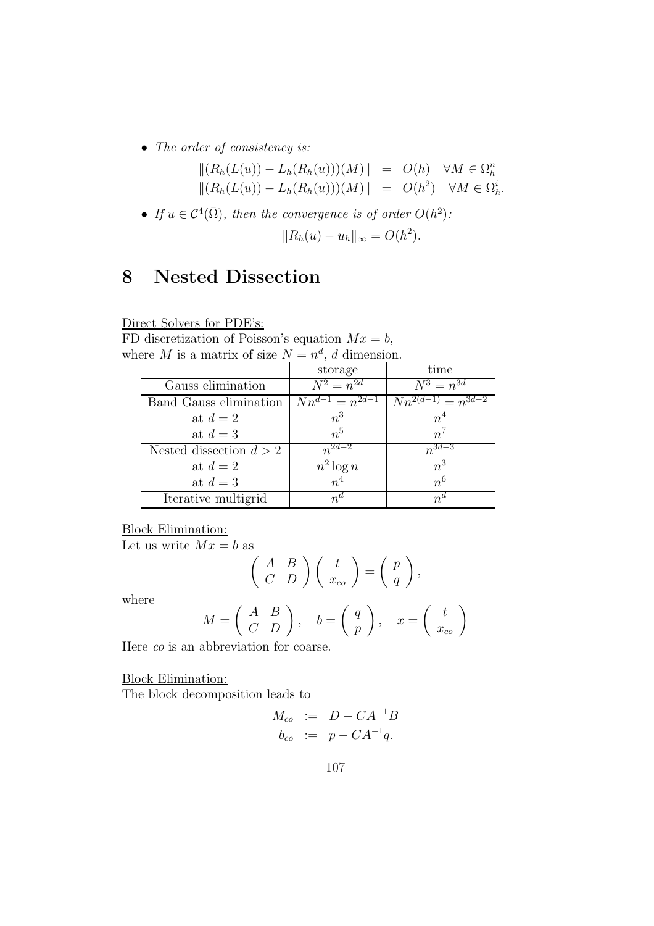• The order of consistency is:

$$
||(R_h(L(u)) - L_h(R_h(u)))(M)|| = O(h) \quad \forall M \in \Omega_h^n
$$
  

$$
||(R_h(L(u)) - L_h(R_h(u)))(M)|| = O(h^2) \quad \forall M \in \Omega_h^i.
$$

• If  $u \in C^4(\overline{\Omega})$ , then the convergence is of order  $O(h^2)$ :

$$
||R_h(u) - u_h||_{\infty} = O(h^2).
$$

# 8 Nested Dissection

Direct Solvers for PDE's:

FD discretization of Poisson's equation  $Mx = b$ , where M is a matrix of size  $N = n^d$ , d dimension.

|                           | storage               | time                     |
|---------------------------|-----------------------|--------------------------|
| Gauss elimination         | $N^2 = n^{2d}$        | $N^3 = n^{3d}$           |
| Band Gauss elimination    | $Nn^{d-1} = n^{2d-1}$ | $Nn^{2(d-1)} = n^{3d-2}$ |
| at $d=2$                  | $n^3$                 | $n^4$                    |
| at $d=3$                  | n <sup>5</sup>        | $n^7$                    |
| Nested dissection $d > 2$ | $n^{2d-2}$            | $n^{3d-3}$               |
| at $d=2$                  | $n^2 \log n$          | $n^3$                    |
| at $d=3$                  | n <sup>4</sup>        | n <sup>6</sup>           |
| Iterative multigrid       | $n^a$                 | $n^a$                    |

Block Elimination:

Let us write  $Mx = b$  as

$$
\left(\begin{array}{cc} A & B \\ C & D \end{array}\right)\left(\begin{array}{c} t \\ x_{co} \end{array}\right) = \left(\begin{array}{c} p \\ q \end{array}\right),
$$

where

$$
M = \begin{pmatrix} A & B \\ C & D \end{pmatrix}, \quad b = \begin{pmatrix} q \\ p \end{pmatrix}, \quad x = \begin{pmatrix} t \\ x_{co} \end{pmatrix}
$$

Here co is an abbreviation for coarse.

Block Elimination:

The block decomposition leads to

$$
M_{co} := D - CA^{-1}B
$$
  

$$
b_{co} := p - CA^{-1}q.
$$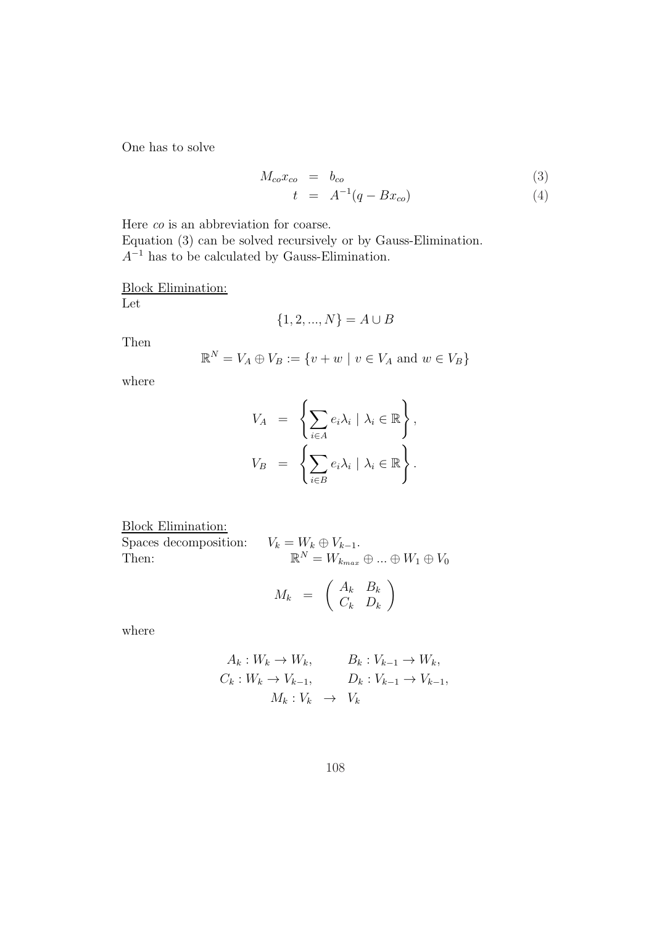One has to solve

$$
M_{co}x_{co} = b_{co}
$$
 (3)

$$
t = A^{-1}(q - Bx_{co}) \tag{4}
$$

Here co is an abbreviation for coarse.

Equation (3) can be solved recursively or by Gauss-Elimination.  $A^{-1}$  has to be calculated by Gauss-Elimination.

Block Elimination:

Let

$$
\{1, 2, ..., N\} = A \cup B
$$

Then

$$
\mathbb{R}^N = V_A \oplus V_B := \{v + w \mid v \in V_A \text{ and } w \in V_B\}
$$

where

$$
V_A = \left\{ \sum_{i \in A} e_i \lambda_i \mid \lambda_i \in \mathbb{R} \right\},
$$
  

$$
V_B = \left\{ \sum_{i \in B} e_i \lambda_i \mid \lambda_i \in \mathbb{R} \right\}.
$$

Block Elimination:

Spaces decomposition: Then:  $\,$ 

Then:  $\mathbb{R}^N = W_{k_{max}} \oplus ... \oplus W_1 \oplus V_0$ 

$$
M_k = \left(\begin{array}{cc} A_k & B_k \\ C_k & D_k \end{array}\right)
$$

where

$$
A_k: W_k \to W_k, \qquad B_k: V_{k-1} \to W_k,
$$
  
\n
$$
C_k: W_k \to V_{k-1}, \qquad D_k: V_{k-1} \to V_{k-1},
$$
  
\n
$$
M_k: V_k \to V_k
$$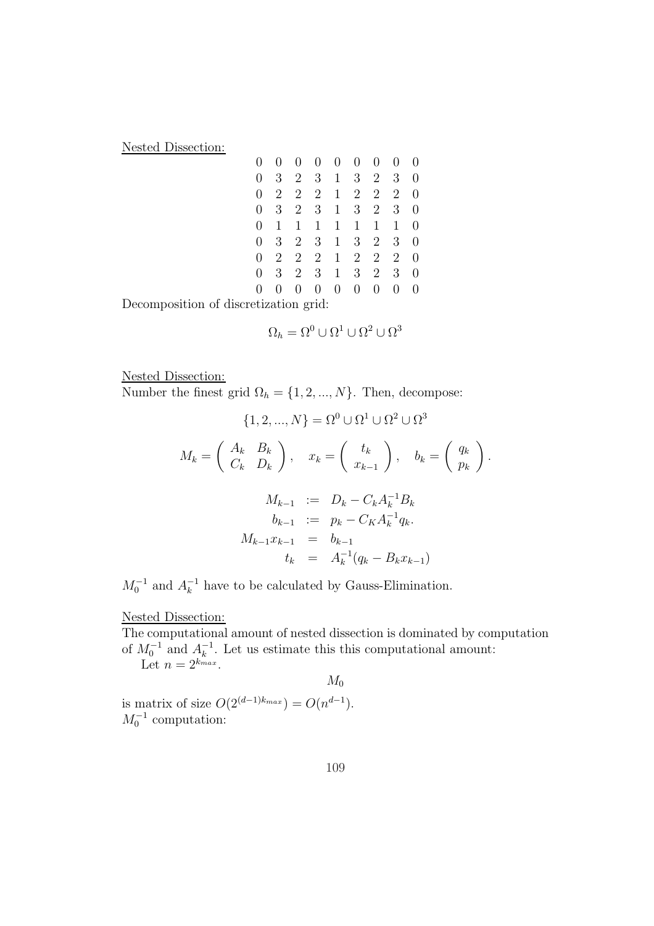Nested Dissection:

| $\overline{0}$ | $\overline{0}$ | $\overline{0}$ | $\overline{0}$ | $\overline{0}$ | $\overline{0}$ | $\overline{0}$ | $\overline{0}$ | $\overline{0}$ |
|----------------|----------------|----------------|----------------|----------------|----------------|----------------|----------------|----------------|
| $\overline{0}$ | 3              | $\overline{2}$ | 3              | $\mathbf{1}$   | 3 <sup>1</sup> | $\overline{2}$ | 3              | $\overline{0}$ |
| $\overline{0}$ | 2              | $\overline{2}$ | $\overline{2}$ | $\mathbf{1}$   | $\overline{2}$ | $\overline{2}$ | $\overline{2}$ | 0              |
| $\overline{0}$ | 3              | $\overline{2}$ | 3              | $\mathbf 1$    | 3              | $\overline{2}$ | 3              | 0              |
| $\overline{0}$ | $\mathbf{1}$   | $\mathbf{1}$   | 1              | $\mathbf{1}$   | $\mathbf{1}$   | 1              | 1              | 0              |
| $\overline{0}$ | 3              | $2^{-}$        | 3              | $\mathbf{1}$   | 3 <sup>1</sup> | $\overline{2}$ | 3              | $\overline{0}$ |
| $\overline{0}$ | $\overline{2}$ | $\overline{2}$ | $\overline{2}$ | $\mathbf{1}$   | $\overline{2}$ | $\overline{2}$ | $\overline{2}$ | 0              |
| $\overline{0}$ | 3              | $2^{-}$        | 3              | $\mathbf{1}$   | 3              | $\overline{2}$ | 3              | 0              |
| 0              | 0              | 0              | 0              | $\overline{0}$ | $\overline{0}$ | 0              | 0              | 0              |
|                |                |                |                |                |                |                |                |                |

Decomposition of discretization grid:

$$
\Omega_h = \Omega^0 \cup \Omega^1 \cup \Omega^2 \cup \Omega^3
$$

Nested Dissection:

Number the finest grid  $\Omega_h = \{1, 2, ..., N\}$ . Then, decompose:

$$
\{1, 2, ..., N\} = \Omega^{0} \cup \Omega^{1} \cup \Omega^{2} \cup \Omega^{3}
$$

$$
M_{k} = \begin{pmatrix} A_{k} & B_{k} \\ C_{k} & D_{k} \end{pmatrix}, x_{k} = \begin{pmatrix} t_{k} \\ x_{k-1} \end{pmatrix}, b_{k} = \begin{pmatrix} q_{k} \\ p_{k} \end{pmatrix}.
$$

$$
M_{k-1} := D_{k} - C_{k} A_{k}^{-1} B_{k}
$$

$$
b_{k-1} := p_{k} - C_{K} A_{k}^{-1} q_{k}.
$$

$$
M_{k-1} x_{k-1} = b_{k-1}
$$

$$
t_{k} = A_{k}^{-1} (q_{k} - B_{k} x_{k-1})
$$

 $M_0^{-1}$  and  $A_k^{-1}$  have to be calculated by Gauss-Elimination.

## Nested Dissection:

The computational amount of nested dissection is dominated by computation of  $M_0^{-1}$  and  $A_k^{-1}$ . Let us estimate this this computational amount: Let  $n=2^{k_{max}}$ .

 $M_0$ 

is matrix of size  $O(2^{(d-1)k_{max}}) = O(n^{d-1}).$  $M_0^{-1}$  computation: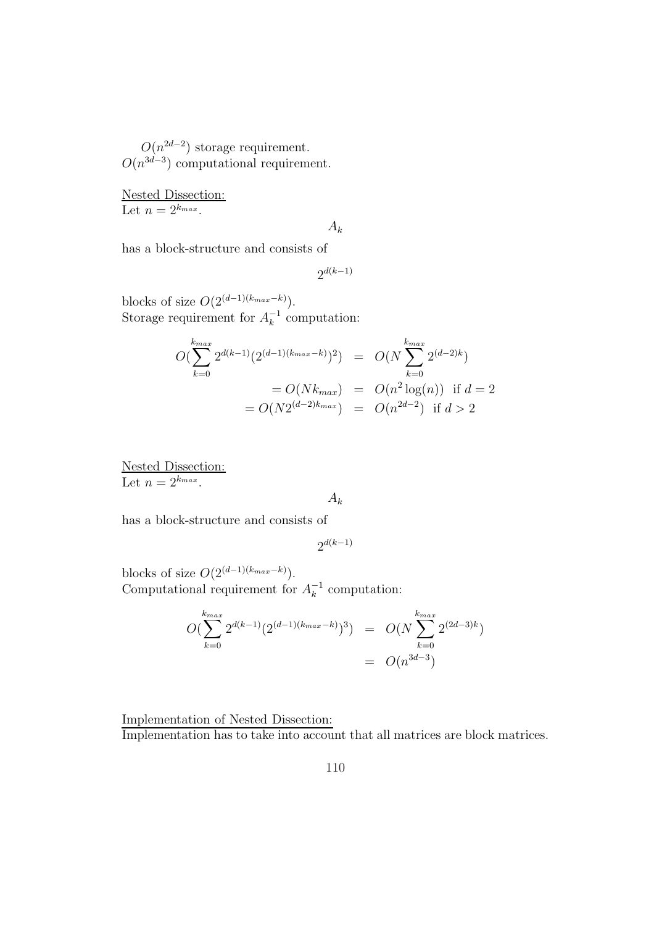$O(n^{2d-2})$  storage requirement.  $O(n^{3d-3})$  computational requirement.

Nested Dissection: Let  $n=2^{k_{max}}$ .

$$
A_{k}
$$

has a block-structure and consists of

 $2^{d(k-1)}$ 

blocks of size  $O(2^{(d-1)(k_{max}-k)})$ . Storage requirement for  $A_k^{-1}$  computation:

$$
O(\sum_{k=0}^{k_{max}} 2^{d(k-1)} (2^{(d-1)(k_{max} - k)})^2) = O(N \sum_{k=0}^{k_{max}} 2^{(d-2)k})
$$
  
=  $O(Nk_{max}) = O(n^2 \log(n))$  if  $d = 2$   
=  $O(N2^{(d-2)k_{max}}) = O(n^{2d-2})$  if  $d > 2$ 

Nested Dissection: Let  $n = 2^{k_{max}}$ .

 $A_k$ 

has a block-structure and consists of

 $2^{d(k-1)}$ 

blocks of size  $O(2^{(d-1)(k_{max}-k)})$ . Computational requirement for  $A_k^{-1}$  computation:

$$
O(\sum_{k=0}^{k_{max}} 2^{d(k-1)} (2^{(d-1)(k_{max} - k)})^3) = O(N \sum_{k=0}^{k_{max}} 2^{(2d-3)k})
$$
  
=  $O(n^{3d-3})$ 

Implementation of Nested Dissection: Implementation has to take into account that all matrices are block matrices.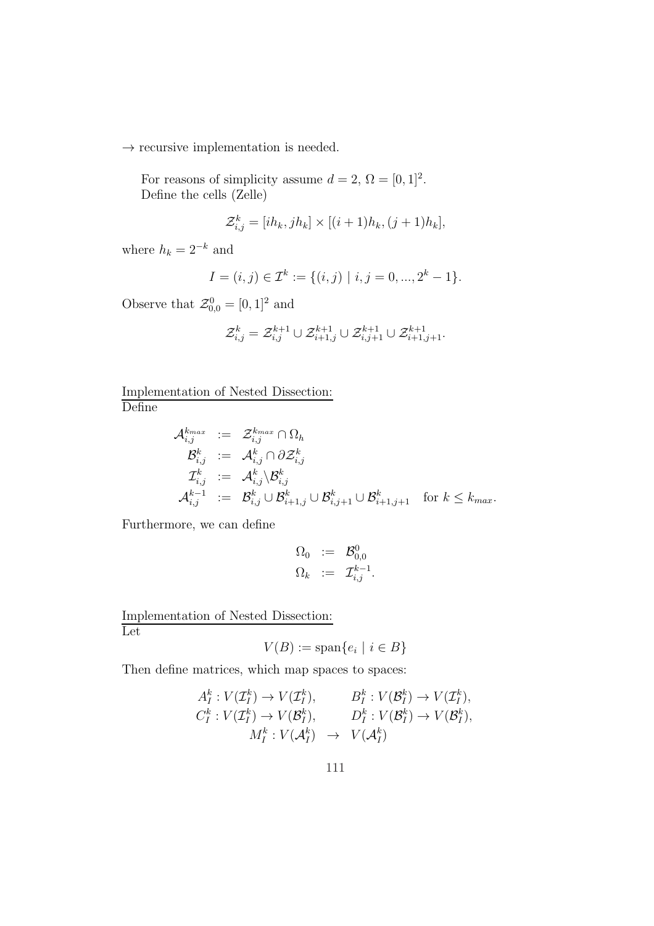$\rightarrow$  recursive implementation is needed.

For reasons of simplicity assume  $d = 2$ ,  $\Omega = [0, 1]^2$ . Define the cells (Zelle)

$$
\mathcal{Z}_{i,j}^k = [ih_k, jh_k] \times [(i+1)h_k, (j+1)h_k],
$$

where  $h_k = 2^{-k}$  and

$$
I = (i, j) \in \mathcal{I}^k := \{(i, j) \mid i, j = 0, ..., 2^k - 1\}.
$$

Observe that  $\mathcal{Z}_{0,0}^0 = [0,1]^2$  and

$$
\mathcal{Z}^k_{i,j}=\mathcal{Z}^{k+1}_{i,j}\cup\mathcal{Z}^{k+1}_{i+1,j}\cup\mathcal{Z}^{k+1}_{i,j+1}\cup\mathcal{Z}^{k+1}_{i+1,j+1}.
$$

Implementation of Nested Dissection: Define

$$
\begin{array}{lll} \mathcal{A}^{k_{max}}_{i,j} & := & \mathcal{Z}^{k_{max}}_{i,j} \cap \Omega_h \\ \mathcal{B}^k_{i,j} & := & \mathcal{A}^k_{i,j} \cap \partial \mathcal{Z}^k_{i,j} \\ \mathcal{I}^k_{i,j} & := & \mathcal{A}^k_{i,j} \backslash \mathcal{B}^k_{i,j} \\ \mathcal{A}^{k-1}_{i,j} & := & \mathcal{B}^k_{i,j} \cup \mathcal{B}^k_{i+1,j} \cup \mathcal{B}^k_{i+1,j+1} \quad \text{for $k \leq k_{max}$.} \end{array}
$$

Furthermore, we can define

$$
\begin{array}{rcl} \Omega_0 & := & \mathcal{B}_{0,0}^0 \\ \Omega_k & := & \mathcal{I}_{i,j}^{k-1}. \end{array}
$$

Implementation of Nested Dissection: Let

$$
V(B) := \text{span}\{e_i \mid i \in B\}
$$

Then define matrices, which map spaces to spaces:

$$
A_I^k: V(\mathcal{I}_I^k) \to V(\mathcal{I}_I^k), \qquad B_I^k: V(\mathcal{B}_I^k) \to V(\mathcal{I}_I^k),
$$
  

$$
C_I^k: V(\mathcal{I}_I^k) \to V(\mathcal{B}_I^k), \qquad D_I^k: V(\mathcal{B}_I^k) \to V(\mathcal{B}_I^k),
$$
  

$$
M_I^k: V(\mathcal{A}_I^k) \to V(\mathcal{A}_I^k)
$$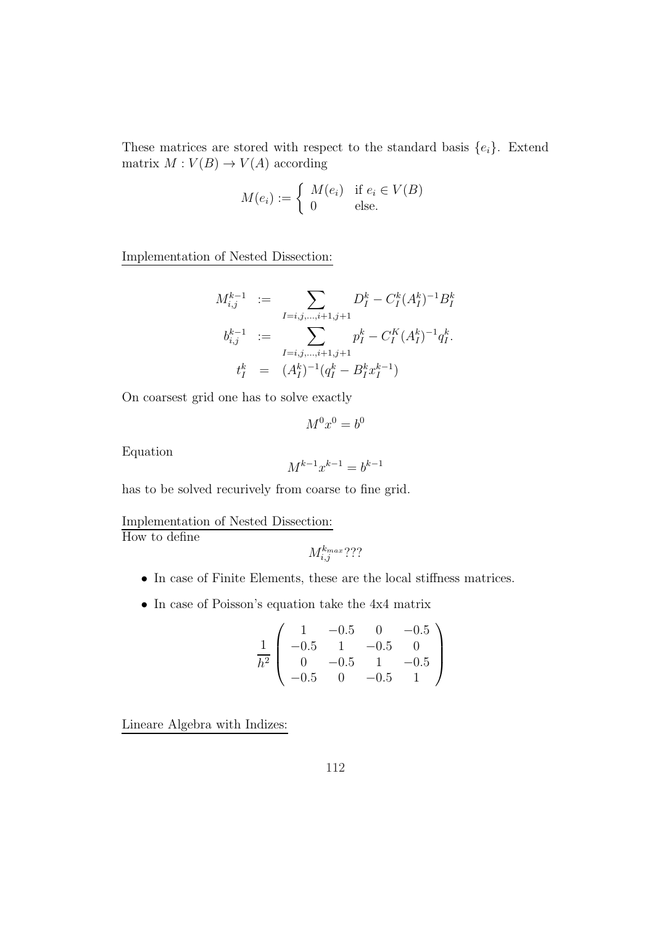These matrices are stored with respect to the standard basis  $\{e_i\}$ . Extend matrix  $M: V(B) \to V(A)$  according

$$
M(e_i) := \begin{cases} M(e_i) & \text{if } e_i \in V(B) \\ 0 & \text{else.} \end{cases}
$$

Implementation of Nested Dissection:

$$
M_{i,j}^{k-1} := \sum_{I=i,j,\dots,i+1,j+1} D_I^k - C_I^k (A_I^k)^{-1} B_I^k
$$
  
\n
$$
b_{i,j}^{k-1} := \sum_{I=i,j,\dots,i+1,j+1} p_I^k - C_I^K (A_I^k)^{-1} q_I^k.
$$
  
\n
$$
t_I^k = (A_I^k)^{-1} (q_I^k - B_I^k x_I^{k-1})
$$

On coarsest grid one has to solve exactly

$$
M^0x^0=b^0
$$

Equation

$$
M^{k-1}x^{k-1} = b^{k-1}
$$

has to be solved recurively from coarse to fine grid.

Implementation of Nested Dissection:

How to define

$$
M_{i,j}^{k_{max}}?
$$
?

- In case of Finite Elements, these are the local stiffness matrices.
- In case of Poisson's equation take the 4x4 matrix

$$
\frac{1}{h^2} \left( \begin{array}{rrrr} 1 & -0.5 & 0 & -0.5 \\ -0.5 & 1 & -0.5 & 0 \\ 0 & -0.5 & 1 & -0.5 \\ -0.5 & 0 & -0.5 & 1 \end{array} \right)
$$

Lineare Algebra with Indizes: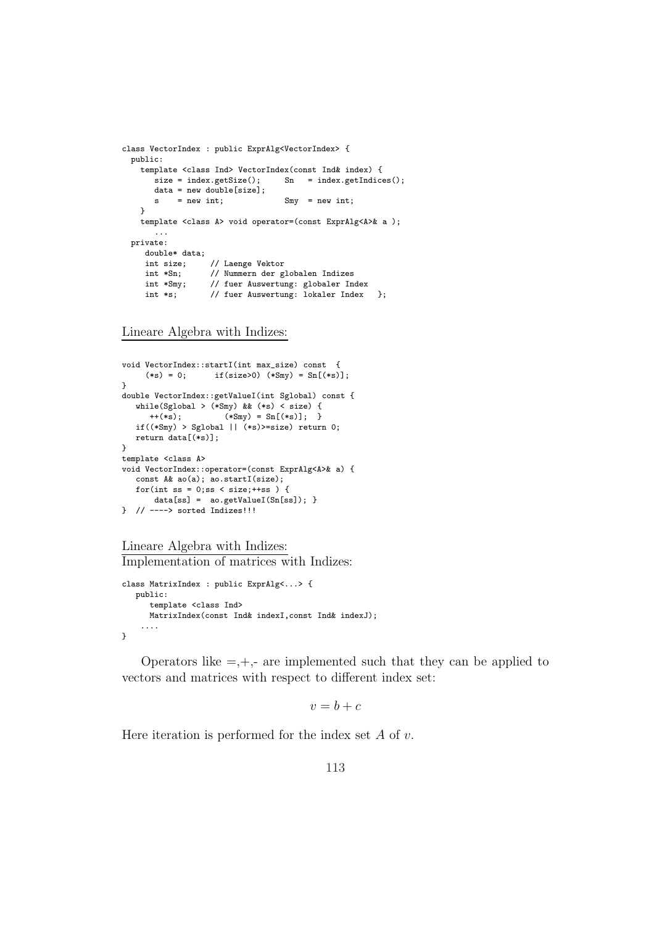```
class VectorIndex : public ExprAlg<VectorIndex> {
 public:
    template <class Ind> VectorIndex(const Ind& index) {
                                  Sn = index.getIndices();
       data = new double[size];<br>s = new int;s = new int; Smv = new int;}
    template <class A> void operator=(const ExprAlg<A>& a );
       ...
  private:
    double* data;<br>int size;
                  // Laenge Vektor
     int *Sn; // Nummern der globalen Indizes
     int *Smy; // fuer Auswertung: globaler Index
     int *s; // fuer Auswertung: lokaler Index };
```
Lineare Algebra with Indizes:

```
void VectorIndex::startI(int max_size) const {
     (**s) = 0; if(size>0) (**Smy) = Sn[(*s)];}
double VectorIndex::getValueI(int Sglobal) const {
  while(Sglobal > (*Smy) && (*s) < size) {
     ++(*_S); (*Smy) = Sn[(*_S)];if((*Smy) > Sglobal || (*s)>=size) return 0;return data[(*s)];
}
template <class A>
void VectorIndex::operator=(const ExprAlg<A>& a) {
  const A& ao(a); ao.startI(size);
  for(int ss = 0; ss < size; +ss) {
      data[ss] = ao.getValueI(Sn[ss]); }
} // ----> sorted Indizes!!!
```

```
Lineare Algebra with Indizes:
Implementation of matrices with Indizes:
```

```
class MatrixIndex : public ExprAlg<...> {
   public:
      template <class Ind>
      MatrixIndex(const Ind& indexI,const Ind& indexJ);
    ....
}
```
Operators like  $=$ , $+$ ,- are implemented such that they can be applied to vectors and matrices with respect to different index set:

$$
v = b + c
$$

Here iteration is performed for the index set  $A$  of  $v$ .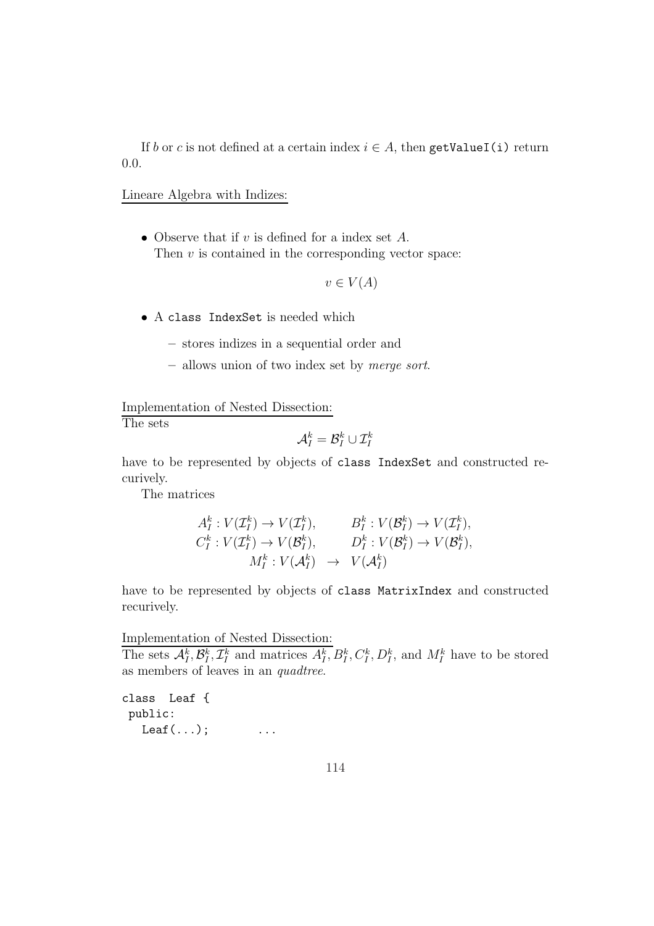If b or c is not defined at a certain index  $i \in A$ , then getValueI(i) return 0.0.

## Lineare Algebra with Indizes:

• Observe that if v is defined for a index set  $A$ . Then  $v$  is contained in the corresponding vector space:

$$
v \in V(A)
$$

- A class IndexSet is needed which
	- stores indizes in a sequential order and
	- allows union of two index set by merge sort.

Implementation of Nested Dissection:

The sets

$$
\mathcal{A}_I^k = \mathcal{B}_I^k \cup \mathcal{I}_I^k
$$

have to be represented by objects of class IndexSet and constructed recurively.

The matrices

$$
A_I^k: V(\mathcal{I}_I^k) \to V(\mathcal{I}_I^k), \qquad B_I^k: V(\mathcal{B}_I^k) \to V(\mathcal{I}_I^k),
$$
  
\n
$$
C_I^k: V(\mathcal{I}_I^k) \to V(\mathcal{B}_I^k), \qquad D_I^k: V(\mathcal{B}_I^k) \to V(\mathcal{B}_I^k),
$$
  
\n
$$
M_I^k: V(\mathcal{A}_I^k) \to V(\mathcal{A}_I^k)
$$

have to be represented by objects of class MatrixIndex and constructed recurively.

Implementation of Nested Dissection:

The sets  $\mathcal{A}_{I}^{k}, \mathcal{B}_{I}^{k}, \mathcal{I}_{I}^{k}$  and matrices  $A_{I}^{k}, B_{I}^{k}, C_{I}^{k}, D_{I}^{k}$ , and  $M_{I}^{k}$  have to be stored as members of leaves in an quadtree.

class Leaf { public:  $Leaf(...);$  ...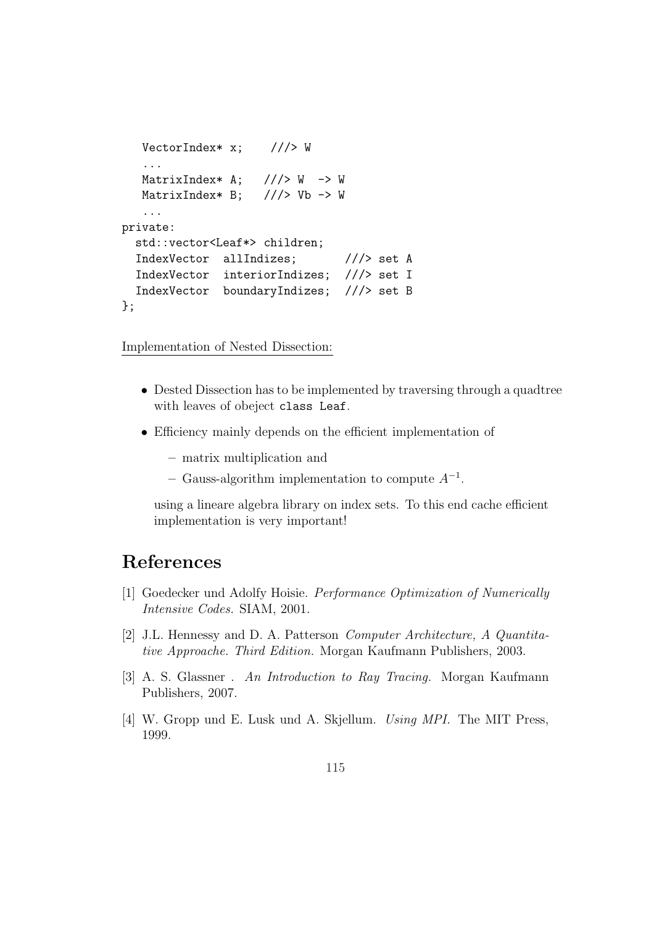```
VectorIndex* x; //\geq W...
  MatrixIndex* A; // > W -> W
  MatrixIndex* B; // > Vb -> W
   ...
private:
 std::vector<Leaf*> children;
  IndexVector allIndizes; ///> set A
  IndexVector interiorIndizes; ///> set I
  IndexVector boundaryIndizes; ///> set B
};
```
Implementation of Nested Dissection:

- Dested Dissection has to be implemented by traversing through a quadtree with leaves of obeject class Leaf.
- Efficiency mainly depends on the efficient implementation of
	- matrix multiplication and
	- $-$  Gauss-algorithm implementation to compute  $A^{-1}$ .

using a lineare algebra library on index sets. To this end cache efficient implementation is very important!

## References

- [1] Goedecker und Adolfy Hoisie. Performance Optimization of Numerically Intensive Codes. SIAM, 2001.
- [2] J.L. Hennessy and D. A. Patterson Computer Architecture, A Quantitative Approache. Third Edition. Morgan Kaufmann Publishers, 2003.
- [3] A. S. Glassner . An Introduction to Ray Tracing. Morgan Kaufmann Publishers, 2007.
- [4] W. Gropp und E. Lusk und A. Skjellum. Using MPI. The MIT Press, 1999.